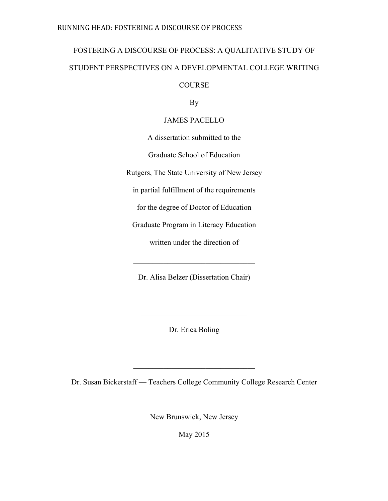# FOSTERING A DISCOURSE OF PROCESS: A QUALITATIVE STUDY OF STUDENT PERSPECTIVES ON A DEVELOPMENTAL COLLEGE WRITING

COURSE

By

## JAMES PACELLO

A dissertation submitted to the

Graduate School of Education

Rutgers, The State University of New Jersey

in partial fulfillment of the requirements

for the degree of Doctor of Education

Graduate Program in Literacy Education

written under the direction of

Dr. Alisa Belzer (Dissertation Chair)

 $\mathcal{L}_\text{max}$  , where  $\mathcal{L}_\text{max}$  and  $\mathcal{L}_\text{max}$  and  $\mathcal{L}_\text{max}$ 

Dr. Erica Boling

 $\mathcal{L}_\text{max}$ 

Dr. Susan Bickerstaff — Teachers College Community College Research Center

 $\mathcal{L}_\text{max}$ 

New Brunswick, New Jersey

May 2015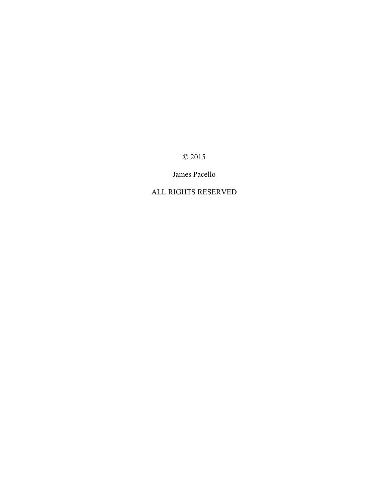© 2015

James Pacello

## ALL RIGHTS RESERVED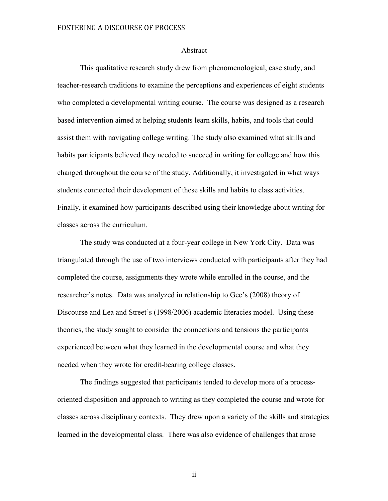#### Abstract

This qualitative research study drew from phenomenological, case study, and teacher-research traditions to examine the perceptions and experiences of eight students who completed a developmental writing course. The course was designed as a research based intervention aimed at helping students learn skills, habits, and tools that could assist them with navigating college writing. The study also examined what skills and habits participants believed they needed to succeed in writing for college and how this changed throughout the course of the study. Additionally, it investigated in what ways students connected their development of these skills and habits to class activities. Finally, it examined how participants described using their knowledge about writing for classes across the curriculum.

The study was conducted at a four-year college in New York City. Data was triangulated through the use of two interviews conducted with participants after they had completed the course, assignments they wrote while enrolled in the course, and the researcher's notes. Data was analyzed in relationship to Gee's (2008) theory of Discourse and Lea and Street's (1998/2006) academic literacies model. Using these theories, the study sought to consider the connections and tensions the participants experienced between what they learned in the developmental course and what they needed when they wrote for credit-bearing college classes.

The findings suggested that participants tended to develop more of a processoriented disposition and approach to writing as they completed the course and wrote for classes across disciplinary contexts. They drew upon a variety of the skills and strategies learned in the developmental class. There was also evidence of challenges that arose

ii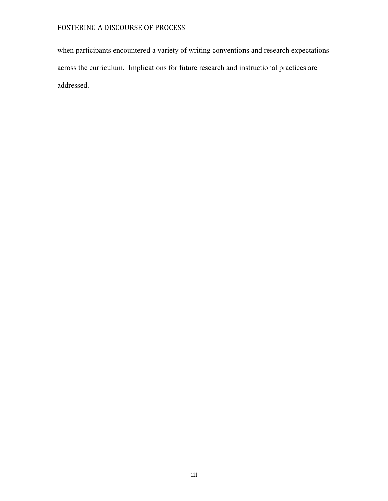when participants encountered a variety of writing conventions and research expectations across the curriculum. Implications for future research and instructional practices are addressed.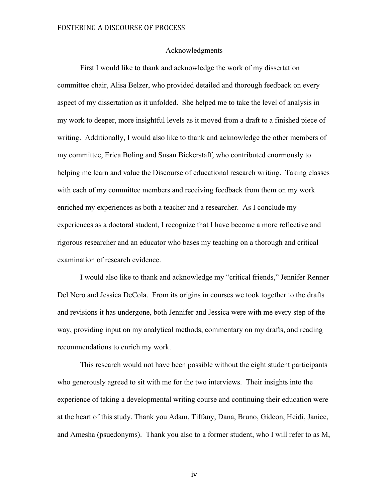#### Acknowledgments

First I would like to thank and acknowledge the work of my dissertation committee chair, Alisa Belzer, who provided detailed and thorough feedback on every aspect of my dissertation as it unfolded. She helped me to take the level of analysis in my work to deeper, more insightful levels as it moved from a draft to a finished piece of writing. Additionally, I would also like to thank and acknowledge the other members of my committee, Erica Boling and Susan Bickerstaff, who contributed enormously to helping me learn and value the Discourse of educational research writing. Taking classes with each of my committee members and receiving feedback from them on my work enriched my experiences as both a teacher and a researcher. As I conclude my experiences as a doctoral student, I recognize that I have become a more reflective and rigorous researcher and an educator who bases my teaching on a thorough and critical examination of research evidence.

I would also like to thank and acknowledge my "critical friends," Jennifer Renner Del Nero and Jessica DeCola. From its origins in courses we took together to the drafts and revisions it has undergone, both Jennifer and Jessica were with me every step of the way, providing input on my analytical methods, commentary on my drafts, and reading recommendations to enrich my work.

This research would not have been possible without the eight student participants who generously agreed to sit with me for the two interviews. Their insights into the experience of taking a developmental writing course and continuing their education were at the heart of this study. Thank you Adam, Tiffany, Dana, Bruno, Gideon, Heidi, Janice, and Amesha (psuedonyms). Thank you also to a former student, who I will refer to as M,

iv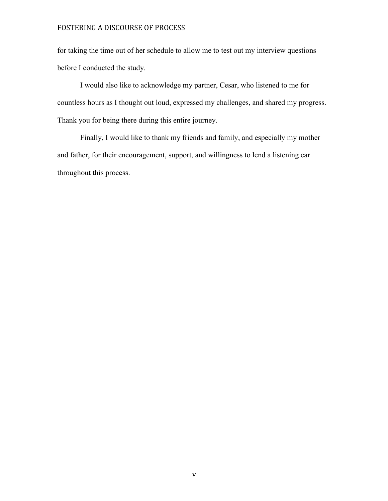for taking the time out of her schedule to allow me to test out my interview questions before I conducted the study.

I would also like to acknowledge my partner, Cesar, who listened to me for countless hours as I thought out loud, expressed my challenges, and shared my progress. Thank you for being there during this entire journey.

Finally, I would like to thank my friends and family, and especially my mother and father, for their encouragement, support, and willingness to lend a listening ear throughout this process.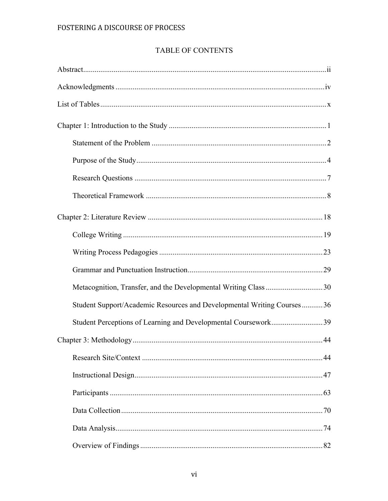## TABLE OF CONTENTS

| Metacognition, Transfer, and the Developmental Writing Class 30        |  |
|------------------------------------------------------------------------|--|
| Student Support/Academic Resources and Developmental Writing Courses36 |  |
| Student Perceptions of Learning and Developmental Coursework39         |  |
|                                                                        |  |
|                                                                        |  |
|                                                                        |  |
|                                                                        |  |
|                                                                        |  |
|                                                                        |  |
|                                                                        |  |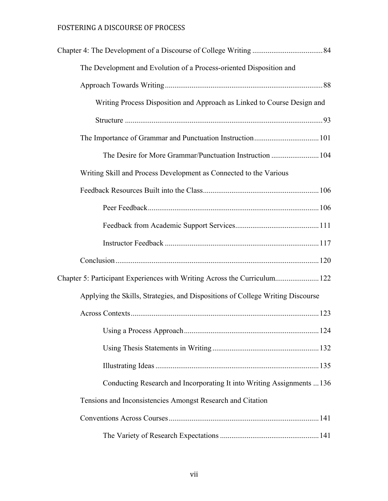| The Development and Evolution of a Process-oriented Disposition and            |  |
|--------------------------------------------------------------------------------|--|
|                                                                                |  |
| Writing Process Disposition and Approach as Linked to Course Design and        |  |
|                                                                                |  |
|                                                                                |  |
| The Desire for More Grammar/Punctuation Instruction  104                       |  |
| Writing Skill and Process Development as Connected to the Various              |  |
|                                                                                |  |
|                                                                                |  |
|                                                                                |  |
|                                                                                |  |
|                                                                                |  |
| Chapter 5: Participant Experiences with Writing Across the Curriculum 122      |  |
| Applying the Skills, Strategies, and Dispositions of College Writing Discourse |  |
|                                                                                |  |
|                                                                                |  |
|                                                                                |  |
|                                                                                |  |
| Conducting Research and Incorporating It into Writing Assignments  136         |  |
| Tensions and Inconsistencies Amongst Research and Citation                     |  |
|                                                                                |  |
|                                                                                |  |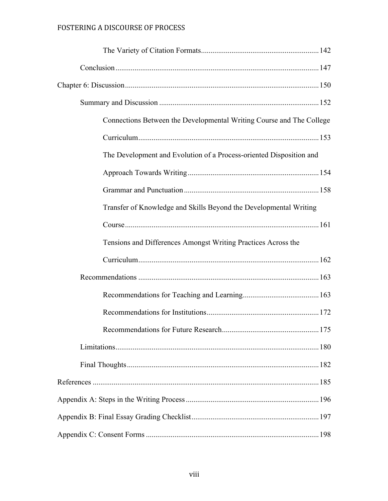| Connections Between the Developmental Writing Course and The College |  |
|----------------------------------------------------------------------|--|
|                                                                      |  |
| The Development and Evolution of a Process-oriented Disposition and  |  |
|                                                                      |  |
|                                                                      |  |
| Transfer of Knowledge and Skills Beyond the Developmental Writing    |  |
|                                                                      |  |
| Tensions and Differences Amongst Writing Practices Across the        |  |
|                                                                      |  |
|                                                                      |  |
|                                                                      |  |
|                                                                      |  |
|                                                                      |  |
|                                                                      |  |
|                                                                      |  |
|                                                                      |  |
|                                                                      |  |
|                                                                      |  |
|                                                                      |  |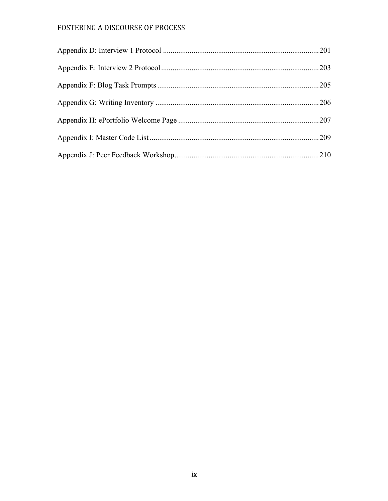| .209 |
|------|
|      |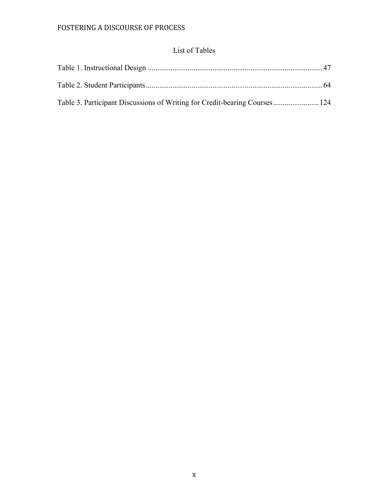## List of Tables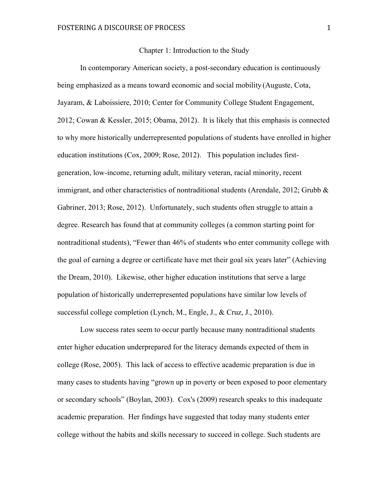#### Chapter 1: Introduction to the Study

In contemporary American society, a post-secondary education is continuously being emphasized as a means toward economic and social mobility (Auguste, Cota, Jayaram, & Laboissiere, 2010; Center for Community College Student Engagement, 2012; Cowan & Kessler, 2015; Obama, 2012). It is likely that this emphasis is connected to why more historically underrepresented populations of students have enrolled in higher education institutions (Cox, 2009; Rose, 2012). This population includes firstgeneration, low-income, returning adult, military veteran, racial minority, recent immigrant, and other characteristics of nontraditional students (Arendale, 2012; Grubb  $\&$ Gabriner, 2013; Rose, 2012). Unfortunately, such students often struggle to attain a degree. Research has found that at community colleges (a common starting point for nontraditional students), "Fewer than 46% of students who enter community college with the goal of earning a degree or certificate have met their goal six years later" (Achieving the Dream, 2010). Likewise, other higher education institutions that serve a large population of historically underrepresented populations have similar low levels of successful college completion (Lynch, M., Engle, J., & Cruz, J., 2010).

Low success rates seem to occur partly because many nontraditional students enter higher education underprepared for the literacy demands expected of them in college (Rose, 2005). This lack of access to effective academic preparation is due in many cases to students having "grown up in poverty or been exposed to poor elementary or secondary schools" (Boylan, 2003). Cox's (2009) research speaks to this inadequate academic preparation. Her findings have suggested that today many students enter college without the habits and skills necessary to succeed in college. Such students are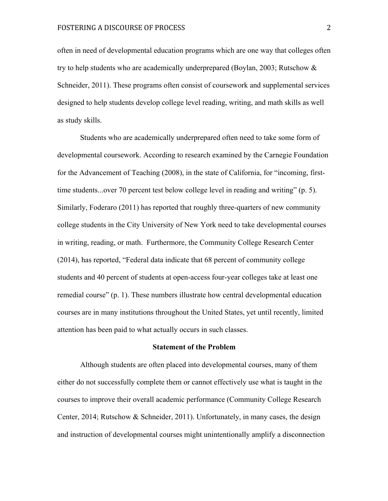often in need of developmental education programs which are one way that colleges often try to help students who are academically underprepared (Boylan, 2003; Rutschow & Schneider, 2011). These programs often consist of coursework and supplemental services designed to help students develop college level reading, writing, and math skills as well as study skills.

Students who are academically underprepared often need to take some form of developmental coursework. According to research examined by the Carnegie Foundation for the Advancement of Teaching (2008), in the state of California, for "incoming, firsttime students...over 70 percent test below college level in reading and writing" (p. 5). Similarly, Foderaro (2011) has reported that roughly three-quarters of new community college students in the City University of New York need to take developmental courses in writing, reading, or math. Furthermore, the Community College Research Center (2014), has reported, "Federal data indicate that 68 percent of community college students and 40 percent of students at open-access four-year colleges take at least one remedial course" (p. 1). These numbers illustrate how central developmental education courses are in many institutions throughout the United States, yet until recently, limited attention has been paid to what actually occurs in such classes.

#### **Statement of the Problem**

Although students are often placed into developmental courses, many of them either do not successfully complete them or cannot effectively use what is taught in the courses to improve their overall academic performance (Community College Research Center, 2014; Rutschow & Schneider, 2011). Unfortunately, in many cases, the design and instruction of developmental courses might unintentionally amplify a disconnection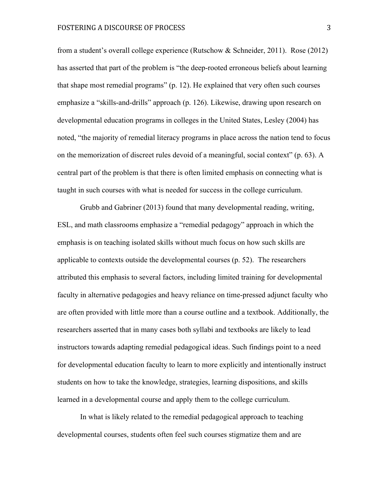from a student's overall college experience (Rutschow & Schneider, 2011). Rose (2012) has asserted that part of the problem is "the deep-rooted erroneous beliefs about learning that shape most remedial programs" (p. 12). He explained that very often such courses emphasize a "skills-and-drills" approach (p. 126). Likewise, drawing upon research on developmental education programs in colleges in the United States, Lesley (2004) has noted, "the majority of remedial literacy programs in place across the nation tend to focus on the memorization of discreet rules devoid of a meaningful, social context" (p. 63). A central part of the problem is that there is often limited emphasis on connecting what is taught in such courses with what is needed for success in the college curriculum.

Grubb and Gabriner (2013) found that many developmental reading, writing, ESL, and math classrooms emphasize a "remedial pedagogy" approach in which the emphasis is on teaching isolated skills without much focus on how such skills are applicable to contexts outside the developmental courses (p. 52). The researchers attributed this emphasis to several factors, including limited training for developmental faculty in alternative pedagogies and heavy reliance on time-pressed adjunct faculty who are often provided with little more than a course outline and a textbook. Additionally, the researchers asserted that in many cases both syllabi and textbooks are likely to lead instructors towards adapting remedial pedagogical ideas. Such findings point to a need for developmental education faculty to learn to more explicitly and intentionally instruct students on how to take the knowledge, strategies, learning dispositions, and skills learned in a developmental course and apply them to the college curriculum.

In what is likely related to the remedial pedagogical approach to teaching developmental courses, students often feel such courses stigmatize them and are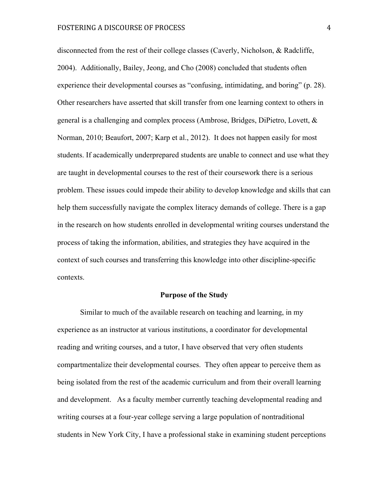disconnected from the rest of their college classes (Caverly, Nicholson, & Radcliffe, 2004). Additionally, Bailey, Jeong, and Cho (2008) concluded that students often experience their developmental courses as "confusing, intimidating, and boring" (p. 28). Other researchers have asserted that skill transfer from one learning context to others in general is a challenging and complex process (Ambrose, Bridges, DiPietro, Lovett, & Norman, 2010; Beaufort, 2007; Karp et al., 2012). It does not happen easily for most students. If academically underprepared students are unable to connect and use what they are taught in developmental courses to the rest of their coursework there is a serious problem. These issues could impede their ability to develop knowledge and skills that can help them successfully navigate the complex literacy demands of college. There is a gap in the research on how students enrolled in developmental writing courses understand the process of taking the information, abilities, and strategies they have acquired in the context of such courses and transferring this knowledge into other discipline-specific contexts.

#### **Purpose of the Study**

Similar to much of the available research on teaching and learning, in my experience as an instructor at various institutions, a coordinator for developmental reading and writing courses, and a tutor, I have observed that very often students compartmentalize their developmental courses. They often appear to perceive them as being isolated from the rest of the academic curriculum and from their overall learning and development. As a faculty member currently teaching developmental reading and writing courses at a four-year college serving a large population of nontraditional students in New York City, I have a professional stake in examining student perceptions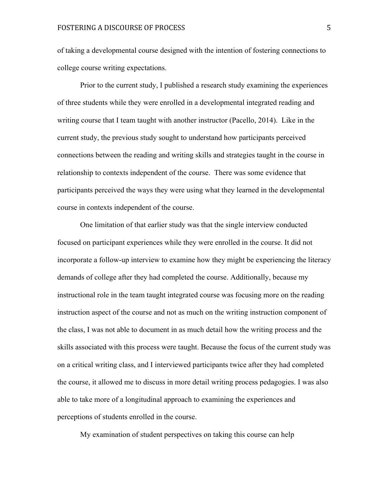of taking a developmental course designed with the intention of fostering connections to college course writing expectations.

Prior to the current study, I published a research study examining the experiences of three students while they were enrolled in a developmental integrated reading and writing course that I team taught with another instructor (Pacello, 2014). Like in the current study, the previous study sought to understand how participants perceived connections between the reading and writing skills and strategies taught in the course in relationship to contexts independent of the course. There was some evidence that participants perceived the ways they were using what they learned in the developmental course in contexts independent of the course.

One limitation of that earlier study was that the single interview conducted focused on participant experiences while they were enrolled in the course. It did not incorporate a follow-up interview to examine how they might be experiencing the literacy demands of college after they had completed the course. Additionally, because my instructional role in the team taught integrated course was focusing more on the reading instruction aspect of the course and not as much on the writing instruction component of the class, I was not able to document in as much detail how the writing process and the skills associated with this process were taught. Because the focus of the current study was on a critical writing class, and I interviewed participants twice after they had completed the course, it allowed me to discuss in more detail writing process pedagogies. I was also able to take more of a longitudinal approach to examining the experiences and perceptions of students enrolled in the course.

My examination of student perspectives on taking this course can help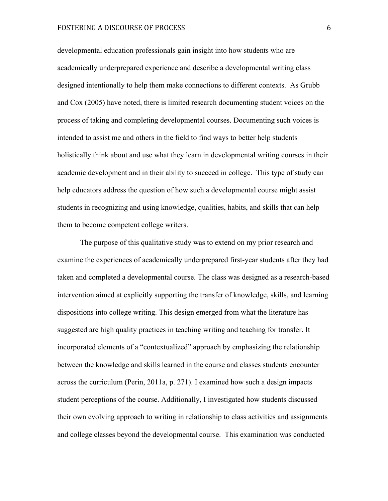developmental education professionals gain insight into how students who are academically underprepared experience and describe a developmental writing class designed intentionally to help them make connections to different contexts. As Grubb and Cox (2005) have noted, there is limited research documenting student voices on the process of taking and completing developmental courses. Documenting such voices is intended to assist me and others in the field to find ways to better help students holistically think about and use what they learn in developmental writing courses in their academic development and in their ability to succeed in college. This type of study can help educators address the question of how such a developmental course might assist students in recognizing and using knowledge, qualities, habits, and skills that can help them to become competent college writers.

The purpose of this qualitative study was to extend on my prior research and examine the experiences of academically underprepared first-year students after they had taken and completed a developmental course. The class was designed as a research-based intervention aimed at explicitly supporting the transfer of knowledge, skills, and learning dispositions into college writing. This design emerged from what the literature has suggested are high quality practices in teaching writing and teaching for transfer. It incorporated elements of a "contextualized" approach by emphasizing the relationship between the knowledge and skills learned in the course and classes students encounter across the curriculum (Perin, 2011a, p. 271). I examined how such a design impacts student perceptions of the course. Additionally, I investigated how students discussed their own evolving approach to writing in relationship to class activities and assignments and college classes beyond the developmental course. This examination was conducted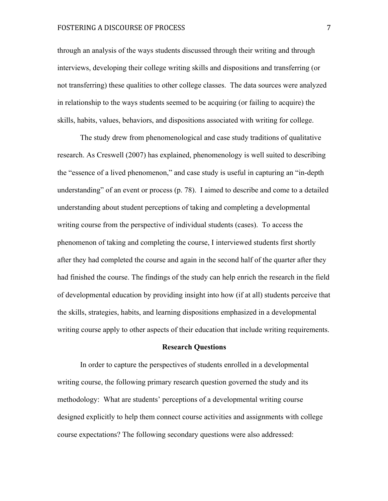through an analysis of the ways students discussed through their writing and through interviews, developing their college writing skills and dispositions and transferring (or not transferring) these qualities to other college classes. The data sources were analyzed in relationship to the ways students seemed to be acquiring (or failing to acquire) the skills, habits, values, behaviors, and dispositions associated with writing for college.

The study drew from phenomenological and case study traditions of qualitative research. As Creswell (2007) has explained, phenomenology is well suited to describing the "essence of a lived phenomenon," and case study is useful in capturing an "in-depth understanding" of an event or process (p. 78). I aimed to describe and come to a detailed understanding about student perceptions of taking and completing a developmental writing course from the perspective of individual students (cases). To access the phenomenon of taking and completing the course, I interviewed students first shortly after they had completed the course and again in the second half of the quarter after they had finished the course. The findings of the study can help enrich the research in the field of developmental education by providing insight into how (if at all) students perceive that the skills, strategies, habits, and learning dispositions emphasized in a developmental writing course apply to other aspects of their education that include writing requirements.

#### **Research Questions**

In order to capture the perspectives of students enrolled in a developmental writing course, the following primary research question governed the study and its methodology: What are students' perceptions of a developmental writing course designed explicitly to help them connect course activities and assignments with college course expectations? The following secondary questions were also addressed: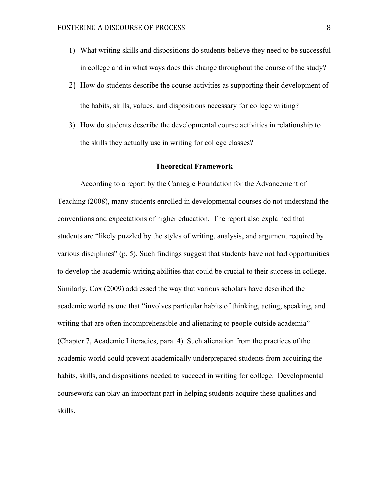- 1) What writing skills and dispositions do students believe they need to be successful in college and in what ways does this change throughout the course of the study?
- 2) How do students describe the course activities as supporting their development of the habits, skills, values, and dispositions necessary for college writing?
- 3) How do students describe the developmental course activities in relationship to the skills they actually use in writing for college classes?

#### **Theoretical Framework**

According to a report by the Carnegie Foundation for the Advancement of Teaching (2008), many students enrolled in developmental courses do not understand the conventions and expectations of higher education. The report also explained that students are "likely puzzled by the styles of writing, analysis, and argument required by various disciplines" (p. 5). Such findings suggest that students have not had opportunities to develop the academic writing abilities that could be crucial to their success in college. Similarly, Cox (2009) addressed the way that various scholars have described the academic world as one that "involves particular habits of thinking, acting, speaking, and writing that are often incomprehensible and alienating to people outside academia" (Chapter 7, Academic Literacies, para. 4). Such alienation from the practices of the academic world could prevent academically underprepared students from acquiring the habits, skills, and dispositions needed to succeed in writing for college. Developmental coursework can play an important part in helping students acquire these qualities and skills.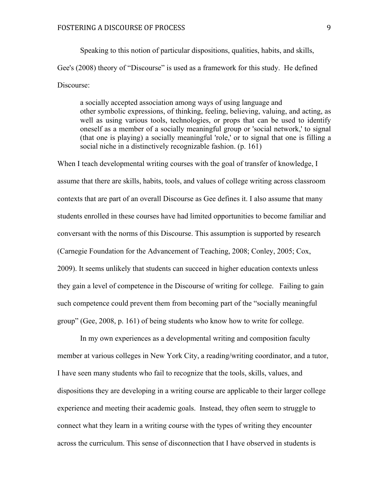Speaking to this notion of particular dispositions, qualities, habits, and skills, Gee's (2008) theory of "Discourse" is used as a framework for this study. He defined Discourse:

 a socially accepted association among ways of using language and other symbolic expressions, of thinking, feeling, believing, valuing, and acting, as well as using various tools, technologies, or props that can be used to identify oneself as a member of a socially meaningful group or 'social network,' to signal (that one is playing) a socially meaningful 'role,' or to signal that one is filling a social niche in a distinctively recognizable fashion. (p. 161)

When I teach developmental writing courses with the goal of transfer of knowledge, I assume that there are skills, habits, tools, and values of college writing across classroom contexts that are part of an overall Discourse as Gee defines it. I also assume that many students enrolled in these courses have had limited opportunities to become familiar and conversant with the norms of this Discourse. This assumption is supported by research (Carnegie Foundation for the Advancement of Teaching, 2008; Conley, 2005; Cox, 2009). It seems unlikely that students can succeed in higher education contexts unless they gain a level of competence in the Discourse of writing for college. Failing to gain such competence could prevent them from becoming part of the "socially meaningful group" (Gee, 2008, p. 161) of being students who know how to write for college.

In my own experiences as a developmental writing and composition faculty member at various colleges in New York City, a reading/writing coordinator, and a tutor, I have seen many students who fail to recognize that the tools, skills, values, and dispositions they are developing in a writing course are applicable to their larger college experience and meeting their academic goals. Instead, they often seem to struggle to connect what they learn in a writing course with the types of writing they encounter across the curriculum. This sense of disconnection that I have observed in students is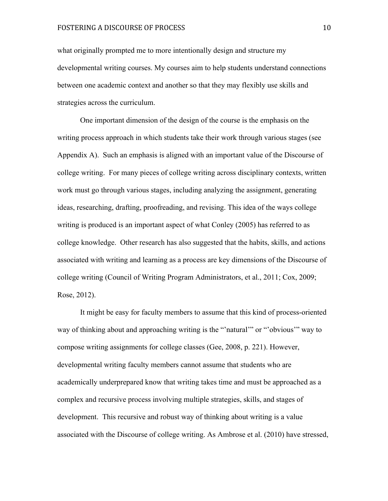what originally prompted me to more intentionally design and structure my developmental writing courses. My courses aim to help students understand connections between one academic context and another so that they may flexibly use skills and strategies across the curriculum.

One important dimension of the design of the course is the emphasis on the writing process approach in which students take their work through various stages (see Appendix A). Such an emphasis is aligned with an important value of the Discourse of college writing. For many pieces of college writing across disciplinary contexts, written work must go through various stages, including analyzing the assignment, generating ideas, researching, drafting, proofreading, and revising. This idea of the ways college writing is produced is an important aspect of what Conley (2005) has referred to as college knowledge. Other research has also suggested that the habits, skills, and actions associated with writing and learning as a process are key dimensions of the Discourse of college writing (Council of Writing Program Administrators, et al., 2011; Cox, 2009; Rose, 2012).

It might be easy for faculty members to assume that this kind of process-oriented way of thinking about and approaching writing is the "'natural'" or "'obvious'" way to compose writing assignments for college classes (Gee, 2008, p. 221). However, developmental writing faculty members cannot assume that students who are academically underprepared know that writing takes time and must be approached as a complex and recursive process involving multiple strategies, skills, and stages of development. This recursive and robust way of thinking about writing is a value associated with the Discourse of college writing. As Ambrose et al. (2010) have stressed,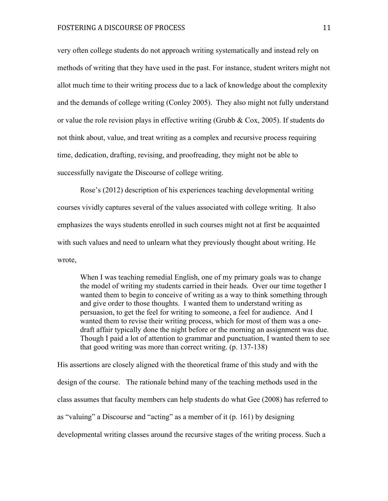very often college students do not approach writing systematically and instead rely on methods of writing that they have used in the past. For instance, student writers might not allot much time to their writing process due to a lack of knowledge about the complexity and the demands of college writing (Conley 2005). They also might not fully understand or value the role revision plays in effective writing (Grubb  $\&$  Cox, 2005). If students do not think about, value, and treat writing as a complex and recursive process requiring time, dedication, drafting, revising, and proofreading, they might not be able to successfully navigate the Discourse of college writing.

Rose's (2012) description of his experiences teaching developmental writing courses vividly captures several of the values associated with college writing. It also emphasizes the ways students enrolled in such courses might not at first be acquainted with such values and need to unlearn what they previously thought about writing. He wrote,

When I was teaching remedial English, one of my primary goals was to change the model of writing my students carried in their heads. Over our time together I wanted them to begin to conceive of writing as a way to think something through and give order to those thoughts. I wanted them to understand writing as persuasion, to get the feel for writing to someone, a feel for audience. And I wanted them to revise their writing process, which for most of them was a onedraft affair typically done the night before or the morning an assignment was due. Though I paid a lot of attention to grammar and punctuation, I wanted them to see that good writing was more than correct writing. (p. 137-138)

His assertions are closely aligned with the theoretical frame of this study and with the design of the course. The rationale behind many of the teaching methods used in the class assumes that faculty members can help students do what Gee (2008) has referred to as "valuing" a Discourse and "acting" as a member of it (p. 161) by designing developmental writing classes around the recursive stages of the writing process. Such a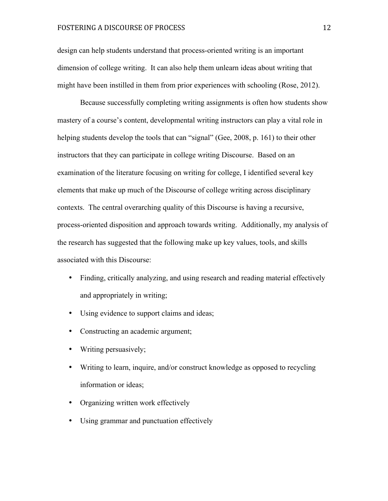design can help students understand that process-oriented writing is an important dimension of college writing. It can also help them unlearn ideas about writing that might have been instilled in them from prior experiences with schooling (Rose, 2012).

Because successfully completing writing assignments is often how students show mastery of a course's content, developmental writing instructors can play a vital role in helping students develop the tools that can "signal" (Gee, 2008, p. 161) to their other instructors that they can participate in college writing Discourse. Based on an examination of the literature focusing on writing for college, I identified several key elements that make up much of the Discourse of college writing across disciplinary contexts. The central overarching quality of this Discourse is having a recursive, process-oriented disposition and approach towards writing. Additionally, my analysis of the research has suggested that the following make up key values, tools, and skills associated with this Discourse:

- Finding, critically analyzing, and using research and reading material effectively and appropriately in writing;
- Using evidence to support claims and ideas;
- Constructing an academic argument;
- Writing persuasively;
- Writing to learn, inquire, and/or construct knowledge as opposed to recycling information or ideas;
- Organizing written work effectively
- Using grammar and punctuation effectively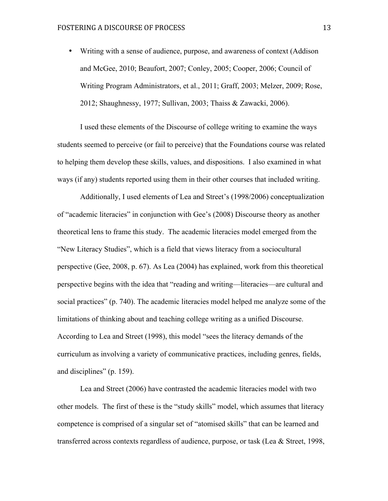• Writing with a sense of audience, purpose, and awareness of context (Addison and McGee, 2010; Beaufort, 2007; Conley, 2005; Cooper, 2006; Council of Writing Program Administrators, et al., 2011; Graff, 2003; Melzer, 2009; Rose, 2012; Shaughnessy, 1977; Sullivan, 2003; Thaiss & Zawacki, 2006).

I used these elements of the Discourse of college writing to examine the ways students seemed to perceive (or fail to perceive) that the Foundations course was related to helping them develop these skills, values, and dispositions. I also examined in what ways (if any) students reported using them in their other courses that included writing.

Additionally, I used elements of Lea and Street's (1998/2006) conceptualization of "academic literacies" in conjunction with Gee's (2008) Discourse theory as another theoretical lens to frame this study. The academic literacies model emerged from the "New Literacy Studies", which is a field that views literacy from a sociocultural perspective (Gee, 2008, p. 67). As Lea (2004) has explained, work from this theoretical perspective begins with the idea that "reading and writing—literacies—are cultural and social practices" (p. 740). The academic literacies model helped me analyze some of the limitations of thinking about and teaching college writing as a unified Discourse. According to Lea and Street (1998), this model "sees the literacy demands of the curriculum as involving a variety of communicative practices, including genres, fields, and disciplines" (p. 159).

Lea and Street (2006) have contrasted the academic literacies model with two other models. The first of these is the "study skills" model, which assumes that literacy competence is comprised of a singular set of "atomised skills" that can be learned and transferred across contexts regardless of audience, purpose, or task (Lea & Street, 1998,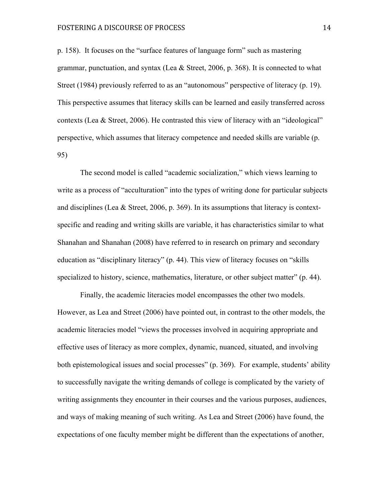p. 158). It focuses on the "surface features of language form" such as mastering grammar, punctuation, and syntax (Lea  $\&$  Street, 2006, p. 368). It is connected to what Street (1984) previously referred to as an "autonomous" perspective of literacy (p. 19). This perspective assumes that literacy skills can be learned and easily transferred across contexts (Lea & Street, 2006). He contrasted this view of literacy with an "ideological" perspective, which assumes that literacy competence and needed skills are variable (p. 95)

The second model is called "academic socialization," which views learning to write as a process of "acculturation" into the types of writing done for particular subjects and disciplines (Lea & Street, 2006, p. 369). In its assumptions that literacy is contextspecific and reading and writing skills are variable, it has characteristics similar to what Shanahan and Shanahan (2008) have referred to in research on primary and secondary education as "disciplinary literacy" (p. 44). This view of literacy focuses on "skills specialized to history, science, mathematics, literature, or other subject matter" (p. 44).

Finally, the academic literacies model encompasses the other two models. However, as Lea and Street (2006) have pointed out, in contrast to the other models, the academic literacies model "views the processes involved in acquiring appropriate and effective uses of literacy as more complex, dynamic, nuanced, situated, and involving both epistemological issues and social processes" (p. 369). For example, students' ability to successfully navigate the writing demands of college is complicated by the variety of writing assignments they encounter in their courses and the various purposes, audiences, and ways of making meaning of such writing. As Lea and Street (2006) have found, the expectations of one faculty member might be different than the expectations of another,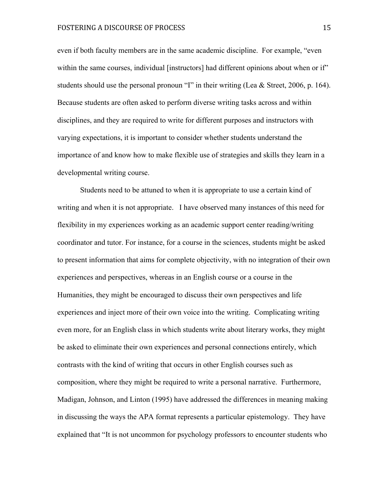even if both faculty members are in the same academic discipline. For example, "even within the same courses, individual [instructors] had different opinions about when or if" students should use the personal pronoun "I" in their writing (Lea & Street, 2006, p. 164). Because students are often asked to perform diverse writing tasks across and within disciplines, and they are required to write for different purposes and instructors with varying expectations, it is important to consider whether students understand the importance of and know how to make flexible use of strategies and skills they learn in a developmental writing course.

Students need to be attuned to when it is appropriate to use a certain kind of writing and when it is not appropriate. I have observed many instances of this need for flexibility in my experiences working as an academic support center reading/writing coordinator and tutor. For instance, for a course in the sciences, students might be asked to present information that aims for complete objectivity, with no integration of their own experiences and perspectives, whereas in an English course or a course in the Humanities, they might be encouraged to discuss their own perspectives and life experiences and inject more of their own voice into the writing. Complicating writing even more, for an English class in which students write about literary works, they might be asked to eliminate their own experiences and personal connections entirely, which contrasts with the kind of writing that occurs in other English courses such as composition, where they might be required to write a personal narrative. Furthermore, Madigan, Johnson, and Linton (1995) have addressed the differences in meaning making in discussing the ways the APA format represents a particular epistemology. They have explained that "It is not uncommon for psychology professors to encounter students who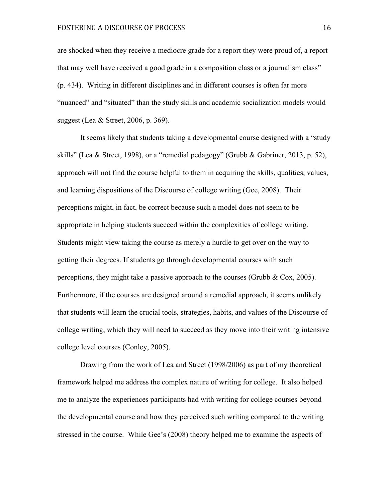are shocked when they receive a mediocre grade for a report they were proud of, a report that may well have received a good grade in a composition class or a journalism class" (p. 434). Writing in different disciplines and in different courses is often far more "nuanced" and "situated" than the study skills and academic socialization models would suggest (Lea & Street, 2006, p. 369).

It seems likely that students taking a developmental course designed with a "study skills" (Lea & Street, 1998), or a "remedial pedagogy" (Grubb & Gabriner, 2013, p. 52), approach will not find the course helpful to them in acquiring the skills, qualities, values, and learning dispositions of the Discourse of college writing (Gee, 2008). Their perceptions might, in fact, be correct because such a model does not seem to be appropriate in helping students succeed within the complexities of college writing. Students might view taking the course as merely a hurdle to get over on the way to getting their degrees. If students go through developmental courses with such perceptions, they might take a passive approach to the courses (Grubb & Cox, 2005). Furthermore, if the courses are designed around a remedial approach, it seems unlikely that students will learn the crucial tools, strategies, habits, and values of the Discourse of college writing, which they will need to succeed as they move into their writing intensive college level courses (Conley, 2005).

Drawing from the work of Lea and Street (1998/2006) as part of my theoretical framework helped me address the complex nature of writing for college. It also helped me to analyze the experiences participants had with writing for college courses beyond the developmental course and how they perceived such writing compared to the writing stressed in the course. While Gee's (2008) theory helped me to examine the aspects of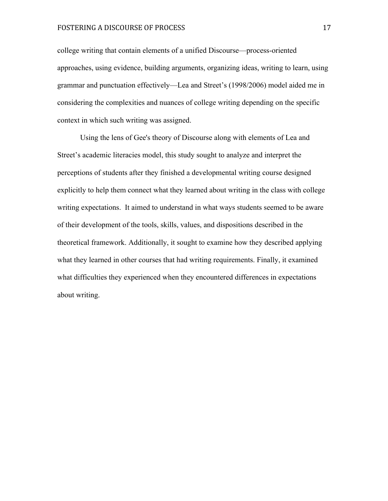college writing that contain elements of a unified Discourse—process-oriented approaches, using evidence, building arguments, organizing ideas, writing to learn, using grammar and punctuation effectively—Lea and Street's (1998/2006) model aided me in considering the complexities and nuances of college writing depending on the specific context in which such writing was assigned.

Using the lens of Gee's theory of Discourse along with elements of Lea and Street's academic literacies model, this study sought to analyze and interpret the perceptions of students after they finished a developmental writing course designed explicitly to help them connect what they learned about writing in the class with college writing expectations. It aimed to understand in what ways students seemed to be aware of their development of the tools, skills, values, and dispositions described in the theoretical framework. Additionally, it sought to examine how they described applying what they learned in other courses that had writing requirements. Finally, it examined what difficulties they experienced when they encountered differences in expectations about writing.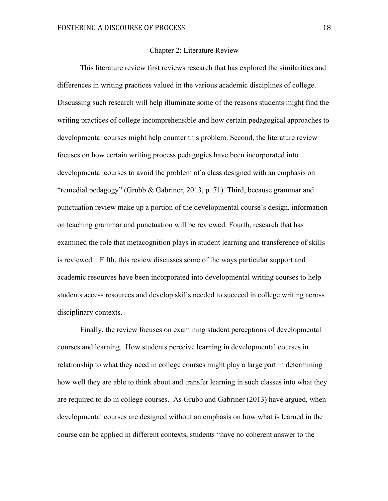#### Chapter 2: Literature Review

This literature review first reviews research that has explored the similarities and differences in writing practices valued in the various academic disciplines of college. Discussing such research will help illuminate some of the reasons students might find the writing practices of college incomprehensible and how certain pedagogical approaches to developmental courses might help counter this problem. Second, the literature review focuses on how certain writing process pedagogies have been incorporated into developmental courses to avoid the problem of a class designed with an emphasis on "remedial pedagogy" (Grubb & Gabriner, 2013, p. 71). Third, because grammar and punctuation review make up a portion of the developmental course's design, information on teaching grammar and punctuation will be reviewed. Fourth, research that has examined the role that metacognition plays in student learning and transference of skills is reviewed. Fifth, this review discusses some of the ways particular support and academic resources have been incorporated into developmental writing courses to help students access resources and develop skills needed to succeed in college writing across disciplinary contexts.

Finally, the review focuses on examining student perceptions of developmental courses and learning. How students perceive learning in developmental courses in relationship to what they need in college courses might play a large part in determining how well they are able to think about and transfer learning in such classes into what they are required to do in college courses. As Grubb and Gabriner (2013) have argued, when developmental courses are designed without an emphasis on how what is learned in the course can be applied in different contexts, students "have no coherent answer to the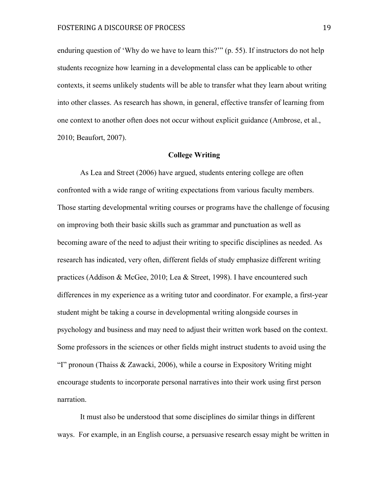enduring question of 'Why do we have to learn this?'" (p. 55). If instructors do not help students recognize how learning in a developmental class can be applicable to other contexts, it seems unlikely students will be able to transfer what they learn about writing into other classes. As research has shown, in general, effective transfer of learning from one context to another often does not occur without explicit guidance (Ambrose, et al., 2010; Beaufort, 2007).

#### **College Writing**

As Lea and Street (2006) have argued, students entering college are often confronted with a wide range of writing expectations from various faculty members. Those starting developmental writing courses or programs have the challenge of focusing on improving both their basic skills such as grammar and punctuation as well as becoming aware of the need to adjust their writing to specific disciplines as needed. As research has indicated, very often, different fields of study emphasize different writing practices (Addison & McGee, 2010; Lea & Street, 1998). I have encountered such differences in my experience as a writing tutor and coordinator. For example, a first-year student might be taking a course in developmental writing alongside courses in psychology and business and may need to adjust their written work based on the context. Some professors in the sciences or other fields might instruct students to avoid using the "I" pronoun (Thaiss & Zawacki, 2006), while a course in Expository Writing might encourage students to incorporate personal narratives into their work using first person narration.

It must also be understood that some disciplines do similar things in different ways. For example, in an English course, a persuasive research essay might be written in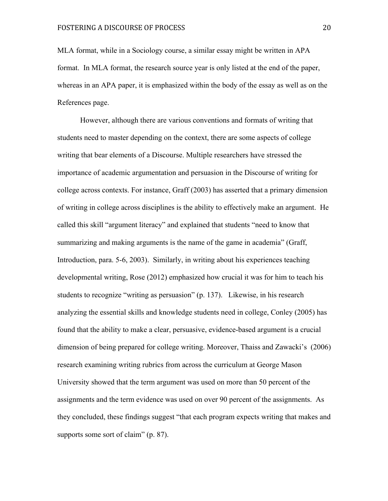MLA format, while in a Sociology course, a similar essay might be written in APA format. In MLA format, the research source year is only listed at the end of the paper, whereas in an APA paper, it is emphasized within the body of the essay as well as on the References page.

However, although there are various conventions and formats of writing that students need to master depending on the context, there are some aspects of college writing that bear elements of a Discourse. Multiple researchers have stressed the importance of academic argumentation and persuasion in the Discourse of writing for college across contexts. For instance, Graff (2003) has asserted that a primary dimension of writing in college across disciplines is the ability to effectively make an argument. He called this skill "argument literacy" and explained that students "need to know that summarizing and making arguments is the name of the game in academia" (Graff, Introduction, para. 5-6, 2003). Similarly, in writing about his experiences teaching developmental writing, Rose (2012) emphasized how crucial it was for him to teach his students to recognize "writing as persuasion" (p. 137). Likewise, in his research analyzing the essential skills and knowledge students need in college, Conley (2005) has found that the ability to make a clear, persuasive, evidence-based argument is a crucial dimension of being prepared for college writing. Moreover, Thaiss and Zawacki's (2006) research examining writing rubrics from across the curriculum at George Mason University showed that the term argument was used on more than 50 percent of the assignments and the term evidence was used on over 90 percent of the assignments. As they concluded, these findings suggest "that each program expects writing that makes and supports some sort of claim" (p. 87).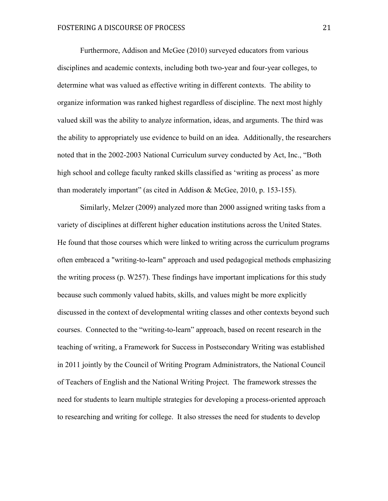Furthermore, Addison and McGee (2010) surveyed educators from various disciplines and academic contexts, including both two-year and four-year colleges, to determine what was valued as effective writing in different contexts. The ability to organize information was ranked highest regardless of discipline. The next most highly valued skill was the ability to analyze information, ideas, and arguments. The third was the ability to appropriately use evidence to build on an idea. Additionally, the researchers noted that in the 2002-2003 National Curriculum survey conducted by Act, Inc., "Both high school and college faculty ranked skills classified as 'writing as process' as more than moderately important" (as cited in Addison & McGee, 2010, p. 153-155).

Similarly, Melzer (2009) analyzed more than 2000 assigned writing tasks from a variety of disciplines at different higher education institutions across the United States. He found that those courses which were linked to writing across the curriculum programs often embraced a "writing-to-learn" approach and used pedagogical methods emphasizing the writing process (p. W257). These findings have important implications for this study because such commonly valued habits, skills, and values might be more explicitly discussed in the context of developmental writing classes and other contexts beyond such courses. Connected to the "writing-to-learn" approach, based on recent research in the teaching of writing, a Framework for Success in Postsecondary Writing was established in 2011 jointly by the Council of Writing Program Administrators, the National Council of Teachers of English and the National Writing Project. The framework stresses the need for students to learn multiple strategies for developing a process-oriented approach to researching and writing for college. It also stresses the need for students to develop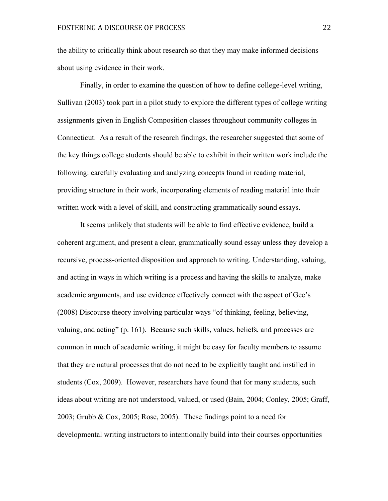the ability to critically think about research so that they may make informed decisions about using evidence in their work.

Finally, in order to examine the question of how to define college-level writing, Sullivan (2003) took part in a pilot study to explore the different types of college writing assignments given in English Composition classes throughout community colleges in Connecticut. As a result of the research findings, the researcher suggested that some of the key things college students should be able to exhibit in their written work include the following: carefully evaluating and analyzing concepts found in reading material, providing structure in their work, incorporating elements of reading material into their written work with a level of skill, and constructing grammatically sound essays.

It seems unlikely that students will be able to find effective evidence, build a coherent argument, and present a clear, grammatically sound essay unless they develop a recursive, process-oriented disposition and approach to writing. Understanding, valuing, and acting in ways in which writing is a process and having the skills to analyze, make academic arguments, and use evidence effectively connect with the aspect of Gee's (2008) Discourse theory involving particular ways "of thinking, feeling, believing, valuing, and acting" (p. 161). Because such skills, values, beliefs, and processes are common in much of academic writing, it might be easy for faculty members to assume that they are natural processes that do not need to be explicitly taught and instilled in students (Cox, 2009). However, researchers have found that for many students, such ideas about writing are not understood, valued, or used (Bain, 2004; Conley, 2005; Graff, 2003; Grubb & Cox, 2005; Rose, 2005). These findings point to a need for developmental writing instructors to intentionally build into their courses opportunities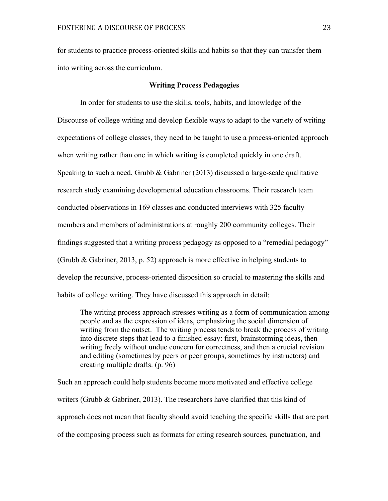for students to practice process-oriented skills and habits so that they can transfer them into writing across the curriculum.

#### **Writing Process Pedagogies**

In order for students to use the skills, tools, habits, and knowledge of the Discourse of college writing and develop flexible ways to adapt to the variety of writing expectations of college classes, they need to be taught to use a process-oriented approach when writing rather than one in which writing is completed quickly in one draft. Speaking to such a need, Grubb & Gabriner (2013) discussed a large-scale qualitative research study examining developmental education classrooms. Their research team conducted observations in 169 classes and conducted interviews with 325 faculty members and members of administrations at roughly 200 community colleges. Their findings suggested that a writing process pedagogy as opposed to a "remedial pedagogy" (Grubb & Gabriner, 2013, p. 52) approach is more effective in helping students to develop the recursive, process-oriented disposition so crucial to mastering the skills and habits of college writing. They have discussed this approach in detail:

The writing process approach stresses writing as a form of communication among people and as the expression of ideas, emphasizing the social dimension of writing from the outset. The writing process tends to break the process of writing into discrete steps that lead to a finished essay: first, brainstorming ideas, then writing freely without undue concern for correctness, and then a crucial revision and editing (sometimes by peers or peer groups, sometimes by instructors) and creating multiple drafts. (p. 96)

Such an approach could help students become more motivated and effective college writers (Grubb  $\&$  Gabriner, 2013). The researchers have clarified that this kind of approach does not mean that faculty should avoid teaching the specific skills that are part of the composing process such as formats for citing research sources, punctuation, and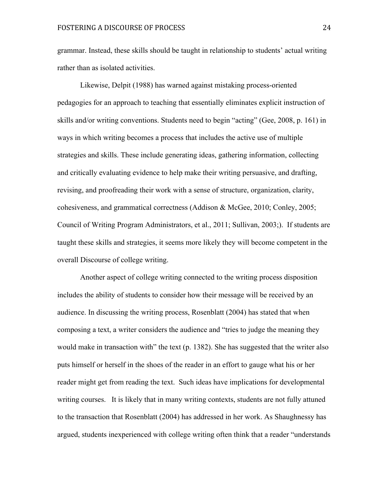grammar. Instead, these skills should be taught in relationship to students' actual writing rather than as isolated activities.

Likewise, Delpit (1988) has warned against mistaking process-oriented pedagogies for an approach to teaching that essentially eliminates explicit instruction of skills and/or writing conventions. Students need to begin "acting" (Gee, 2008, p. 161) in ways in which writing becomes a process that includes the active use of multiple strategies and skills. These include generating ideas, gathering information, collecting and critically evaluating evidence to help make their writing persuasive, and drafting, revising, and proofreading their work with a sense of structure, organization, clarity, cohesiveness, and grammatical correctness (Addison & McGee, 2010; Conley, 2005; Council of Writing Program Administrators, et al., 2011; Sullivan, 2003;). If students are taught these skills and strategies, it seems more likely they will become competent in the overall Discourse of college writing.

Another aspect of college writing connected to the writing process disposition includes the ability of students to consider how their message will be received by an audience. In discussing the writing process, Rosenblatt (2004) has stated that when composing a text, a writer considers the audience and "tries to judge the meaning they would make in transaction with" the text (p. 1382). She has suggested that the writer also puts himself or herself in the shoes of the reader in an effort to gauge what his or her reader might get from reading the text. Such ideas have implications for developmental writing courses. It is likely that in many writing contexts, students are not fully attuned to the transaction that Rosenblatt (2004) has addressed in her work. As Shaughnessy has argued, students inexperienced with college writing often think that a reader "understands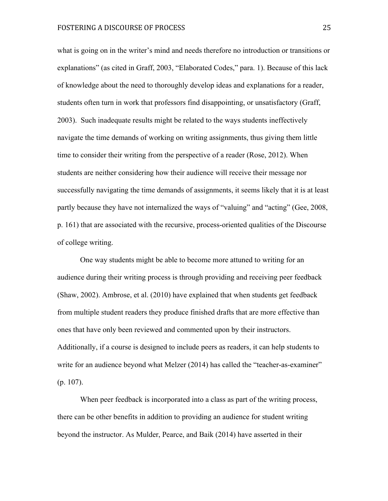what is going on in the writer's mind and needs therefore no introduction or transitions or explanations" (as cited in Graff, 2003, "Elaborated Codes," para. 1). Because of this lack of knowledge about the need to thoroughly develop ideas and explanations for a reader, students often turn in work that professors find disappointing, or unsatisfactory (Graff, 2003). Such inadequate results might be related to the ways students ineffectively navigate the time demands of working on writing assignments, thus giving them little time to consider their writing from the perspective of a reader (Rose, 2012). When students are neither considering how their audience will receive their message nor successfully navigating the time demands of assignments, it seems likely that it is at least partly because they have not internalized the ways of "valuing" and "acting" (Gee, 2008, p. 161) that are associated with the recursive, process-oriented qualities of the Discourse of college writing.

One way students might be able to become more attuned to writing for an audience during their writing process is through providing and receiving peer feedback (Shaw, 2002). Ambrose, et al. (2010) have explained that when students get feedback from multiple student readers they produce finished drafts that are more effective than ones that have only been reviewed and commented upon by their instructors. Additionally, if a course is designed to include peers as readers, it can help students to write for an audience beyond what Melzer (2014) has called the "teacher-as-examiner" (p. 107).

When peer feedback is incorporated into a class as part of the writing process, there can be other benefits in addition to providing an audience for student writing beyond the instructor. As Mulder, Pearce, and Baik (2014) have asserted in their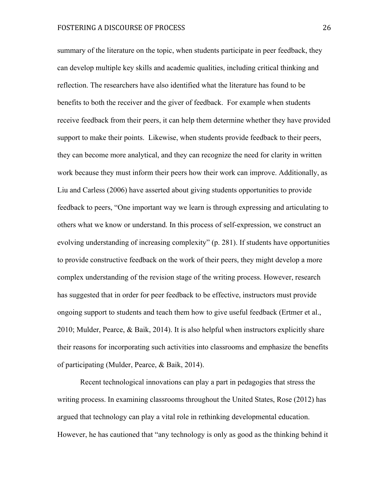summary of the literature on the topic, when students participate in peer feedback, they can develop multiple key skills and academic qualities, including critical thinking and reflection. The researchers have also identified what the literature has found to be benefits to both the receiver and the giver of feedback. For example when students receive feedback from their peers, it can help them determine whether they have provided support to make their points. Likewise, when students provide feedback to their peers, they can become more analytical, and they can recognize the need for clarity in written work because they must inform their peers how their work can improve. Additionally, as Liu and Carless (2006) have asserted about giving students opportunities to provide feedback to peers, "One important way we learn is through expressing and articulating to others what we know or understand. In this process of self-expression, we construct an evolving understanding of increasing complexity" (p. 281). If students have opportunities to provide constructive feedback on the work of their peers, they might develop a more complex understanding of the revision stage of the writing process. However, research has suggested that in order for peer feedback to be effective, instructors must provide ongoing support to students and teach them how to give useful feedback (Ertmer et al., 2010; Mulder, Pearce, & Baik, 2014). It is also helpful when instructors explicitly share their reasons for incorporating such activities into classrooms and emphasize the benefits of participating (Mulder, Pearce, & Baik, 2014).

Recent technological innovations can play a part in pedagogies that stress the writing process. In examining classrooms throughout the United States, Rose (2012) has argued that technology can play a vital role in rethinking developmental education. However, he has cautioned that "any technology is only as good as the thinking behind it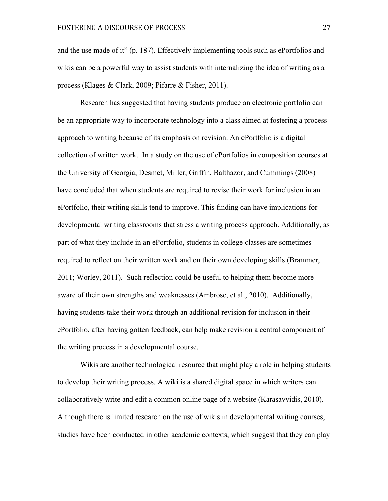and the use made of it" (p. 187). Effectively implementing tools such as ePortfolios and wikis can be a powerful way to assist students with internalizing the idea of writing as a process (Klages & Clark, 2009; Pifarre & Fisher, 2011).

Research has suggested that having students produce an electronic portfolio can be an appropriate way to incorporate technology into a class aimed at fostering a process approach to writing because of its emphasis on revision. An ePortfolio is a digital collection of written work. In a study on the use of ePortfolios in composition courses at the University of Georgia, Desmet, Miller, Griffin, Balthazor, and Cummings (2008) have concluded that when students are required to revise their work for inclusion in an ePortfolio, their writing skills tend to improve. This finding can have implications for developmental writing classrooms that stress a writing process approach. Additionally, as part of what they include in an ePortfolio, students in college classes are sometimes required to reflect on their written work and on their own developing skills (Brammer, 2011; Worley, 2011). Such reflection could be useful to helping them become more aware of their own strengths and weaknesses (Ambrose, et al., 2010). Additionally, having students take their work through an additional revision for inclusion in their ePortfolio, after having gotten feedback, can help make revision a central component of the writing process in a developmental course.

Wikis are another technological resource that might play a role in helping students to develop their writing process. A wiki is a shared digital space in which writers can collaboratively write and edit a common online page of a website (Karasavvidis, 2010). Although there is limited research on the use of wikis in developmental writing courses, studies have been conducted in other academic contexts, which suggest that they can play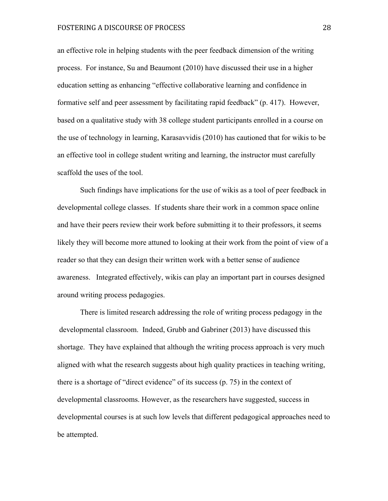# FOSTERING A DISCOURSE OF PROCESS 28

an effective role in helping students with the peer feedback dimension of the writing process. For instance, Su and Beaumont (2010) have discussed their use in a higher education setting as enhancing "effective collaborative learning and confidence in formative self and peer assessment by facilitating rapid feedback" (p. 417). However, based on a qualitative study with 38 college student participants enrolled in a course on the use of technology in learning, Karasavvidis (2010) has cautioned that for wikis to be an effective tool in college student writing and learning, the instructor must carefully scaffold the uses of the tool.

Such findings have implications for the use of wikis as a tool of peer feedback in developmental college classes. If students share their work in a common space online and have their peers review their work before submitting it to their professors, it seems likely they will become more attuned to looking at their work from the point of view of a reader so that they can design their written work with a better sense of audience awareness. Integrated effectively, wikis can play an important part in courses designed around writing process pedagogies.

There is limited research addressing the role of writing process pedagogy in the developmental classroom. Indeed, Grubb and Gabriner (2013) have discussed this shortage. They have explained that although the writing process approach is very much aligned with what the research suggests about high quality practices in teaching writing, there is a shortage of "direct evidence" of its success (p. 75) in the context of developmental classrooms. However, as the researchers have suggested, success in developmental courses is at such low levels that different pedagogical approaches need to be attempted.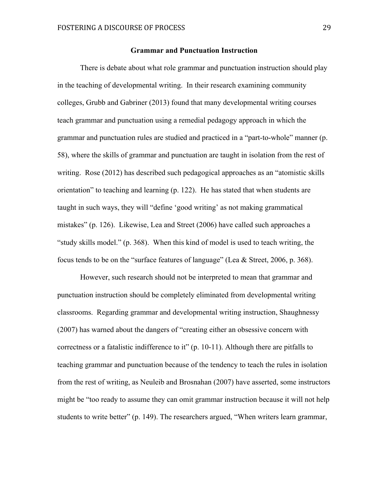#### **Grammar and Punctuation Instruction**

There is debate about what role grammar and punctuation instruction should play in the teaching of developmental writing. In their research examining community colleges, Grubb and Gabriner (2013) found that many developmental writing courses teach grammar and punctuation using a remedial pedagogy approach in which the grammar and punctuation rules are studied and practiced in a "part-to-whole" manner (p. 58), where the skills of grammar and punctuation are taught in isolation from the rest of writing. Rose (2012) has described such pedagogical approaches as an "atomistic skills orientation" to teaching and learning (p. 122). He has stated that when students are taught in such ways, they will "define 'good writing' as not making grammatical mistakes" (p. 126). Likewise, Lea and Street (2006) have called such approaches a "study skills model." (p. 368). When this kind of model is used to teach writing, the focus tends to be on the "surface features of language" (Lea & Street, 2006, p. 368).

However, such research should not be interpreted to mean that grammar and punctuation instruction should be completely eliminated from developmental writing classrooms. Regarding grammar and developmental writing instruction, Shaughnessy (2007) has warned about the dangers of "creating either an obsessive concern with correctness or a fatalistic indifference to it" (p. 10-11). Although there are pitfalls to teaching grammar and punctuation because of the tendency to teach the rules in isolation from the rest of writing, as Neuleib and Brosnahan (2007) have asserted, some instructors might be "too ready to assume they can omit grammar instruction because it will not help students to write better" (p. 149). The researchers argued, "When writers learn grammar,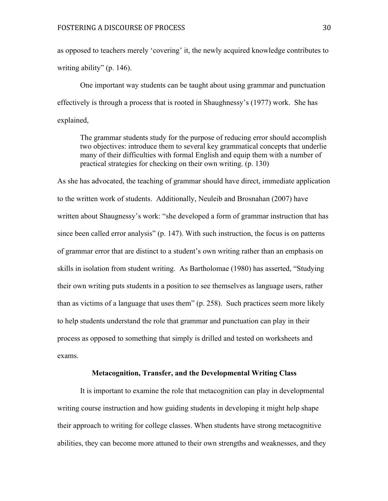as opposed to teachers merely 'covering' it, the newly acquired knowledge contributes to writing ability" (p. 146).

One important way students can be taught about using grammar and punctuation effectively is through a process that is rooted in Shaughnessy's (1977) work. She has explained,

The grammar students study for the purpose of reducing error should accomplish two objectives: introduce them to several key grammatical concepts that underlie many of their difficulties with formal English and equip them with a number of practical strategies for checking on their own writing. (p. 130)

As she has advocated, the teaching of grammar should have direct, immediate application to the written work of students. Additionally, Neuleib and Brosnahan (2007) have written about Shaugnessy's work: "she developed a form of grammar instruction that has since been called error analysis" (p. 147). With such instruction, the focus is on patterns of grammar error that are distinct to a student's own writing rather than an emphasis on skills in isolation from student writing. As Bartholomae (1980) has asserted, "Studying their own writing puts students in a position to see themselves as language users, rather than as victims of a language that uses them" (p. 258). Such practices seem more likely to help students understand the role that grammar and punctuation can play in their process as opposed to something that simply is drilled and tested on worksheets and exams.

## **Metacognition, Transfer, and the Developmental Writing Class**

It is important to examine the role that metacognition can play in developmental writing course instruction and how guiding students in developing it might help shape their approach to writing for college classes. When students have strong metacognitive abilities, they can become more attuned to their own strengths and weaknesses, and they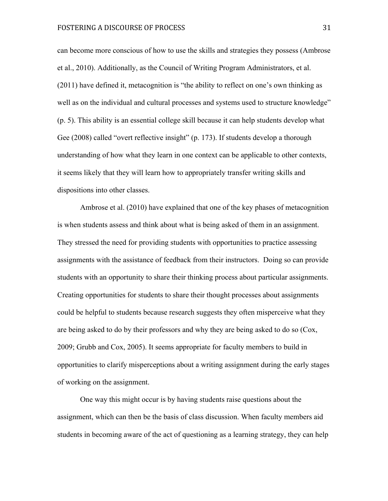can become more conscious of how to use the skills and strategies they possess (Ambrose et al., 2010). Additionally, as the Council of Writing Program Administrators, et al. (2011) have defined it, metacognition is "the ability to reflect on one's own thinking as well as on the individual and cultural processes and systems used to structure knowledge" (p. 5). This ability is an essential college skill because it can help students develop what Gee (2008) called "overt reflective insight" (p. 173). If students develop a thorough understanding of how what they learn in one context can be applicable to other contexts, it seems likely that they will learn how to appropriately transfer writing skills and dispositions into other classes.

Ambrose et al. (2010) have explained that one of the key phases of metacognition is when students assess and think about what is being asked of them in an assignment. They stressed the need for providing students with opportunities to practice assessing assignments with the assistance of feedback from their instructors. Doing so can provide students with an opportunity to share their thinking process about particular assignments. Creating opportunities for students to share their thought processes about assignments could be helpful to students because research suggests they often misperceive what they are being asked to do by their professors and why they are being asked to do so (Cox, 2009; Grubb and Cox, 2005). It seems appropriate for faculty members to build in opportunities to clarify misperceptions about a writing assignment during the early stages of working on the assignment.

One way this might occur is by having students raise questions about the assignment, which can then be the basis of class discussion. When faculty members aid students in becoming aware of the act of questioning as a learning strategy, they can help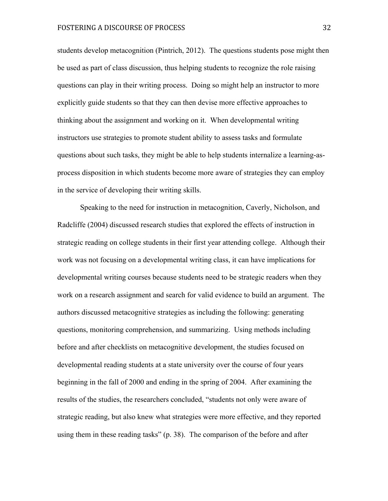students develop metacognition (Pintrich, 2012). The questions students pose might then be used as part of class discussion, thus helping students to recognize the role raising questions can play in their writing process. Doing so might help an instructor to more explicitly guide students so that they can then devise more effective approaches to thinking about the assignment and working on it. When developmental writing instructors use strategies to promote student ability to assess tasks and formulate questions about such tasks, they might be able to help students internalize a learning-asprocess disposition in which students become more aware of strategies they can employ in the service of developing their writing skills.

Speaking to the need for instruction in metacognition, Caverly, Nicholson, and Radcliffe (2004) discussed research studies that explored the effects of instruction in strategic reading on college students in their first year attending college. Although their work was not focusing on a developmental writing class, it can have implications for developmental writing courses because students need to be strategic readers when they work on a research assignment and search for valid evidence to build an argument. The authors discussed metacognitive strategies as including the following: generating questions, monitoring comprehension, and summarizing. Using methods including before and after checklists on metacognitive development, the studies focused on developmental reading students at a state university over the course of four years beginning in the fall of 2000 and ending in the spring of 2004. After examining the results of the studies, the researchers concluded, "students not only were aware of strategic reading, but also knew what strategies were more effective, and they reported using them in these reading tasks" (p. 38). The comparison of the before and after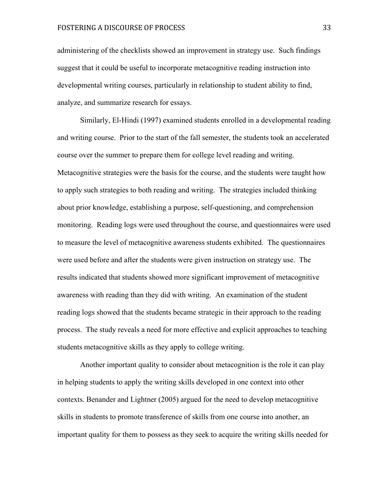administering of the checklists showed an improvement in strategy use. Such findings suggest that it could be useful to incorporate metacognitive reading instruction into developmental writing courses, particularly in relationship to student ability to find, analyze, and summarize research for essays.

Similarly, El-Hindi (1997) examined students enrolled in a developmental reading and writing course. Prior to the start of the fall semester, the students took an accelerated course over the summer to prepare them for college level reading and writing. Metacognitive strategies were the basis for the course, and the students were taught how to apply such strategies to both reading and writing. The strategies included thinking about prior knowledge, establishing a purpose, self-questioning, and comprehension monitoring. Reading logs were used throughout the course, and questionnaires were used to measure the level of metacognitive awareness students exhibited. The questionnaires were used before and after the students were given instruction on strategy use. The results indicated that students showed more significant improvement of metacognitive awareness with reading than they did with writing. An examination of the student reading logs showed that the students became strategic in their approach to the reading process. The study reveals a need for more effective and explicit approaches to teaching students metacognitive skills as they apply to college writing.

Another important quality to consider about metacognition is the role it can play in helping students to apply the writing skills developed in one context into other contexts. Benander and Lightner (2005) argued for the need to develop metacognitive skills in students to promote transference of skills from one course into another, an important quality for them to possess as they seek to acquire the writing skills needed for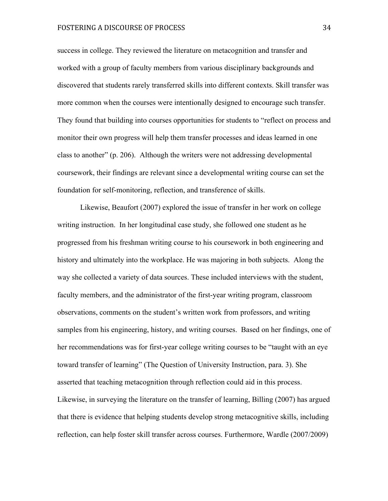# FOSTERING A DISCOURSE OF PROCESS 34

success in college. They reviewed the literature on metacognition and transfer and worked with a group of faculty members from various disciplinary backgrounds and discovered that students rarely transferred skills into different contexts. Skill transfer was more common when the courses were intentionally designed to encourage such transfer. They found that building into courses opportunities for students to "reflect on process and monitor their own progress will help them transfer processes and ideas learned in one class to another" (p. 206). Although the writers were not addressing developmental coursework, their findings are relevant since a developmental writing course can set the foundation for self-monitoring, reflection, and transference of skills.

Likewise, Beaufort (2007) explored the issue of transfer in her work on college writing instruction. In her longitudinal case study, she followed one student as he progressed from his freshman writing course to his coursework in both engineering and history and ultimately into the workplace. He was majoring in both subjects. Along the way she collected a variety of data sources. These included interviews with the student, faculty members, and the administrator of the first-year writing program, classroom observations, comments on the student's written work from professors, and writing samples from his engineering, history, and writing courses. Based on her findings, one of her recommendations was for first-year college writing courses to be "taught with an eye toward transfer of learning" (The Question of University Instruction, para. 3). She asserted that teaching metacognition through reflection could aid in this process. Likewise, in surveying the literature on the transfer of learning, Billing (2007) has argued that there is evidence that helping students develop strong metacognitive skills, including reflection, can help foster skill transfer across courses. Furthermore, Wardle (2007/2009)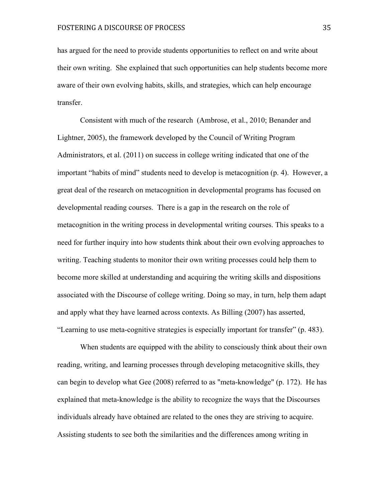has argued for the need to provide students opportunities to reflect on and write about their own writing. She explained that such opportunities can help students become more aware of their own evolving habits, skills, and strategies, which can help encourage transfer.

Consistent with much of the research (Ambrose, et al., 2010; Benander and Lightner, 2005), the framework developed by the Council of Writing Program Administrators, et al. (2011) on success in college writing indicated that one of the important "habits of mind" students need to develop is metacognition (p. 4). However, a great deal of the research on metacognition in developmental programs has focused on developmental reading courses. There is a gap in the research on the role of metacognition in the writing process in developmental writing courses. This speaks to a need for further inquiry into how students think about their own evolving approaches to writing. Teaching students to monitor their own writing processes could help them to become more skilled at understanding and acquiring the writing skills and dispositions associated with the Discourse of college writing. Doing so may, in turn, help them adapt and apply what they have learned across contexts. As Billing (2007) has asserted, "Learning to use meta-cognitive strategies is especially important for transfer" (p. 483).

When students are equipped with the ability to consciously think about their own reading, writing, and learning processes through developing metacognitive skills, they can begin to develop what Gee (2008) referred to as "meta-knowledge" (p. 172). He has explained that meta-knowledge is the ability to recognize the ways that the Discourses individuals already have obtained are related to the ones they are striving to acquire. Assisting students to see both the similarities and the differences among writing in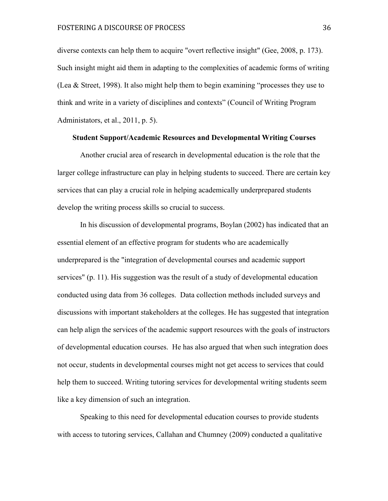diverse contexts can help them to acquire "overt reflective insight" (Gee, 2008, p. 173). Such insight might aid them in adapting to the complexities of academic forms of writing (Lea & Street, 1998). It also might help them to begin examining "processes they use to think and write in a variety of disciplines and contexts" (Council of Writing Program Administators, et al., 2011, p. 5).

## **Student Support/Academic Resources and Developmental Writing Courses**

Another crucial area of research in developmental education is the role that the larger college infrastructure can play in helping students to succeed. There are certain key services that can play a crucial role in helping academically underprepared students develop the writing process skills so crucial to success.

In his discussion of developmental programs, Boylan (2002) has indicated that an essential element of an effective program for students who are academically underprepared is the "integration of developmental courses and academic support services" (p. 11). His suggestion was the result of a study of developmental education conducted using data from 36 colleges. Data collection methods included surveys and discussions with important stakeholders at the colleges. He has suggested that integration can help align the services of the academic support resources with the goals of instructors of developmental education courses. He has also argued that when such integration does not occur, students in developmental courses might not get access to services that could help them to succeed. Writing tutoring services for developmental writing students seem like a key dimension of such an integration.

Speaking to this need for developmental education courses to provide students with access to tutoring services, Callahan and Chumney (2009) conducted a qualitative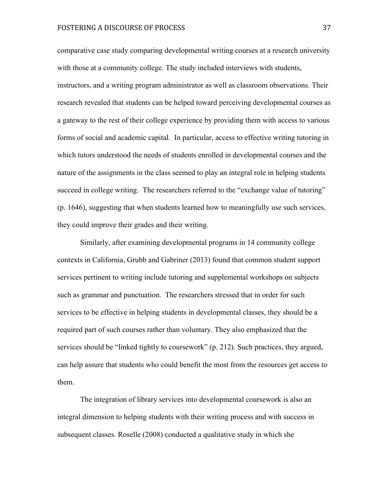# FOSTERING A DISCOURSE OF PROCESS 37

comparative case study comparing developmental writing courses at a research university with those at a community college. The study included interviews with students, instructors, and a writing program administrator as well as classroom observations. Their research revealed that students can be helped toward perceiving developmental courses as a gateway to the rest of their college experience by providing them with access to various forms of social and academic capital. In particular, access to effective writing tutoring in which tutors understood the needs of students enrolled in developmental courses and the nature of the assignments in the class seemed to play an integral role in helping students succeed in college writing. The researchers referred to the "exchange value of tutoring" (p. 1646), suggesting that when students learned how to meaningfully use such services, they could improve their grades and their writing.

Similarly, after examining developmental programs in 14 community college contexts in California, Grubb and Gabriner (2013) found that common student support services pertinent to writing include tutoring and supplemental workshops on subjects such as grammar and punctuation. The researchers stressed that in order for such services to be effective in helping students in developmental classes, they should be a required part of such courses rather than voluntary. They also emphasized that the services should be "linked tightly to coursework" (p. 212). Such practices, they argued, can help assure that students who could benefit the most from the resources get access to them.

The integration of library services into developmental coursework is also an integral dimension to helping students with their writing process and with success in subsequent classes. Roselle (2008) conducted a qualitative study in which she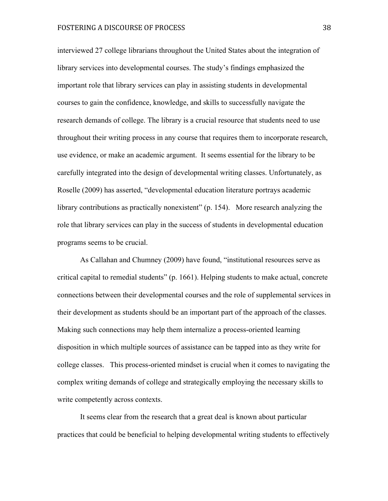interviewed 27 college librarians throughout the United States about the integration of library services into developmental courses. The study's findings emphasized the important role that library services can play in assisting students in developmental courses to gain the confidence, knowledge, and skills to successfully navigate the research demands of college. The library is a crucial resource that students need to use throughout their writing process in any course that requires them to incorporate research, use evidence, or make an academic argument. It seems essential for the library to be carefully integrated into the design of developmental writing classes. Unfortunately, as Roselle (2009) has asserted, "developmental education literature portrays academic library contributions as practically nonexistent" (p. 154). More research analyzing the role that library services can play in the success of students in developmental education programs seems to be crucial.

As Callahan and Chumney (2009) have found, "institutional resources serve as critical capital to remedial students" (p. 1661). Helping students to make actual, concrete connections between their developmental courses and the role of supplemental services in their development as students should be an important part of the approach of the classes. Making such connections may help them internalize a process-oriented learning disposition in which multiple sources of assistance can be tapped into as they write for college classes. This process-oriented mindset is crucial when it comes to navigating the complex writing demands of college and strategically employing the necessary skills to write competently across contexts.

It seems clear from the research that a great deal is known about particular practices that could be beneficial to helping developmental writing students to effectively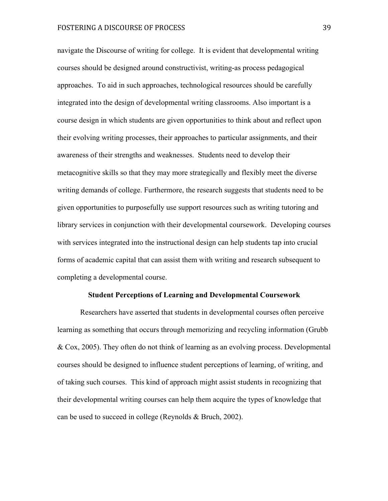navigate the Discourse of writing for college. It is evident that developmental writing courses should be designed around constructivist, writing-as process pedagogical approaches. To aid in such approaches, technological resources should be carefully integrated into the design of developmental writing classrooms. Also important is a course design in which students are given opportunities to think about and reflect upon their evolving writing processes, their approaches to particular assignments, and their awareness of their strengths and weaknesses. Students need to develop their metacognitive skills so that they may more strategically and flexibly meet the diverse writing demands of college. Furthermore, the research suggests that students need to be given opportunities to purposefully use support resources such as writing tutoring and library services in conjunction with their developmental coursework. Developing courses with services integrated into the instructional design can help students tap into crucial forms of academic capital that can assist them with writing and research subsequent to completing a developmental course.

#### **Student Perceptions of Learning and Developmental Coursework**

Researchers have asserted that students in developmental courses often perceive learning as something that occurs through memorizing and recycling information (Grubb & Cox, 2005). They often do not think of learning as an evolving process. Developmental courses should be designed to influence student perceptions of learning, of writing, and of taking such courses. This kind of approach might assist students in recognizing that their developmental writing courses can help them acquire the types of knowledge that can be used to succeed in college (Reynolds & Bruch, 2002).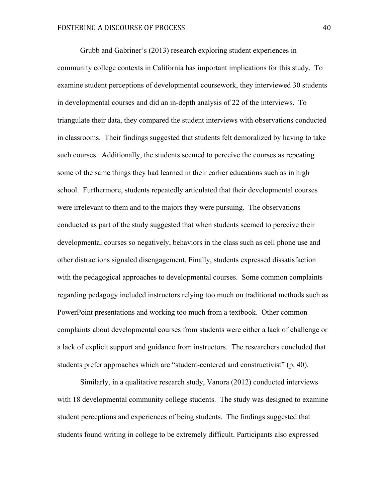Grubb and Gabriner's (2013) research exploring student experiences in community college contexts in California has important implications for this study. To examine student perceptions of developmental coursework, they interviewed 30 students in developmental courses and did an in-depth analysis of 22 of the interviews. To triangulate their data, they compared the student interviews with observations conducted in classrooms. Their findings suggested that students felt demoralized by having to take such courses. Additionally, the students seemed to perceive the courses as repeating some of the same things they had learned in their earlier educations such as in high school. Furthermore, students repeatedly articulated that their developmental courses were irrelevant to them and to the majors they were pursuing. The observations conducted as part of the study suggested that when students seemed to perceive their developmental courses so negatively, behaviors in the class such as cell phone use and other distractions signaled disengagement. Finally, students expressed dissatisfaction with the pedagogical approaches to developmental courses. Some common complaints regarding pedagogy included instructors relying too much on traditional methods such as PowerPoint presentations and working too much from a textbook. Other common complaints about developmental courses from students were either a lack of challenge or a lack of explicit support and guidance from instructors. The researchers concluded that students prefer approaches which are "student-centered and constructivist" (p. 40).

Similarly, in a qualitative research study, Vanora (2012) conducted interviews with 18 developmental community college students. The study was designed to examine student perceptions and experiences of being students. The findings suggested that students found writing in college to be extremely difficult. Participants also expressed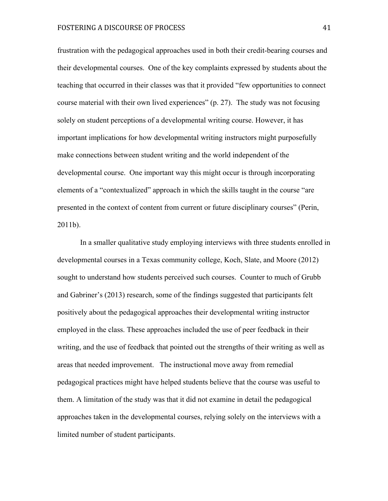frustration with the pedagogical approaches used in both their credit-bearing courses and their developmental courses. One of the key complaints expressed by students about the teaching that occurred in their classes was that it provided "few opportunities to connect course material with their own lived experiences" (p. 27). The study was not focusing solely on student perceptions of a developmental writing course. However, it has important implications for how developmental writing instructors might purposefully make connections between student writing and the world independent of the developmental course. One important way this might occur is through incorporating elements of a "contextualized" approach in which the skills taught in the course "are presented in the context of content from current or future disciplinary courses" (Perin, 2011b).

In a smaller qualitative study employing interviews with three students enrolled in developmental courses in a Texas community college, Koch, Slate, and Moore (2012) sought to understand how students perceived such courses. Counter to much of Grubb and Gabriner's (2013) research, some of the findings suggested that participants felt positively about the pedagogical approaches their developmental writing instructor employed in the class. These approaches included the use of peer feedback in their writing, and the use of feedback that pointed out the strengths of their writing as well as areas that needed improvement. The instructional move away from remedial pedagogical practices might have helped students believe that the course was useful to them. A limitation of the study was that it did not examine in detail the pedagogical approaches taken in the developmental courses, relying solely on the interviews with a limited number of student participants.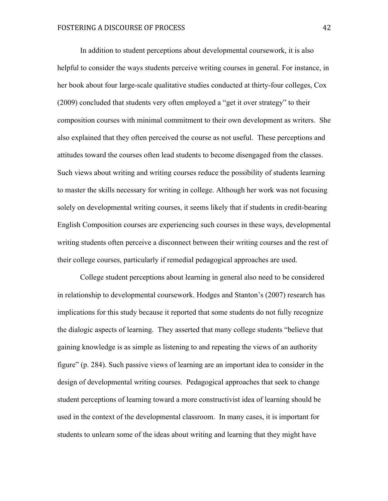In addition to student perceptions about developmental coursework, it is also helpful to consider the ways students perceive writing courses in general. For instance, in her book about four large-scale qualitative studies conducted at thirty-four colleges, Cox (2009) concluded that students very often employed a "get it over strategy" to their composition courses with minimal commitment to their own development as writers. She also explained that they often perceived the course as not useful. These perceptions and attitudes toward the courses often lead students to become disengaged from the classes. Such views about writing and writing courses reduce the possibility of students learning to master the skills necessary for writing in college. Although her work was not focusing solely on developmental writing courses, it seems likely that if students in credit-bearing English Composition courses are experiencing such courses in these ways, developmental writing students often perceive a disconnect between their writing courses and the rest of their college courses, particularly if remedial pedagogical approaches are used.

College student perceptions about learning in general also need to be considered in relationship to developmental coursework. Hodges and Stanton's (2007) research has implications for this study because it reported that some students do not fully recognize the dialogic aspects of learning. They asserted that many college students "believe that gaining knowledge is as simple as listening to and repeating the views of an authority figure" (p. 284). Such passive views of learning are an important idea to consider in the design of developmental writing courses. Pedagogical approaches that seek to change student perceptions of learning toward a more constructivist idea of learning should be used in the context of the developmental classroom. In many cases, it is important for students to unlearn some of the ideas about writing and learning that they might have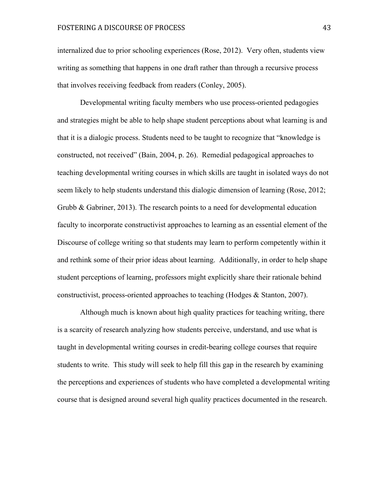internalized due to prior schooling experiences (Rose, 2012). Very often, students view writing as something that happens in one draft rather than through a recursive process that involves receiving feedback from readers (Conley, 2005).

Developmental writing faculty members who use process-oriented pedagogies and strategies might be able to help shape student perceptions about what learning is and that it is a dialogic process. Students need to be taught to recognize that "knowledge is constructed, not received" (Bain, 2004, p. 26). Remedial pedagogical approaches to teaching developmental writing courses in which skills are taught in isolated ways do not seem likely to help students understand this dialogic dimension of learning (Rose, 2012; Grubb & Gabriner, 2013). The research points to a need for developmental education faculty to incorporate constructivist approaches to learning as an essential element of the Discourse of college writing so that students may learn to perform competently within it and rethink some of their prior ideas about learning. Additionally, in order to help shape student perceptions of learning, professors might explicitly share their rationale behind constructivist, process-oriented approaches to teaching (Hodges & Stanton, 2007).

Although much is known about high quality practices for teaching writing, there is a scarcity of research analyzing how students perceive, understand, and use what is taught in developmental writing courses in credit-bearing college courses that require students to write. This study will seek to help fill this gap in the research by examining the perceptions and experiences of students who have completed a developmental writing course that is designed around several high quality practices documented in the research.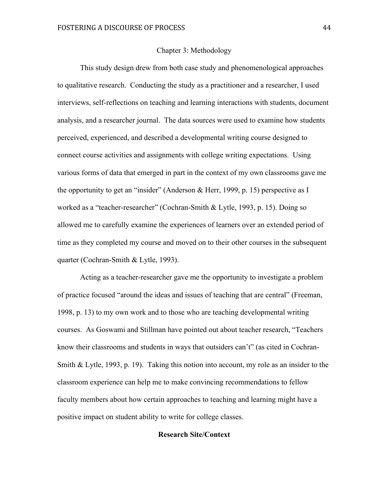#### Chapter 3: Methodology

This study design drew from both case study and phenomenological approaches to qualitative research. Conducting the study as a practitioner and a researcher, I used interviews, self-reflections on teaching and learning interactions with students, document analysis, and a researcher journal. The data sources were used to examine how students perceived, experienced, and described a developmental writing course designed to connect course activities and assignments with college writing expectations. Using various forms of data that emerged in part in the context of my own classrooms gave me the opportunity to get an "insider" (Anderson & Herr, 1999, p. 15) perspective as I worked as a "teacher-researcher" (Cochran-Smith & Lytle, 1993, p. 15). Doing so allowed me to carefully examine the experiences of learners over an extended period of time as they completed my course and moved on to their other courses in the subsequent quarter (Cochran-Smith & Lytle, 1993).

Acting as a teacher-researcher gave me the opportunity to investigate a problem of practice focused "around the ideas and issues of teaching that are central" (Freeman, 1998, p. 13) to my own work and to those who are teaching developmental writing courses. As Goswami and Stillman have pointed out about teacher research, "Teachers know their classrooms and students in ways that outsiders can't" (as cited in Cochran-Smith & Lytle, 1993, p. 19). Taking this notion into account, my role as an insider to the classroom experience can help me to make convincing recommendations to fellow faculty members about how certain approaches to teaching and learning might have a positive impact on student ability to write for college classes.

## **Research Site/Context**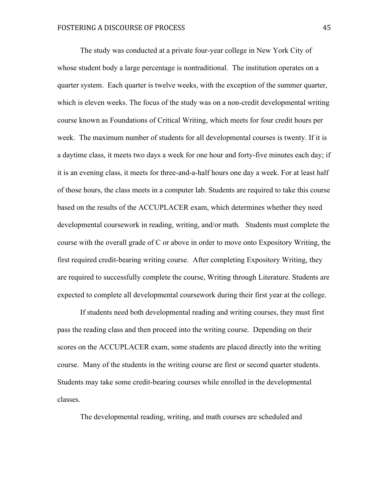The study was conducted at a private four-year college in New York City of whose student body a large percentage is nontraditional. The institution operates on a quarter system. Each quarter is twelve weeks, with the exception of the summer quarter, which is eleven weeks. The focus of the study was on a non-credit developmental writing course known as Foundations of Critical Writing, which meets for four credit hours per week. The maximum number of students for all developmental courses is twenty. If it is a daytime class, it meets two days a week for one hour and forty-five minutes each day; if it is an evening class, it meets for three-and-a-half hours one day a week. For at least half of those hours, the class meets in a computer lab. Students are required to take this course based on the results of the ACCUPLACER exam, which determines whether they need developmental coursework in reading, writing, and/or math. Students must complete the course with the overall grade of C or above in order to move onto Expository Writing, the first required credit-bearing writing course. After completing Expository Writing, they are required to successfully complete the course, Writing through Literature. Students are expected to complete all developmental coursework during their first year at the college.

If students need both developmental reading and writing courses, they must first pass the reading class and then proceed into the writing course. Depending on their scores on the ACCUPLACER exam, some students are placed directly into the writing course. Many of the students in the writing course are first or second quarter students. Students may take some credit-bearing courses while enrolled in the developmental classes.

The developmental reading, writing, and math courses are scheduled and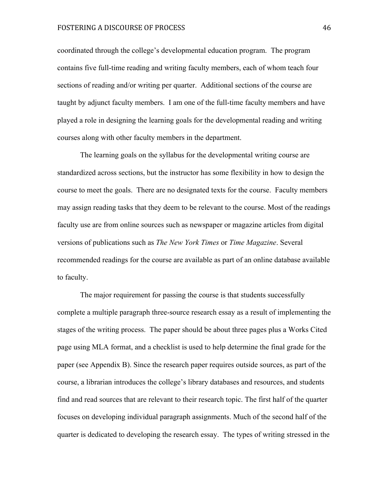# FOSTERING A DISCOURSE OF PROCESS 46

coordinated through the college's developmental education program. The program contains five full-time reading and writing faculty members, each of whom teach four sections of reading and/or writing per quarter. Additional sections of the course are taught by adjunct faculty members. I am one of the full-time faculty members and have played a role in designing the learning goals for the developmental reading and writing courses along with other faculty members in the department.

The learning goals on the syllabus for the developmental writing course are standardized across sections, but the instructor has some flexibility in how to design the course to meet the goals. There are no designated texts for the course. Faculty members may assign reading tasks that they deem to be relevant to the course. Most of the readings faculty use are from online sources such as newspaper or magazine articles from digital versions of publications such as *The New York Times* or *Time Magazine*. Several recommended readings for the course are available as part of an online database available to faculty.

The major requirement for passing the course is that students successfully complete a multiple paragraph three-source research essay as a result of implementing the stages of the writing process. The paper should be about three pages plus a Works Cited page using MLA format, and a checklist is used to help determine the final grade for the paper (see Appendix B). Since the research paper requires outside sources, as part of the course, a librarian introduces the college's library databases and resources, and students find and read sources that are relevant to their research topic. The first half of the quarter focuses on developing individual paragraph assignments. Much of the second half of the quarter is dedicated to developing the research essay. The types of writing stressed in the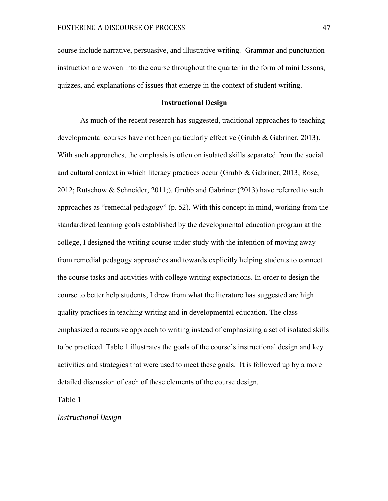course include narrative, persuasive, and illustrative writing. Grammar and punctuation instruction are woven into the course throughout the quarter in the form of mini lessons, quizzes, and explanations of issues that emerge in the context of student writing.

## **Instructional Design**

As much of the recent research has suggested, traditional approaches to teaching developmental courses have not been particularly effective (Grubb & Gabriner, 2013). With such approaches, the emphasis is often on isolated skills separated from the social and cultural context in which literacy practices occur (Grubb & Gabriner, 2013; Rose, 2012; Rutschow & Schneider, 2011;). Grubb and Gabriner (2013) have referred to such approaches as "remedial pedagogy" (p. 52). With this concept in mind, working from the standardized learning goals established by the developmental education program at the college, I designed the writing course under study with the intention of moving away from remedial pedagogy approaches and towards explicitly helping students to connect the course tasks and activities with college writing expectations. In order to design the course to better help students, I drew from what the literature has suggested are high quality practices in teaching writing and in developmental education. The class emphasized a recursive approach to writing instead of emphasizing a set of isolated skills to be practiced. Table 1 illustrates the goals of the course's instructional design and key activities and strategies that were used to meet these goals. It is followed up by a more detailed discussion of each of these elements of the course design.

Table 1

*Instructional 
Design*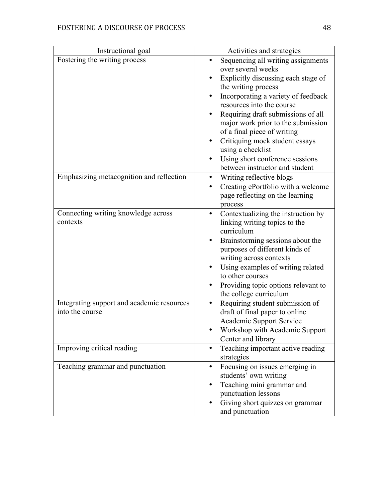| Instructional goal                                            | Activities and strategies                                                                                                                                                                                                                                                                                                                                                                                                         |
|---------------------------------------------------------------|-----------------------------------------------------------------------------------------------------------------------------------------------------------------------------------------------------------------------------------------------------------------------------------------------------------------------------------------------------------------------------------------------------------------------------------|
| Fostering the writing process                                 | Sequencing all writing assignments<br>over several weeks<br>Explicitly discussing each stage of<br>the writing process<br>Incorporating a variety of feedback<br>resources into the course<br>Requiring draft submissions of all<br>major work prior to the submission<br>of a final piece of writing<br>Critiquing mock student essays<br>using a checklist<br>Using short conference sessions<br>between instructor and student |
| Emphasizing metacognition and reflection                      | Writing reflective blogs<br>٠<br>Creating ePortfolio with a welcome<br>page reflecting on the learning<br>process                                                                                                                                                                                                                                                                                                                 |
| Connecting writing knowledge across<br>contexts               | Contextualizing the instruction by<br>٠<br>linking writing topics to the<br>curriculum<br>Brainstorming sessions about the<br>purposes of different kinds of<br>writing across contexts<br>Using examples of writing related<br>to other courses<br>Providing topic options relevant to<br>the college curriculum                                                                                                                 |
| Integrating support and academic resources<br>into the course | Requiring student submission of<br>draft of final paper to online<br>Academic Support Service<br>Workshop with Academic Support<br>Center and library                                                                                                                                                                                                                                                                             |
| Improving critical reading                                    | Teaching important active reading<br>$\bullet$<br>strategies                                                                                                                                                                                                                                                                                                                                                                      |
| Teaching grammar and punctuation                              | Focusing on issues emerging in<br>٠<br>students' own writing<br>Teaching mini grammar and<br>punctuation lessons<br>Giving short quizzes on grammar<br>and punctuation                                                                                                                                                                                                                                                            |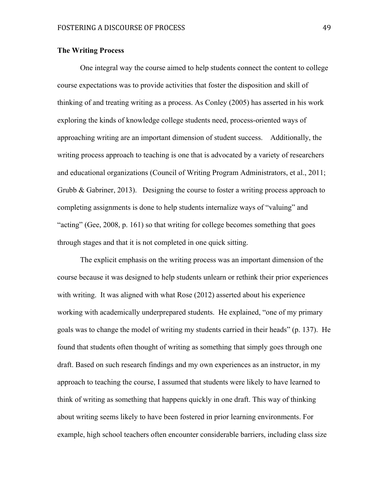## **The Writing Process**

One integral way the course aimed to help students connect the content to college course expectations was to provide activities that foster the disposition and skill of thinking of and treating writing as a process. As Conley (2005) has asserted in his work exploring the kinds of knowledge college students need, process-oriented ways of approaching writing are an important dimension of student success. Additionally, the writing process approach to teaching is one that is advocated by a variety of researchers and educational organizations (Council of Writing Program Administrators, et al., 2011; Grubb & Gabriner, 2013). Designing the course to foster a writing process approach to completing assignments is done to help students internalize ways of "valuing" and "acting" (Gee, 2008, p. 161) so that writing for college becomes something that goes through stages and that it is not completed in one quick sitting.

The explicit emphasis on the writing process was an important dimension of the course because it was designed to help students unlearn or rethink their prior experiences with writing. It was aligned with what Rose (2012) asserted about his experience working with academically underprepared students. He explained, "one of my primary goals was to change the model of writing my students carried in their heads" (p. 137). He found that students often thought of writing as something that simply goes through one draft. Based on such research findings and my own experiences as an instructor, in my approach to teaching the course, I assumed that students were likely to have learned to think of writing as something that happens quickly in one draft. This way of thinking about writing seems likely to have been fostered in prior learning environments. For example, high school teachers often encounter considerable barriers, including class size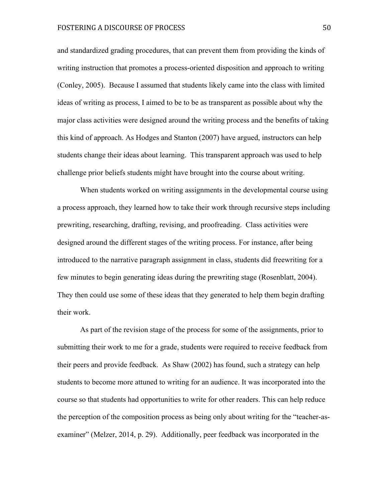and standardized grading procedures, that can prevent them from providing the kinds of writing instruction that promotes a process-oriented disposition and approach to writing (Conley, 2005). Because I assumed that students likely came into the class with limited ideas of writing as process, I aimed to be to be as transparent as possible about why the major class activities were designed around the writing process and the benefits of taking this kind of approach. As Hodges and Stanton (2007) have argued, instructors can help students change their ideas about learning. This transparent approach was used to help challenge prior beliefs students might have brought into the course about writing.

When students worked on writing assignments in the developmental course using a process approach, they learned how to take their work through recursive steps including prewriting, researching, drafting, revising, and proofreading. Class activities were designed around the different stages of the writing process. For instance, after being introduced to the narrative paragraph assignment in class, students did freewriting for a few minutes to begin generating ideas during the prewriting stage (Rosenblatt, 2004). They then could use some of these ideas that they generated to help them begin drafting their work.

As part of the revision stage of the process for some of the assignments, prior to submitting their work to me for a grade, students were required to receive feedback from their peers and provide feedback. As Shaw (2002) has found, such a strategy can help students to become more attuned to writing for an audience. It was incorporated into the course so that students had opportunities to write for other readers. This can help reduce the perception of the composition process as being only about writing for the "teacher-asexaminer" (Melzer, 2014, p. 29). Additionally, peer feedback was incorporated in the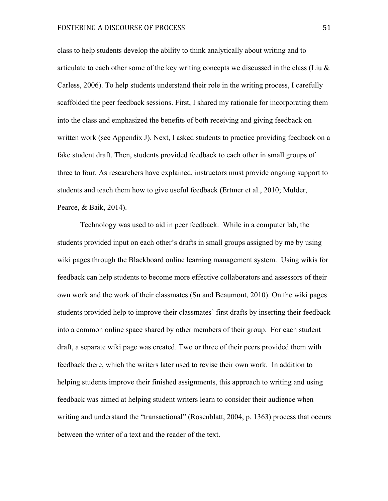# FOSTERING A DISCOURSE OF PROCESS 51

class to help students develop the ability to think analytically about writing and to articulate to each other some of the key writing concepts we discussed in the class (Liu  $\&$ Carless, 2006). To help students understand their role in the writing process, I carefully scaffolded the peer feedback sessions. First, I shared my rationale for incorporating them into the class and emphasized the benefits of both receiving and giving feedback on written work (see Appendix J). Next, I asked students to practice providing feedback on a fake student draft. Then, students provided feedback to each other in small groups of three to four. As researchers have explained, instructors must provide ongoing support to students and teach them how to give useful feedback (Ertmer et al., 2010; Mulder, Pearce, & Baik, 2014).

Technology was used to aid in peer feedback. While in a computer lab, the students provided input on each other's drafts in small groups assigned by me by using wiki pages through the Blackboard online learning management system. Using wikis for feedback can help students to become more effective collaborators and assessors of their own work and the work of their classmates (Su and Beaumont, 2010). On the wiki pages students provided help to improve their classmates' first drafts by inserting their feedback into a common online space shared by other members of their group. For each student draft, a separate wiki page was created. Two or three of their peers provided them with feedback there, which the writers later used to revise their own work. In addition to helping students improve their finished assignments, this approach to writing and using feedback was aimed at helping student writers learn to consider their audience when writing and understand the "transactional" (Rosenblatt, 2004, p. 1363) process that occurs between the writer of a text and the reader of the text.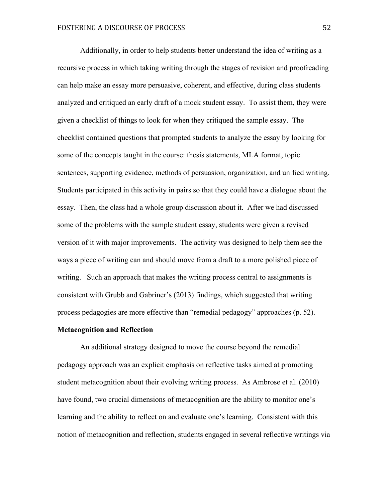Additionally, in order to help students better understand the idea of writing as a recursive process in which taking writing through the stages of revision and proofreading can help make an essay more persuasive, coherent, and effective, during class students analyzed and critiqued an early draft of a mock student essay. To assist them, they were given a checklist of things to look for when they critiqued the sample essay. The checklist contained questions that prompted students to analyze the essay by looking for some of the concepts taught in the course: thesis statements, MLA format, topic sentences, supporting evidence, methods of persuasion, organization, and unified writing. Students participated in this activity in pairs so that they could have a dialogue about the essay. Then, the class had a whole group discussion about it. After we had discussed some of the problems with the sample student essay, students were given a revised version of it with major improvements. The activity was designed to help them see the ways a piece of writing can and should move from a draft to a more polished piece of writing. Such an approach that makes the writing process central to assignments is consistent with Grubb and Gabriner's (2013) findings, which suggested that writing process pedagogies are more effective than "remedial pedagogy" approaches (p. 52).

#### **Metacognition and Reflection**

An additional strategy designed to move the course beyond the remedial pedagogy approach was an explicit emphasis on reflective tasks aimed at promoting student metacognition about their evolving writing process. As Ambrose et al. (2010) have found, two crucial dimensions of metacognition are the ability to monitor one's learning and the ability to reflect on and evaluate one's learning. Consistent with this notion of metacognition and reflection, students engaged in several reflective writings via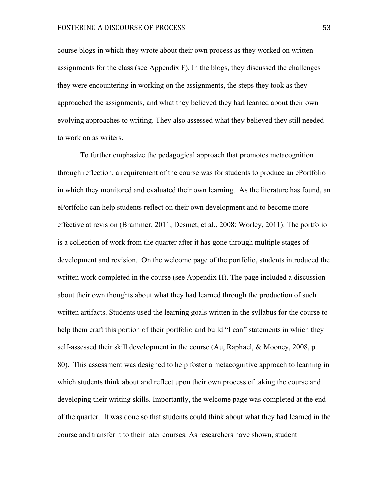course blogs in which they wrote about their own process as they worked on written assignments for the class (see Appendix F). In the blogs, they discussed the challenges they were encountering in working on the assignments, the steps they took as they approached the assignments, and what they believed they had learned about their own evolving approaches to writing. They also assessed what they believed they still needed to work on as writers.

To further emphasize the pedagogical approach that promotes metacognition through reflection, a requirement of the course was for students to produce an ePortfolio in which they monitored and evaluated their own learning. As the literature has found, an ePortfolio can help students reflect on their own development and to become more effective at revision (Brammer, 2011; Desmet, et al., 2008; Worley, 2011). The portfolio is a collection of work from the quarter after it has gone through multiple stages of development and revision. On the welcome page of the portfolio, students introduced the written work completed in the course (see Appendix H). The page included a discussion about their own thoughts about what they had learned through the production of such written artifacts. Students used the learning goals written in the syllabus for the course to help them craft this portion of their portfolio and build "I can" statements in which they self-assessed their skill development in the course (Au, Raphael, & Mooney, 2008, p. 80). This assessment was designed to help foster a metacognitive approach to learning in which students think about and reflect upon their own process of taking the course and developing their writing skills. Importantly, the welcome page was completed at the end of the quarter. It was done so that students could think about what they had learned in the course and transfer it to their later courses. As researchers have shown, student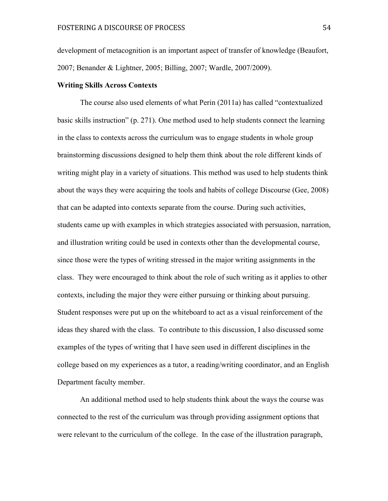development of metacognition is an important aspect of transfer of knowledge (Beaufort, 2007; Benander & Lightner, 2005; Billing, 2007; Wardle, 2007/2009).

### **Writing Skills Across Contexts**

The course also used elements of what Perin (2011a) has called "contextualized basic skills instruction" (p. 271). One method used to help students connect the learning in the class to contexts across the curriculum was to engage students in whole group brainstorming discussions designed to help them think about the role different kinds of writing might play in a variety of situations. This method was used to help students think about the ways they were acquiring the tools and habits of college Discourse (Gee, 2008) that can be adapted into contexts separate from the course. During such activities, students came up with examples in which strategies associated with persuasion, narration, and illustration writing could be used in contexts other than the developmental course, since those were the types of writing stressed in the major writing assignments in the class. They were encouraged to think about the role of such writing as it applies to other contexts, including the major they were either pursuing or thinking about pursuing. Student responses were put up on the whiteboard to act as a visual reinforcement of the ideas they shared with the class. To contribute to this discussion, I also discussed some examples of the types of writing that I have seen used in different disciplines in the college based on my experiences as a tutor, a reading/writing coordinator, and an English Department faculty member.

An additional method used to help students think about the ways the course was connected to the rest of the curriculum was through providing assignment options that were relevant to the curriculum of the college. In the case of the illustration paragraph,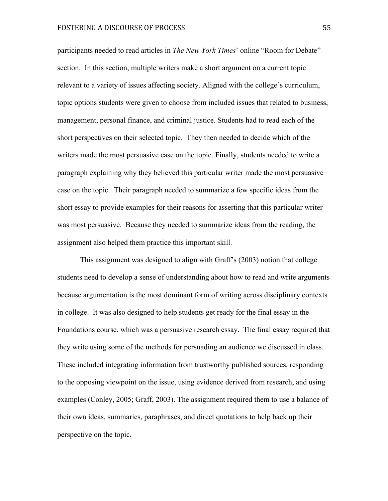participants needed to read articles in *The New York Times*' online "Room for Debate" section. In this section, multiple writers make a short argument on a current topic relevant to a variety of issues affecting society. Aligned with the college's curriculum, topic options students were given to choose from included issues that related to business, management, personal finance, and criminal justice. Students had to read each of the short perspectives on their selected topic. They then needed to decide which of the writers made the most persuasive case on the topic. Finally, students needed to write a paragraph explaining why they believed this particular writer made the most persuasive case on the topic. Their paragraph needed to summarize a few specific ideas from the short essay to provide examples for their reasons for asserting that this particular writer was most persuasive. Because they needed to summarize ideas from the reading, the assignment also helped them practice this important skill.

This assignment was designed to align with Graff's (2003) notion that college students need to develop a sense of understanding about how to read and write arguments because argumentation is the most dominant form of writing across disciplinary contexts in college. It was also designed to help students get ready for the final essay in the Foundations course, which was a persuasive research essay. The final essay required that they write using some of the methods for persuading an audience we discussed in class. These included integrating information from trustworthy published sources, responding to the opposing viewpoint on the issue, using evidence derived from research, and using examples (Conley, 2005; Graff, 2003). The assignment required them to use a balance of their own ideas, summaries, paraphrases, and direct quotations to help back up their perspective on the topic.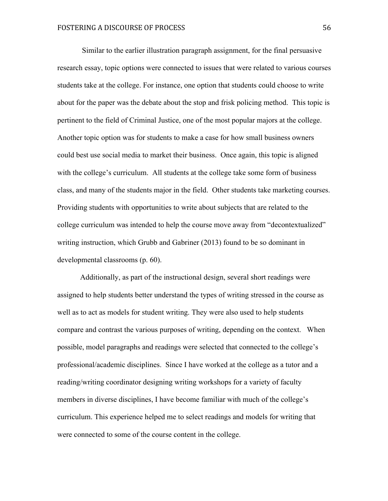Similar to the earlier illustration paragraph assignment, for the final persuasive research essay, topic options were connected to issues that were related to various courses students take at the college. For instance, one option that students could choose to write about for the paper was the debate about the stop and frisk policing method. This topic is pertinent to the field of Criminal Justice, one of the most popular majors at the college. Another topic option was for students to make a case for how small business owners could best use social media to market their business. Once again, this topic is aligned with the college's curriculum. All students at the college take some form of business class, and many of the students major in the field. Other students take marketing courses. Providing students with opportunities to write about subjects that are related to the college curriculum was intended to help the course move away from "decontextualized" writing instruction, which Grubb and Gabriner (2013) found to be so dominant in developmental classrooms (p. 60).

Additionally, as part of the instructional design, several short readings were assigned to help students better understand the types of writing stressed in the course as well as to act as models for student writing. They were also used to help students compare and contrast the various purposes of writing, depending on the context. When possible, model paragraphs and readings were selected that connected to the college's professional/academic disciplines. Since I have worked at the college as a tutor and a reading/writing coordinator designing writing workshops for a variety of faculty members in diverse disciplines, I have become familiar with much of the college's curriculum. This experience helped me to select readings and models for writing that were connected to some of the course content in the college.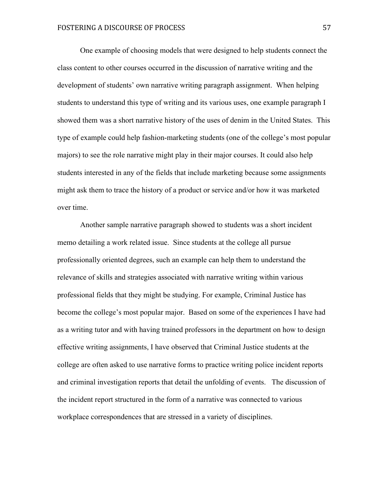One example of choosing models that were designed to help students connect the class content to other courses occurred in the discussion of narrative writing and the development of students' own narrative writing paragraph assignment. When helping students to understand this type of writing and its various uses, one example paragraph I showed them was a short narrative history of the uses of denim in the United States. This type of example could help fashion-marketing students (one of the college's most popular majors) to see the role narrative might play in their major courses. It could also help students interested in any of the fields that include marketing because some assignments might ask them to trace the history of a product or service and/or how it was marketed over time.

Another sample narrative paragraph showed to students was a short incident memo detailing a work related issue. Since students at the college all pursue professionally oriented degrees, such an example can help them to understand the relevance of skills and strategies associated with narrative writing within various professional fields that they might be studying. For example, Criminal Justice has become the college's most popular major. Based on some of the experiences I have had as a writing tutor and with having trained professors in the department on how to design effective writing assignments, I have observed that Criminal Justice students at the college are often asked to use narrative forms to practice writing police incident reports and criminal investigation reports that detail the unfolding of events. The discussion of the incident report structured in the form of a narrative was connected to various workplace correspondences that are stressed in a variety of disciplines.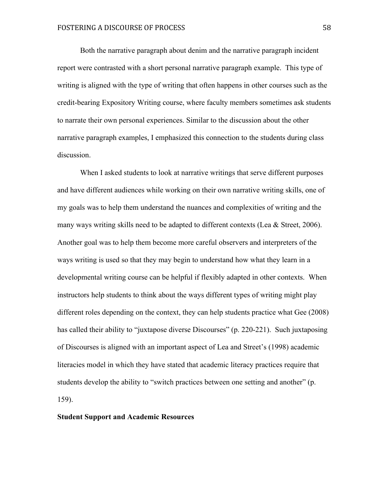Both the narrative paragraph about denim and the narrative paragraph incident report were contrasted with a short personal narrative paragraph example. This type of writing is aligned with the type of writing that often happens in other courses such as the credit-bearing Expository Writing course, where faculty members sometimes ask students to narrate their own personal experiences. Similar to the discussion about the other narrative paragraph examples, I emphasized this connection to the students during class discussion.

When I asked students to look at narrative writings that serve different purposes and have different audiences while working on their own narrative writing skills, one of my goals was to help them understand the nuances and complexities of writing and the many ways writing skills need to be adapted to different contexts (Lea & Street, 2006). Another goal was to help them become more careful observers and interpreters of the ways writing is used so that they may begin to understand how what they learn in a developmental writing course can be helpful if flexibly adapted in other contexts. When instructors help students to think about the ways different types of writing might play different roles depending on the context, they can help students practice what Gee (2008) has called their ability to "juxtapose diverse Discourses" (p. 220-221). Such juxtaposing of Discourses is aligned with an important aspect of Lea and Street's (1998) academic literacies model in which they have stated that academic literacy practices require that students develop the ability to "switch practices between one setting and another" (p. 159).

## **Student Support and Academic Resources**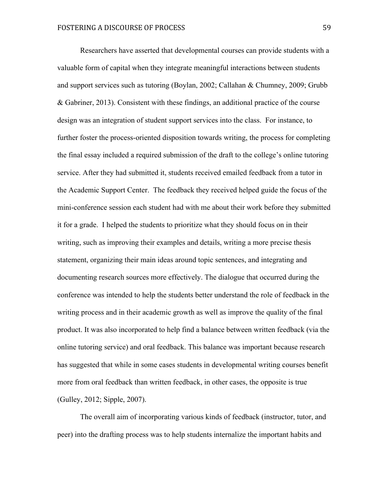Researchers have asserted that developmental courses can provide students with a valuable form of capital when they integrate meaningful interactions between students and support services such as tutoring (Boylan, 2002; Callahan & Chumney, 2009; Grubb & Gabriner, 2013). Consistent with these findings, an additional practice of the course design was an integration of student support services into the class. For instance, to further foster the process-oriented disposition towards writing, the process for completing the final essay included a required submission of the draft to the college's online tutoring service. After they had submitted it, students received emailed feedback from a tutor in the Academic Support Center. The feedback they received helped guide the focus of the mini-conference session each student had with me about their work before they submitted it for a grade. I helped the students to prioritize what they should focus on in their writing, such as improving their examples and details, writing a more precise thesis statement, organizing their main ideas around topic sentences, and integrating and documenting research sources more effectively. The dialogue that occurred during the conference was intended to help the students better understand the role of feedback in the writing process and in their academic growth as well as improve the quality of the final product. It was also incorporated to help find a balance between written feedback (via the online tutoring service) and oral feedback. This balance was important because research has suggested that while in some cases students in developmental writing courses benefit more from oral feedback than written feedback, in other cases, the opposite is true (Gulley, 2012; Sipple, 2007).

The overall aim of incorporating various kinds of feedback (instructor, tutor, and peer) into the drafting process was to help students internalize the important habits and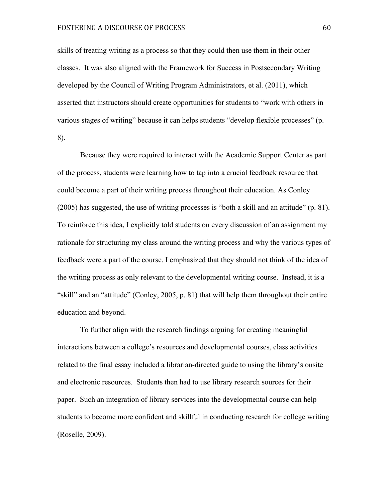# FOSTERING A DISCOURSE OF PROCESS 60

skills of treating writing as a process so that they could then use them in their other classes. It was also aligned with the Framework for Success in Postsecondary Writing developed by the Council of Writing Program Administrators, et al. (2011), which asserted that instructors should create opportunities for students to "work with others in various stages of writing" because it can helps students "develop flexible processes" (p. 8).

Because they were required to interact with the Academic Support Center as part of the process, students were learning how to tap into a crucial feedback resource that could become a part of their writing process throughout their education. As Conley (2005) has suggested, the use of writing processes is "both a skill and an attitude" (p. 81). To reinforce this idea, I explicitly told students on every discussion of an assignment my rationale for structuring my class around the writing process and why the various types of feedback were a part of the course. I emphasized that they should not think of the idea of the writing process as only relevant to the developmental writing course. Instead, it is a "skill" and an "attitude" (Conley, 2005, p. 81) that will help them throughout their entire education and beyond.

To further align with the research findings arguing for creating meaningful interactions between a college's resources and developmental courses, class activities related to the final essay included a librarian-directed guide to using the library's onsite and electronic resources. Students then had to use library research sources for their paper. Such an integration of library services into the developmental course can help students to become more confident and skillful in conducting research for college writing (Roselle, 2009).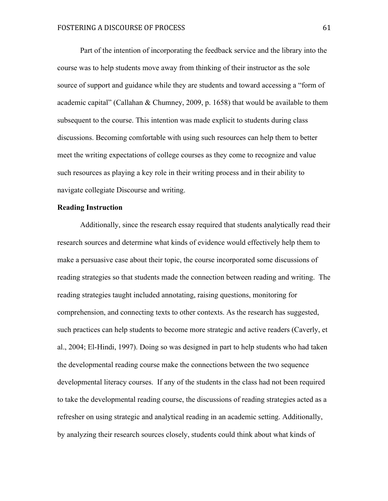Part of the intention of incorporating the feedback service and the library into the course was to help students move away from thinking of their instructor as the sole source of support and guidance while they are students and toward accessing a "form of academic capital" (Callahan & Chumney, 2009, p. 1658) that would be available to them subsequent to the course. This intention was made explicit to students during class discussions. Becoming comfortable with using such resources can help them to better meet the writing expectations of college courses as they come to recognize and value such resources as playing a key role in their writing process and in their ability to navigate collegiate Discourse and writing.

### **Reading Instruction**

Additionally, since the research essay required that students analytically read their research sources and determine what kinds of evidence would effectively help them to make a persuasive case about their topic, the course incorporated some discussions of reading strategies so that students made the connection between reading and writing. The reading strategies taught included annotating, raising questions, monitoring for comprehension, and connecting texts to other contexts. As the research has suggested, such practices can help students to become more strategic and active readers (Caverly, et al., 2004; El-Hindi, 1997). Doing so was designed in part to help students who had taken the developmental reading course make the connections between the two sequence developmental literacy courses. If any of the students in the class had not been required to take the developmental reading course, the discussions of reading strategies acted as a refresher on using strategic and analytical reading in an academic setting. Additionally, by analyzing their research sources closely, students could think about what kinds of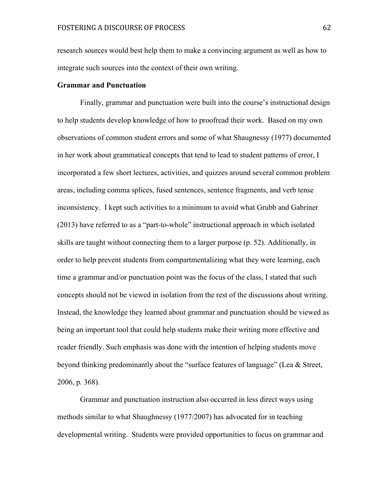research sources would best help them to make a convincing argument as well as how to integrate such sources into the context of their own writing.

## **Grammar and Punctuation**

Finally, grammar and punctuation were built into the course's instructional design to help students develop knowledge of how to proofread their work. Based on my own observations of common student errors and some of what Shaugnessy (1977) documented in her work about grammatical concepts that tend to lead to student patterns of error, I incorporated a few short lectures, activities, and quizzes around several common problem areas, including comma splices, fused sentences, sentence fragments, and verb tense inconsistency. I kept such activities to a minimum to avoid what Grubb and Gabriner (2013) have referred to as a "part-to-whole" instructional approach in which isolated skills are taught without connecting them to a larger purpose (p. 52). Additionally, in order to help prevent students from compartmentalizing what they were learning, each time a grammar and/or punctuation point was the focus of the class, I stated that such concepts should not be viewed in isolation from the rest of the discussions about writing. Instead, the knowledge they learned about grammar and punctuation should be viewed as being an important tool that could help students make their writing more effective and reader friendly. Such emphasis was done with the intention of helping students move beyond thinking predominantly about the "surface features of language" (Lea & Street, 2006, p. 368).

Grammar and punctuation instruction also occurred in less direct ways using methods similar to what Shaughnessy (1977/2007) has advocated for in teaching developmental writing. Students were provided opportunities to focus on grammar and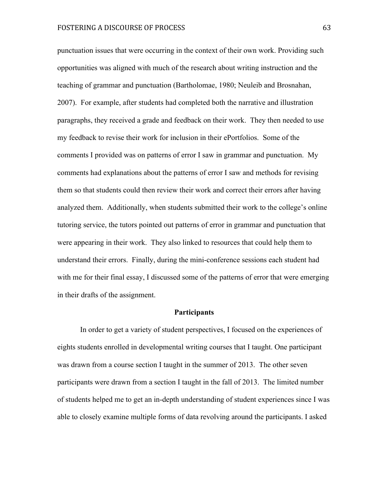punctuation issues that were occurring in the context of their own work. Providing such opportunities was aligned with much of the research about writing instruction and the teaching of grammar and punctuation (Bartholomae, 1980; Neuleib and Brosnahan, 2007). For example, after students had completed both the narrative and illustration paragraphs, they received a grade and feedback on their work. They then needed to use my feedback to revise their work for inclusion in their ePortfolios. Some of the comments I provided was on patterns of error I saw in grammar and punctuation. My comments had explanations about the patterns of error I saw and methods for revising them so that students could then review their work and correct their errors after having analyzed them. Additionally, when students submitted their work to the college's online tutoring service, the tutors pointed out patterns of error in grammar and punctuation that were appearing in their work. They also linked to resources that could help them to understand their errors. Finally, during the mini-conference sessions each student had with me for their final essay, I discussed some of the patterns of error that were emerging in their drafts of the assignment.

#### **Participants**

In order to get a variety of student perspectives, I focused on the experiences of eights students enrolled in developmental writing courses that I taught. One participant was drawn from a course section I taught in the summer of 2013. The other seven participants were drawn from a section I taught in the fall of 2013. The limited number of students helped me to get an in-depth understanding of student experiences since I was able to closely examine multiple forms of data revolving around the participants. I asked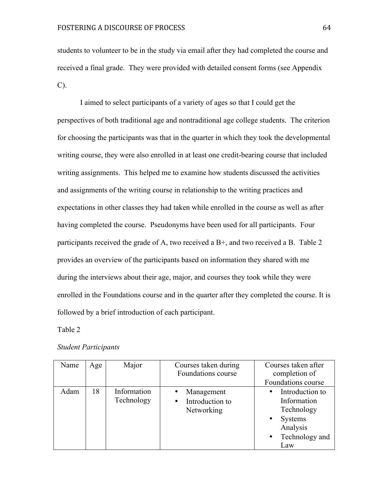students to volunteer to be in the study via email after they had completed the course and received a final grade. They were provided with detailed consent forms (see Appendix C).

I aimed to select participants of a variety of ages so that I could get the perspectives of both traditional age and nontraditional age college students. The criterion for choosing the participants was that in the quarter in which they took the developmental writing course, they were also enrolled in at least one credit-bearing course that included writing assignments. This helped me to examine how students discussed the activities and assignments of the writing course in relationship to the writing practices and expectations in other classes they had taken while enrolled in the course as well as after having completed the course. Pseudonyms have been used for all participants. Four participants received the grade of A, two received a B+, and two received a B. Table 2 provides an overview of the participants based on information they shared with me during the interviews about their age, major, and courses they took while they were enrolled in the Foundations course and in the quarter after they completed the course. It is followed by a brief introduction of each participant.

Table 2

#### *Student Participants*

| Name | Age | Major                     | Courses taken during<br>Foundations course    | Courses taken after<br>completion of<br>Foundations course                                   |
|------|-----|---------------------------|-----------------------------------------------|----------------------------------------------------------------------------------------------|
| Adam | 18  | Information<br>Technology | Management<br>• Introduction to<br>Networking | Introduction to<br>Information<br>Technology<br>Systems<br>Analysis<br>Technology and<br>Law |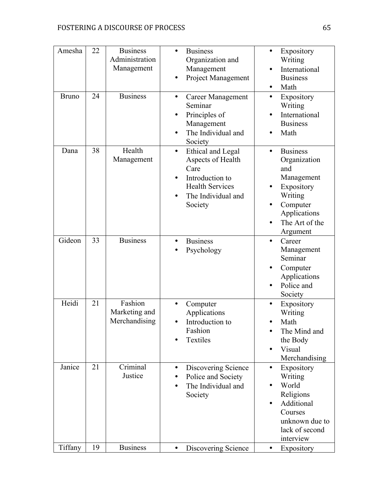| Amesha<br><b>Bruno</b> | 22<br>24 | <b>Business</b><br>Administration<br>Management<br><b>Business</b> | <b>Business</b><br>Organization and<br>Management<br>Project Management<br>$\bullet$<br><b>Career Management</b><br>$\bullet$             | Expository<br>$\bullet$<br>Writing<br>International<br>$\bullet$<br><b>Business</b><br>Math<br>Expository<br>٠                                               |
|------------------------|----------|--------------------------------------------------------------------|-------------------------------------------------------------------------------------------------------------------------------------------|--------------------------------------------------------------------------------------------------------------------------------------------------------------|
|                        |          |                                                                    | Seminar<br>Principles of<br>٠<br>Management<br>The Individual and<br>Society                                                              | Writing<br>International<br>$\bullet$<br><b>Business</b><br>Math                                                                                             |
| Dana                   | 38       | Health<br>Management                                               | Ethical and Legal<br>$\bullet$<br>Aspects of Health<br>Care<br>Introduction to<br><b>Health Services</b><br>The Individual and<br>Society | <b>Business</b><br>$\bullet$<br>Organization<br>and<br>Management<br>Expository<br>Writing<br>Computer<br>Applications<br>The Art of the<br>Argument         |
| Gideon                 | 33       | <b>Business</b>                                                    | <b>Business</b><br>٠<br>Psychology                                                                                                        | Career<br>$\bullet$<br>Management<br>Seminar<br>Computer<br>٠<br>Applications<br>Police and<br>$\bullet$<br>Society                                          |
| Heidi                  | 21       | Fashion<br>Marketing and<br>Merchandising                          | Computer<br>Applications<br>Introduction to<br>$\bullet$<br>Fashion<br>Textiles                                                           | Expository<br>$\bullet$<br>Writing<br>Math<br>The Mind and<br>٠<br>the Body<br>Visual<br>$\bullet$<br>Merchandising                                          |
| Janice                 | 21       | Criminal<br>Justice                                                | Discovering Science<br>$\bullet$<br>Police and Society<br>The Individual and<br>٠<br>Society                                              | Expository<br>$\bullet$<br>Writing<br>World<br>$\bullet$<br>Religions<br>Additional<br>$\bullet$<br>Courses<br>unknown due to<br>lack of second<br>interview |
| Tiffany                | 19       | <b>Business</b>                                                    | Discovering Science<br>$\bullet$                                                                                                          | Expository<br>٠                                                                                                                                              |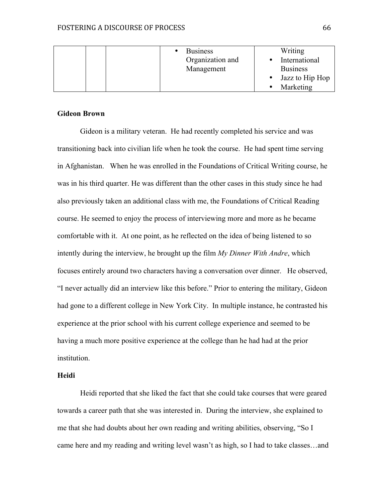|  | <b>Business</b><br>Organization and<br>Management | Writing<br>International<br><b>Business</b> |
|--|---------------------------------------------------|---------------------------------------------|
|  |                                                   | Jazz to Hip Hop                             |
|  |                                                   | Marketing                                   |

# **Gideon Brown**

Gideon is a military veteran. He had recently completed his service and was transitioning back into civilian life when he took the course. He had spent time serving in Afghanistan. When he was enrolled in the Foundations of Critical Writing course, he was in his third quarter. He was different than the other cases in this study since he had also previously taken an additional class with me, the Foundations of Critical Reading course. He seemed to enjoy the process of interviewing more and more as he became comfortable with it. At one point, as he reflected on the idea of being listened to so intently during the interview, he brought up the film *My Dinner With Andre*, which focuses entirely around two characters having a conversation over dinner. He observed, "I never actually did an interview like this before." Prior to entering the military, Gideon had gone to a different college in New York City. In multiple instance, he contrasted his experience at the prior school with his current college experience and seemed to be having a much more positive experience at the college than he had had at the prior institution.

# **Heidi**

Heidi reported that she liked the fact that she could take courses that were geared towards a career path that she was interested in. During the interview, she explained to me that she had doubts about her own reading and writing abilities, observing, "So I came here and my reading and writing level wasn't as high, so I had to take classes…and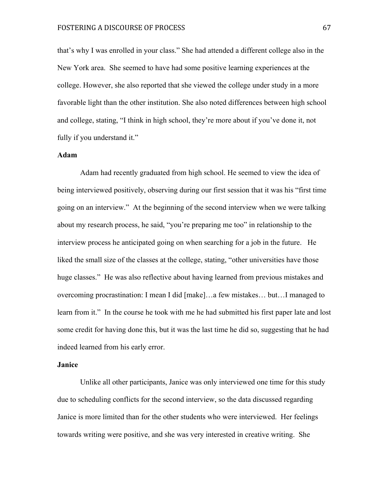that's why I was enrolled in your class." She had attended a different college also in the New York area. She seemed to have had some positive learning experiences at the college. However, she also reported that she viewed the college under study in a more favorable light than the other institution. She also noted differences between high school and college, stating, "I think in high school, they're more about if you've done it, not fully if you understand it."

# **Adam**

Adam had recently graduated from high school. He seemed to view the idea of being interviewed positively, observing during our first session that it was his "first time going on an interview." At the beginning of the second interview when we were talking about my research process, he said, "you're preparing me too" in relationship to the interview process he anticipated going on when searching for a job in the future. He liked the small size of the classes at the college, stating, "other universities have those huge classes." He was also reflective about having learned from previous mistakes and overcoming procrastination: I mean I did [make]…a few mistakes… but…I managed to learn from it." In the course he took with me he had submitted his first paper late and lost some credit for having done this, but it was the last time he did so, suggesting that he had indeed learned from his early error.

#### **Janice**

Unlike all other participants, Janice was only interviewed one time for this study due to scheduling conflicts for the second interview, so the data discussed regarding Janice is more limited than for the other students who were interviewed. Her feelings towards writing were positive, and she was very interested in creative writing. She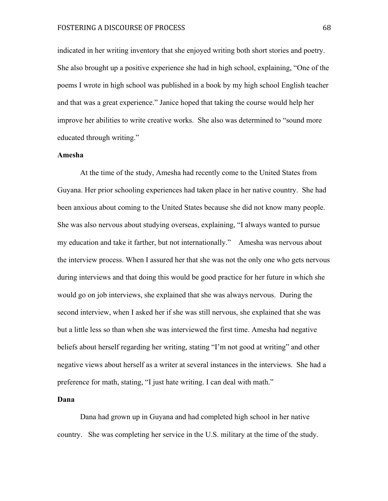indicated in her writing inventory that she enjoyed writing both short stories and poetry. She also brought up a positive experience she had in high school, explaining, "One of the poems I wrote in high school was published in a book by my high school English teacher and that was a great experience." Janice hoped that taking the course would help her improve her abilities to write creative works. She also was determined to "sound more educated through writing."

### **Amesha**

At the time of the study, Amesha had recently come to the United States from Guyana. Her prior schooling experiences had taken place in her native country. She had been anxious about coming to the United States because she did not know many people. She was also nervous about studying overseas, explaining, "I always wanted to pursue my education and take it farther, but not internationally." Amesha was nervous about the interview process. When I assured her that she was not the only one who gets nervous during interviews and that doing this would be good practice for her future in which she would go on job interviews, she explained that she was always nervous. During the second interview, when I asked her if she was still nervous, she explained that she was but a little less so than when she was interviewed the first time. Amesha had negative beliefs about herself regarding her writing, stating "I'm not good at writing" and other negative views about herself as a writer at several instances in the interviews. She had a preference for math, stating, "I just hate writing. I can deal with math."

### **Dana**

Dana had grown up in Guyana and had completed high school in her native country. She was completing her service in the U.S. military at the time of the study.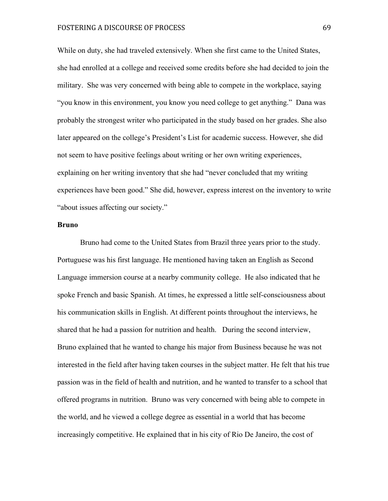While on duty, she had traveled extensively. When she first came to the United States, she had enrolled at a college and received some credits before she had decided to join the military. She was very concerned with being able to compete in the workplace, saying "you know in this environment, you know you need college to get anything." Dana was probably the strongest writer who participated in the study based on her grades. She also later appeared on the college's President's List for academic success. However, she did not seem to have positive feelings about writing or her own writing experiences, explaining on her writing inventory that she had "never concluded that my writing experiences have been good." She did, however, express interest on the inventory to write "about issues affecting our society."

#### **Bruno**

Bruno had come to the United States from Brazil three years prior to the study. Portuguese was his first language. He mentioned having taken an English as Second Language immersion course at a nearby community college. He also indicated that he spoke French and basic Spanish. At times, he expressed a little self-consciousness about his communication skills in English. At different points throughout the interviews, he shared that he had a passion for nutrition and health. During the second interview, Bruno explained that he wanted to change his major from Business because he was not interested in the field after having taken courses in the subject matter. He felt that his true passion was in the field of health and nutrition, and he wanted to transfer to a school that offered programs in nutrition. Bruno was very concerned with being able to compete in the world, and he viewed a college degree as essential in a world that has become increasingly competitive. He explained that in his city of Rio De Janeiro, the cost of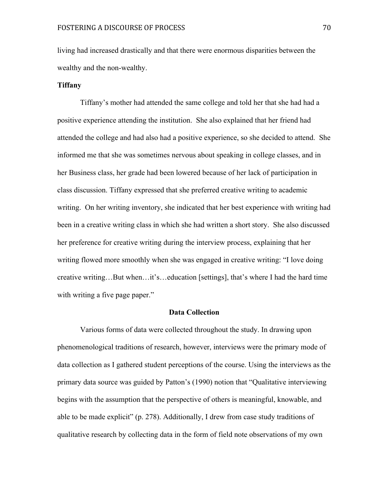living had increased drastically and that there were enormous disparities between the wealthy and the non-wealthy.

## **Tiffany**

Tiffany's mother had attended the same college and told her that she had had a positive experience attending the institution. She also explained that her friend had attended the college and had also had a positive experience, so she decided to attend. She informed me that she was sometimes nervous about speaking in college classes, and in her Business class, her grade had been lowered because of her lack of participation in class discussion. Tiffany expressed that she preferred creative writing to academic writing. On her writing inventory, she indicated that her best experience with writing had been in a creative writing class in which she had written a short story. She also discussed her preference for creative writing during the interview process, explaining that her writing flowed more smoothly when she was engaged in creative writing: "I love doing creative writing…But when…it's…education [settings], that's where I had the hard time with writing a five page paper."

#### **Data Collection**

Various forms of data were collected throughout the study. In drawing upon phenomenological traditions of research, however, interviews were the primary mode of data collection as I gathered student perceptions of the course. Using the interviews as the primary data source was guided by Patton's (1990) notion that "Qualitative interviewing begins with the assumption that the perspective of others is meaningful, knowable, and able to be made explicit" (p. 278). Additionally, I drew from case study traditions of qualitative research by collecting data in the form of field note observations of my own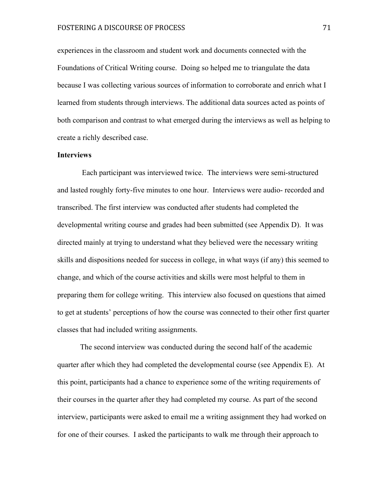experiences in the classroom and student work and documents connected with the Foundations of Critical Writing course. Doing so helped me to triangulate the data because I was collecting various sources of information to corroborate and enrich what I learned from students through interviews. The additional data sources acted as points of both comparison and contrast to what emerged during the interviews as well as helping to create a richly described case.

#### **Interviews**

Each participant was interviewed twice. The interviews were semi-structured and lasted roughly forty-five minutes to one hour. Interviews were audio- recorded and transcribed. The first interview was conducted after students had completed the developmental writing course and grades had been submitted (see Appendix D). It was directed mainly at trying to understand what they believed were the necessary writing skills and dispositions needed for success in college, in what ways (if any) this seemed to change, and which of the course activities and skills were most helpful to them in preparing them for college writing. This interview also focused on questions that aimed to get at students' perceptions of how the course was connected to their other first quarter classes that had included writing assignments.

The second interview was conducted during the second half of the academic quarter after which they had completed the developmental course (see Appendix E). At this point, participants had a chance to experience some of the writing requirements of their courses in the quarter after they had completed my course. As part of the second interview, participants were asked to email me a writing assignment they had worked on for one of their courses. I asked the participants to walk me through their approach to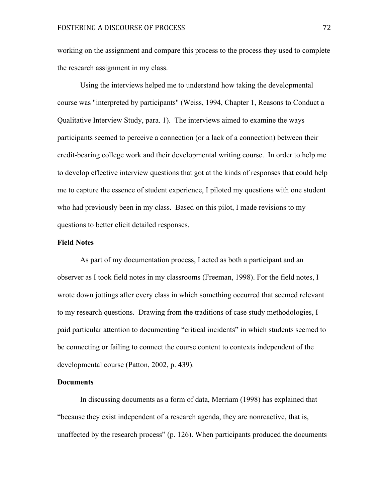working on the assignment and compare this process to the process they used to complete the research assignment in my class.

Using the interviews helped me to understand how taking the developmental course was "interpreted by participants" (Weiss, 1994, Chapter 1, Reasons to Conduct a Qualitative Interview Study, para. 1). The interviews aimed to examine the ways participants seemed to perceive a connection (or a lack of a connection) between their credit-bearing college work and their developmental writing course. In order to help me to develop effective interview questions that got at the kinds of responses that could help me to capture the essence of student experience, I piloted my questions with one student who had previously been in my class. Based on this pilot, I made revisions to my questions to better elicit detailed responses.

#### **Field Notes**

As part of my documentation process, I acted as both a participant and an observer as I took field notes in my classrooms (Freeman, 1998). For the field notes, I wrote down jottings after every class in which something occurred that seemed relevant to my research questions. Drawing from the traditions of case study methodologies, I paid particular attention to documenting "critical incidents" in which students seemed to be connecting or failing to connect the course content to contexts independent of the developmental course (Patton, 2002, p. 439).

#### **Documents**

In discussing documents as a form of data, Merriam (1998) has explained that "because they exist independent of a research agenda, they are nonreactive, that is, unaffected by the research process" (p. 126). When participants produced the documents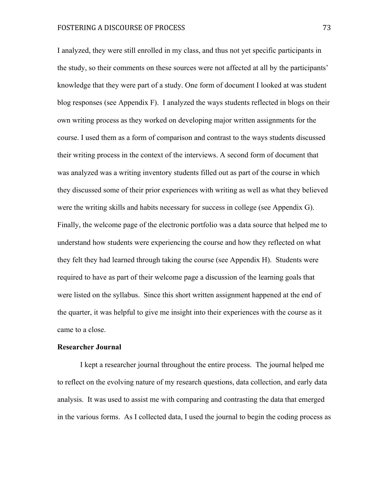I analyzed, they were still enrolled in my class, and thus not yet specific participants in the study, so their comments on these sources were not affected at all by the participants' knowledge that they were part of a study. One form of document I looked at was student blog responses (see Appendix F). I analyzed the ways students reflected in blogs on their own writing process as they worked on developing major written assignments for the course. I used them as a form of comparison and contrast to the ways students discussed their writing process in the context of the interviews. A second form of document that was analyzed was a writing inventory students filled out as part of the course in which they discussed some of their prior experiences with writing as well as what they believed were the writing skills and habits necessary for success in college (see Appendix G). Finally, the welcome page of the electronic portfolio was a data source that helped me to understand how students were experiencing the course and how they reflected on what they felt they had learned through taking the course (see Appendix H). Students were required to have as part of their welcome page a discussion of the learning goals that were listed on the syllabus. Since this short written assignment happened at the end of the quarter, it was helpful to give me insight into their experiences with the course as it came to a close.

#### **Researcher Journal**

I kept a researcher journal throughout the entire process. The journal helped me to reflect on the evolving nature of my research questions, data collection, and early data analysis. It was used to assist me with comparing and contrasting the data that emerged in the various forms. As I collected data, I used the journal to begin the coding process as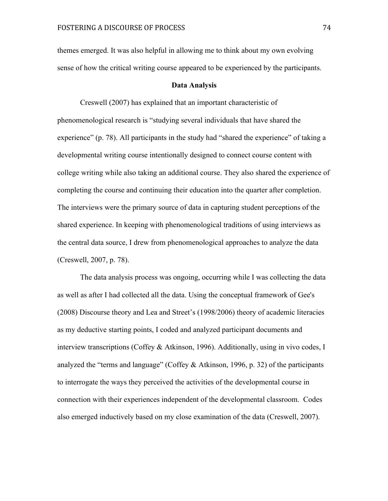themes emerged. It was also helpful in allowing me to think about my own evolving sense of how the critical writing course appeared to be experienced by the participants.

#### **Data Analysis**

Creswell (2007) has explained that an important characteristic of phenomenological research is "studying several individuals that have shared the experience" (p. 78). All participants in the study had "shared the experience" of taking a developmental writing course intentionally designed to connect course content with college writing while also taking an additional course. They also shared the experience of completing the course and continuing their education into the quarter after completion. The interviews were the primary source of data in capturing student perceptions of the shared experience. In keeping with phenomenological traditions of using interviews as the central data source, I drew from phenomenological approaches to analyze the data (Creswell, 2007, p. 78).

The data analysis process was ongoing, occurring while I was collecting the data as well as after I had collected all the data. Using the conceptual framework of Gee's (2008) Discourse theory and Lea and Street's (1998/2006) theory of academic literacies as my deductive starting points, I coded and analyzed participant documents and interview transcriptions (Coffey & Atkinson, 1996). Additionally, using in vivo codes, I analyzed the "terms and language" (Coffey & Atkinson, 1996, p. 32) of the participants to interrogate the ways they perceived the activities of the developmental course in connection with their experiences independent of the developmental classroom. Codes also emerged inductively based on my close examination of the data (Creswell, 2007).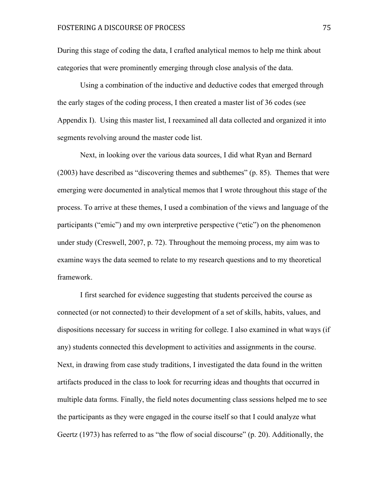During this stage of coding the data, I crafted analytical memos to help me think about categories that were prominently emerging through close analysis of the data.

Using a combination of the inductive and deductive codes that emerged through the early stages of the coding process, I then created a master list of 36 codes (see Appendix I). Using this master list, I reexamined all data collected and organized it into segments revolving around the master code list.

Next, in looking over the various data sources, I did what Ryan and Bernard (2003) have described as "discovering themes and subthemes" (p. 85). Themes that were emerging were documented in analytical memos that I wrote throughout this stage of the process. To arrive at these themes, I used a combination of the views and language of the participants ("emic") and my own interpretive perspective ("etic") on the phenomenon under study (Creswell, 2007, p. 72). Throughout the memoing process, my aim was to examine ways the data seemed to relate to my research questions and to my theoretical framework.

I first searched for evidence suggesting that students perceived the course as connected (or not connected) to their development of a set of skills, habits, values, and dispositions necessary for success in writing for college. I also examined in what ways (if any) students connected this development to activities and assignments in the course. Next, in drawing from case study traditions, I investigated the data found in the written artifacts produced in the class to look for recurring ideas and thoughts that occurred in multiple data forms. Finally, the field notes documenting class sessions helped me to see the participants as they were engaged in the course itself so that I could analyze what Geertz (1973) has referred to as "the flow of social discourse" (p. 20). Additionally, the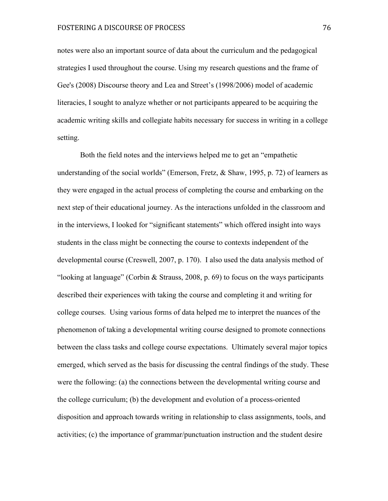# FOSTERING A DISCOURSE OF PROCESS 76

notes were also an important source of data about the curriculum and the pedagogical strategies I used throughout the course. Using my research questions and the frame of Gee's (2008) Discourse theory and Lea and Street's (1998/2006) model of academic literacies, I sought to analyze whether or not participants appeared to be acquiring the academic writing skills and collegiate habits necessary for success in writing in a college setting.

Both the field notes and the interviews helped me to get an "empathetic understanding of the social worlds" (Emerson, Fretz, & Shaw, 1995, p. 72) of learners as they were engaged in the actual process of completing the course and embarking on the next step of their educational journey. As the interactions unfolded in the classroom and in the interviews, I looked for "significant statements" which offered insight into ways students in the class might be connecting the course to contexts independent of the developmental course (Creswell, 2007, p. 170). I also used the data analysis method of "looking at language" (Corbin & Strauss, 2008, p. 69) to focus on the ways participants described their experiences with taking the course and completing it and writing for college courses. Using various forms of data helped me to interpret the nuances of the phenomenon of taking a developmental writing course designed to promote connections between the class tasks and college course expectations. Ultimately several major topics emerged, which served as the basis for discussing the central findings of the study. These were the following: (a) the connections between the developmental writing course and the college curriculum; (b) the development and evolution of a process-oriented disposition and approach towards writing in relationship to class assignments, tools, and activities; (c) the importance of grammar/punctuation instruction and the student desire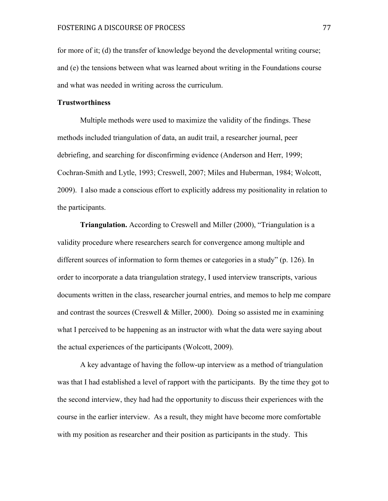for more of it; (d) the transfer of knowledge beyond the developmental writing course; and (e) the tensions between what was learned about writing in the Foundations course and what was needed in writing across the curriculum.

# **Trustworthiness**

Multiple methods were used to maximize the validity of the findings. These methods included triangulation of data, an audit trail, a researcher journal, peer debriefing, and searching for disconfirming evidence (Anderson and Herr, 1999; Cochran-Smith and Lytle, 1993; Creswell, 2007; Miles and Huberman, 1984; Wolcott, 2009). I also made a conscious effort to explicitly address my positionality in relation to the participants.

**Triangulation.** According to Creswell and Miller (2000), "Triangulation is a validity procedure where researchers search for convergence among multiple and different sources of information to form themes or categories in a study" (p. 126). In order to incorporate a data triangulation strategy, I used interview transcripts, various documents written in the class, researcher journal entries, and memos to help me compare and contrast the sources (Creswell & Miller, 2000). Doing so assisted me in examining what I perceived to be happening as an instructor with what the data were saying about the actual experiences of the participants (Wolcott, 2009).

A key advantage of having the follow-up interview as a method of triangulation was that I had established a level of rapport with the participants. By the time they got to the second interview, they had had the opportunity to discuss their experiences with the course in the earlier interview. As a result, they might have become more comfortable with my position as researcher and their position as participants in the study. This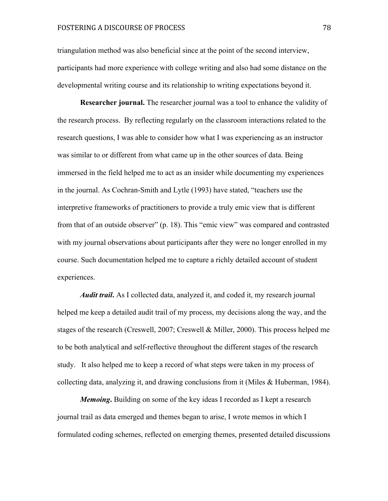triangulation method was also beneficial since at the point of the second interview, participants had more experience with college writing and also had some distance on the developmental writing course and its relationship to writing expectations beyond it.

**Researcher journal.** The researcher journal was a tool to enhance the validity of the research process. By reflecting regularly on the classroom interactions related to the research questions, I was able to consider how what I was experiencing as an instructor was similar to or different from what came up in the other sources of data. Being immersed in the field helped me to act as an insider while documenting my experiences in the journal. As Cochran-Smith and Lytle (1993) have stated, "teachers use the interpretive frameworks of practitioners to provide a truly emic view that is different from that of an outside observer" (p. 18). This "emic view" was compared and contrasted with my journal observations about participants after they were no longer enrolled in my course. Such documentation helped me to capture a richly detailed account of student experiences.

*Audit trail***.** As I collected data, analyzed it, and coded it, my research journal helped me keep a detailed audit trail of my process, my decisions along the way, and the stages of the research (Creswell, 2007; Creswell & Miller, 2000). This process helped me to be both analytical and self-reflective throughout the different stages of the research study. It also helped me to keep a record of what steps were taken in my process of collecting data, analyzing it, and drawing conclusions from it (Miles & Huberman, 1984).

*Memoing***.** Building on some of the key ideas I recorded as I kept a research journal trail as data emerged and themes began to arise, I wrote memos in which I formulated coding schemes, reflected on emerging themes, presented detailed discussions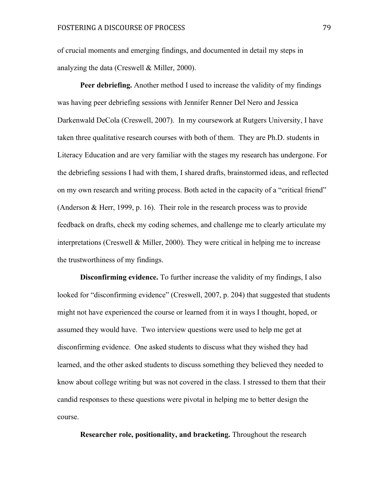of crucial moments and emerging findings, and documented in detail my steps in analyzing the data (Creswell & Miller, 2000).

**Peer debriefing.** Another method I used to increase the validity of my findings was having peer debriefing sessions with Jennifer Renner Del Nero and Jessica Darkenwald DeCola (Creswell, 2007). In my coursework at Rutgers University, I have taken three qualitative research courses with both of them. They are Ph.D. students in Literacy Education and are very familiar with the stages my research has undergone. For the debriefing sessions I had with them, I shared drafts, brainstormed ideas, and reflected on my own research and writing process. Both acted in the capacity of a "critical friend" (Anderson & Herr, 1999, p. 16). Their role in the research process was to provide feedback on drafts, check my coding schemes, and challenge me to clearly articulate my interpretations (Creswell & Miller, 2000). They were critical in helping me to increase the trustworthiness of my findings.

**Disconfirming evidence.** To further increase the validity of my findings, I also looked for "disconfirming evidence" (Creswell, 2007, p. 204) that suggested that students might not have experienced the course or learned from it in ways I thought, hoped, or assumed they would have. Two interview questions were used to help me get at disconfirming evidence. One asked students to discuss what they wished they had learned, and the other asked students to discuss something they believed they needed to know about college writing but was not covered in the class. I stressed to them that their candid responses to these questions were pivotal in helping me to better design the course.

**Researcher role, positionality, and bracketing.** Throughout the research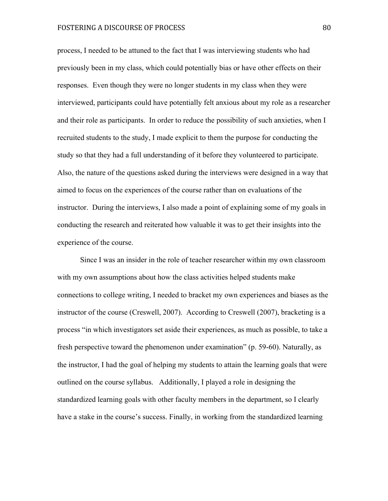# FOSTERING A DISCOURSE OF PROCESS 80

process, I needed to be attuned to the fact that I was interviewing students who had previously been in my class, which could potentially bias or have other effects on their responses. Even though they were no longer students in my class when they were interviewed, participants could have potentially felt anxious about my role as a researcher and their role as participants. In order to reduce the possibility of such anxieties, when I recruited students to the study, I made explicit to them the purpose for conducting the study so that they had a full understanding of it before they volunteered to participate. Also, the nature of the questions asked during the interviews were designed in a way that aimed to focus on the experiences of the course rather than on evaluations of the instructor. During the interviews, I also made a point of explaining some of my goals in conducting the research and reiterated how valuable it was to get their insights into the experience of the course.

Since I was an insider in the role of teacher researcher within my own classroom with my own assumptions about how the class activities helped students make connections to college writing, I needed to bracket my own experiences and biases as the instructor of the course (Creswell, 2007). According to Creswell (2007), bracketing is a process "in which investigators set aside their experiences, as much as possible, to take a fresh perspective toward the phenomenon under examination" (p. 59-60). Naturally, as the instructor, I had the goal of helping my students to attain the learning goals that were outlined on the course syllabus. Additionally, I played a role in designing the standardized learning goals with other faculty members in the department, so I clearly have a stake in the course's success. Finally, in working from the standardized learning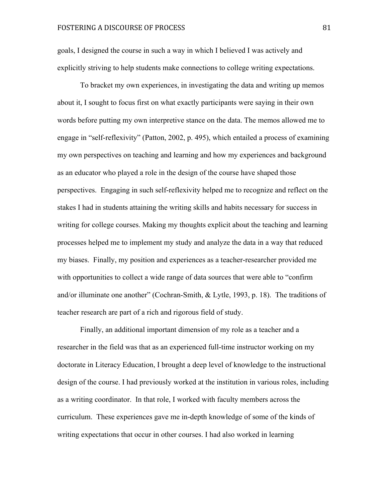goals, I designed the course in such a way in which I believed I was actively and explicitly striving to help students make connections to college writing expectations.

To bracket my own experiences, in investigating the data and writing up memos about it, I sought to focus first on what exactly participants were saying in their own words before putting my own interpretive stance on the data. The memos allowed me to engage in "self-reflexivity" (Patton, 2002, p. 495), which entailed a process of examining my own perspectives on teaching and learning and how my experiences and background as an educator who played a role in the design of the course have shaped those perspectives. Engaging in such self-reflexivity helped me to recognize and reflect on the stakes I had in students attaining the writing skills and habits necessary for success in writing for college courses. Making my thoughts explicit about the teaching and learning processes helped me to implement my study and analyze the data in a way that reduced my biases. Finally, my position and experiences as a teacher-researcher provided me with opportunities to collect a wide range of data sources that were able to "confirm and/or illuminate one another" (Cochran-Smith, & Lytle, 1993, p. 18). The traditions of teacher research are part of a rich and rigorous field of study.

Finally, an additional important dimension of my role as a teacher and a researcher in the field was that as an experienced full-time instructor working on my doctorate in Literacy Education, I brought a deep level of knowledge to the instructional design of the course. I had previously worked at the institution in various roles, including as a writing coordinator. In that role, I worked with faculty members across the curriculum. These experiences gave me in-depth knowledge of some of the kinds of writing expectations that occur in other courses. I had also worked in learning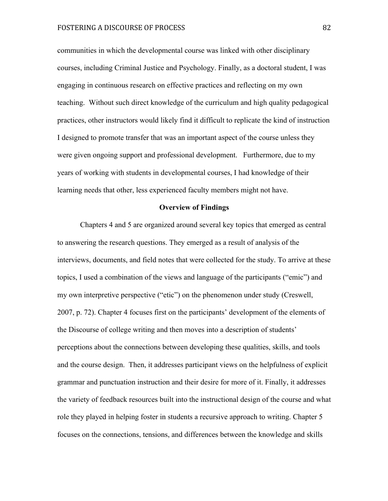communities in which the developmental course was linked with other disciplinary courses, including Criminal Justice and Psychology. Finally, as a doctoral student, I was engaging in continuous research on effective practices and reflecting on my own teaching. Without such direct knowledge of the curriculum and high quality pedagogical practices, other instructors would likely find it difficult to replicate the kind of instruction I designed to promote transfer that was an important aspect of the course unless they were given ongoing support and professional development. Furthermore, due to my years of working with students in developmental courses, I had knowledge of their learning needs that other, less experienced faculty members might not have.

#### **Overview of Findings**

Chapters 4 and 5 are organized around several key topics that emerged as central to answering the research questions. They emerged as a result of analysis of the interviews, documents, and field notes that were collected for the study. To arrive at these topics, I used a combination of the views and language of the participants ("emic") and my own interpretive perspective ("etic") on the phenomenon under study (Creswell, 2007, p. 72). Chapter 4 focuses first on the participants' development of the elements of the Discourse of college writing and then moves into a description of students' perceptions about the connections between developing these qualities, skills, and tools and the course design. Then, it addresses participant views on the helpfulness of explicit grammar and punctuation instruction and their desire for more of it. Finally, it addresses the variety of feedback resources built into the instructional design of the course and what role they played in helping foster in students a recursive approach to writing. Chapter 5 focuses on the connections, tensions, and differences between the knowledge and skills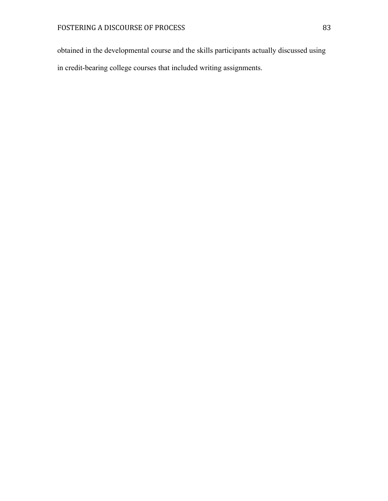obtained in the developmental course and the skills participants actually discussed using in credit-bearing college courses that included writing assignments.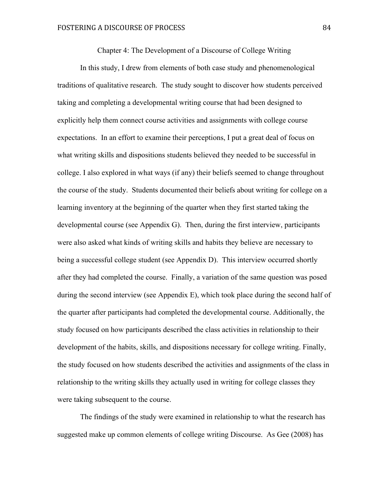Chapter 4: The Development of a Discourse of College Writing

In this study, I drew from elements of both case study and phenomenological traditions of qualitative research. The study sought to discover how students perceived taking and completing a developmental writing course that had been designed to explicitly help them connect course activities and assignments with college course expectations. In an effort to examine their perceptions, I put a great deal of focus on what writing skills and dispositions students believed they needed to be successful in college. I also explored in what ways (if any) their beliefs seemed to change throughout the course of the study. Students documented their beliefs about writing for college on a learning inventory at the beginning of the quarter when they first started taking the developmental course (see Appendix G). Then, during the first interview, participants were also asked what kinds of writing skills and habits they believe are necessary to being a successful college student (see Appendix D). This interview occurred shortly after they had completed the course. Finally, a variation of the same question was posed during the second interview (see Appendix E), which took place during the second half of the quarter after participants had completed the developmental course. Additionally, the study focused on how participants described the class activities in relationship to their development of the habits, skills, and dispositions necessary for college writing. Finally, the study focused on how students described the activities and assignments of the class in relationship to the writing skills they actually used in writing for college classes they were taking subsequent to the course.

The findings of the study were examined in relationship to what the research has suggested make up common elements of college writing Discourse. As Gee (2008) has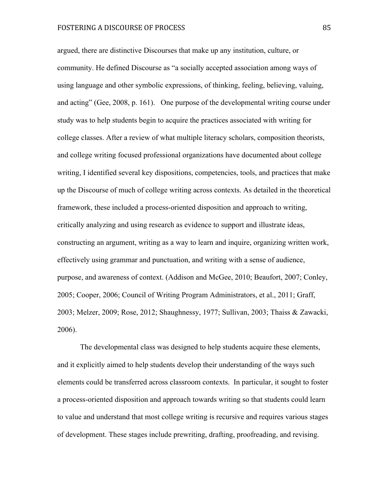argued, there are distinctive Discourses that make up any institution, culture, or community. He defined Discourse as "a socially accepted association among ways of using language and other symbolic expressions, of thinking, feeling, believing, valuing, and acting" (Gee, 2008, p. 161). One purpose of the developmental writing course under study was to help students begin to acquire the practices associated with writing for college classes. After a review of what multiple literacy scholars, composition theorists, and college writing focused professional organizations have documented about college writing, I identified several key dispositions, competencies, tools, and practices that make up the Discourse of much of college writing across contexts. As detailed in the theoretical framework, these included a process-oriented disposition and approach to writing, critically analyzing and using research as evidence to support and illustrate ideas, constructing an argument, writing as a way to learn and inquire, organizing written work, effectively using grammar and punctuation, and writing with a sense of audience, purpose, and awareness of context. (Addison and McGee, 2010; Beaufort, 2007; Conley, 2005; Cooper, 2006; Council of Writing Program Administrators, et al., 2011; Graff, 2003; Melzer, 2009; Rose, 2012; Shaughnessy, 1977; Sullivan, 2003; Thaiss & Zawacki, 2006).

The developmental class was designed to help students acquire these elements, and it explicitly aimed to help students develop their understanding of the ways such elements could be transferred across classroom contexts. In particular, it sought to foster a process-oriented disposition and approach towards writing so that students could learn to value and understand that most college writing is recursive and requires various stages of development. These stages include prewriting, drafting, proofreading, and revising.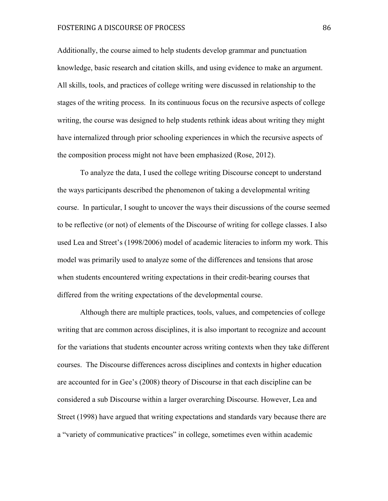# FOSTERING A DISCOURSE OF PROCESS 86

Additionally, the course aimed to help students develop grammar and punctuation knowledge, basic research and citation skills, and using evidence to make an argument. All skills, tools, and practices of college writing were discussed in relationship to the stages of the writing process. In its continuous focus on the recursive aspects of college writing, the course was designed to help students rethink ideas about writing they might have internalized through prior schooling experiences in which the recursive aspects of the composition process might not have been emphasized (Rose, 2012).

To analyze the data, I used the college writing Discourse concept to understand the ways participants described the phenomenon of taking a developmental writing course. In particular, I sought to uncover the ways their discussions of the course seemed to be reflective (or not) of elements of the Discourse of writing for college classes. I also used Lea and Street's (1998/2006) model of academic literacies to inform my work. This model was primarily used to analyze some of the differences and tensions that arose when students encountered writing expectations in their credit-bearing courses that differed from the writing expectations of the developmental course.

Although there are multiple practices, tools, values, and competencies of college writing that are common across disciplines, it is also important to recognize and account for the variations that students encounter across writing contexts when they take different courses. The Discourse differences across disciplines and contexts in higher education are accounted for in Gee's (2008) theory of Discourse in that each discipline can be considered a sub Discourse within a larger overarching Discourse. However, Lea and Street (1998) have argued that writing expectations and standards vary because there are a "variety of communicative practices" in college, sometimes even within academic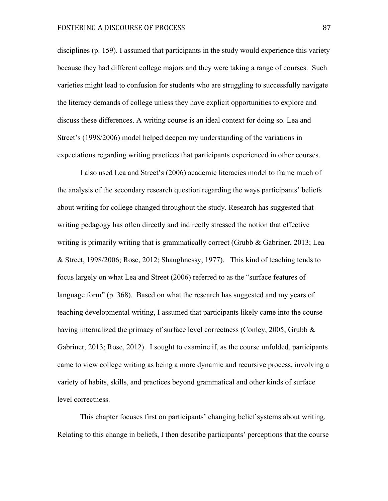disciplines (p. 159). I assumed that participants in the study would experience this variety because they had different college majors and they were taking a range of courses. Such varieties might lead to confusion for students who are struggling to successfully navigate the literacy demands of college unless they have explicit opportunities to explore and discuss these differences. A writing course is an ideal context for doing so. Lea and Street's (1998/2006) model helped deepen my understanding of the variations in expectations regarding writing practices that participants experienced in other courses.

I also used Lea and Street's (2006) academic literacies model to frame much of the analysis of the secondary research question regarding the ways participants' beliefs about writing for college changed throughout the study. Research has suggested that writing pedagogy has often directly and indirectly stressed the notion that effective writing is primarily writing that is grammatically correct (Grubb  $\&$  Gabriner, 2013; Lea & Street, 1998/2006; Rose, 2012; Shaughnessy, 1977). This kind of teaching tends to focus largely on what Lea and Street (2006) referred to as the "surface features of language form" (p. 368). Based on what the research has suggested and my years of teaching developmental writing, I assumed that participants likely came into the course having internalized the primacy of surface level correctness (Conley, 2005; Grubb & Gabriner, 2013; Rose, 2012). I sought to examine if, as the course unfolded, participants came to view college writing as being a more dynamic and recursive process, involving a variety of habits, skills, and practices beyond grammatical and other kinds of surface level correctness.

This chapter focuses first on participants' changing belief systems about writing. Relating to this change in beliefs, I then describe participants' perceptions that the course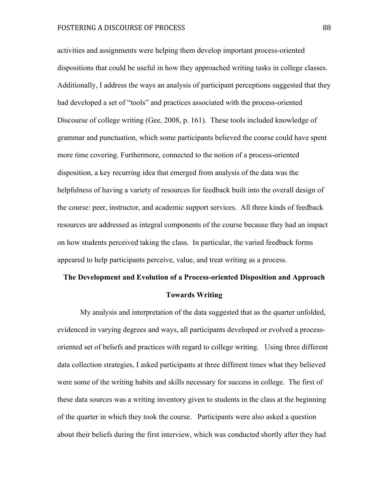activities and assignments were helping them develop important process-oriented dispositions that could be useful in how they approached writing tasks in college classes. Additionally, I address the ways an analysis of participant perceptions suggested that they had developed a set of "tools" and practices associated with the process-oriented Discourse of college writing (Gee, 2008, p. 161). These tools included knowledge of grammar and punctuation, which some participants believed the course could have spent more time covering. Furthermore, connected to the notion of a process-oriented disposition, a key recurring idea that emerged from analysis of the data was the helpfulness of having a variety of resources for feedback built into the overall design of the course: peer, instructor, and academic support services. All three kinds of feedback resources are addressed as integral components of the course because they had an impact on how students perceived taking the class. In particular, the varied feedback forms appeared to help participants perceive, value, and treat writing as a process.

# **The Development and Evolution of a Process-oriented Disposition and Approach Towards Writing**

My analysis and interpretation of the data suggested that as the quarter unfolded, evidenced in varying degrees and ways, all participants developed or evolved a processoriented set of beliefs and practices with regard to college writing. Using three different data collection strategies, I asked participants at three different times what they believed were some of the writing habits and skills necessary for success in college. The first of these data sources was a writing inventory given to students in the class at the beginning of the quarter in which they took the course. Participants were also asked a question about their beliefs during the first interview, which was conducted shortly after they had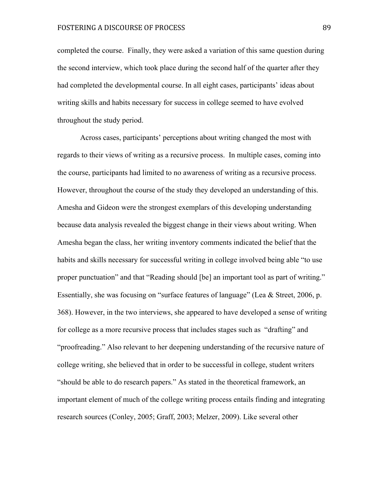# FOSTERING A DISCOURSE OF PROCESS 89

completed the course. Finally, they were asked a variation of this same question during the second interview, which took place during the second half of the quarter after they had completed the developmental course. In all eight cases, participants' ideas about writing skills and habits necessary for success in college seemed to have evolved throughout the study period.

Across cases, participants' perceptions about writing changed the most with regards to their views of writing as a recursive process. In multiple cases, coming into the course, participants had limited to no awareness of writing as a recursive process. However, throughout the course of the study they developed an understanding of this. Amesha and Gideon were the strongest exemplars of this developing understanding because data analysis revealed the biggest change in their views about writing. When Amesha began the class, her writing inventory comments indicated the belief that the habits and skills necessary for successful writing in college involved being able "to use proper punctuation" and that "Reading should [be] an important tool as part of writing." Essentially, she was focusing on "surface features of language" (Lea & Street, 2006, p. 368). However, in the two interviews, she appeared to have developed a sense of writing for college as a more recursive process that includes stages such as "drafting" and "proofreading." Also relevant to her deepening understanding of the recursive nature of college writing, she believed that in order to be successful in college, student writers "should be able to do research papers." As stated in the theoretical framework, an important element of much of the college writing process entails finding and integrating research sources (Conley, 2005; Graff, 2003; Melzer, 2009). Like several other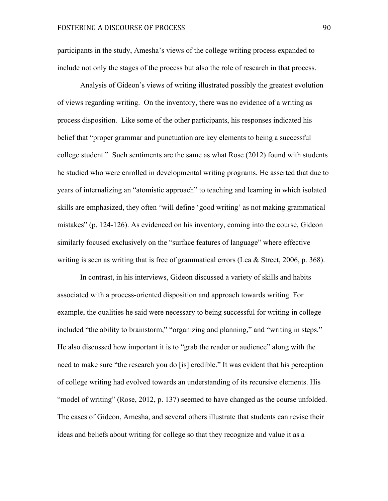participants in the study, Amesha's views of the college writing process expanded to include not only the stages of the process but also the role of research in that process.

Analysis of Gideon's views of writing illustrated possibly the greatest evolution of views regarding writing. On the inventory, there was no evidence of a writing as process disposition. Like some of the other participants, his responses indicated his belief that "proper grammar and punctuation are key elements to being a successful college student." Such sentiments are the same as what Rose (2012) found with students he studied who were enrolled in developmental writing programs. He asserted that due to years of internalizing an "atomistic approach" to teaching and learning in which isolated skills are emphasized, they often "will define 'good writing' as not making grammatical mistakes" (p. 124-126). As evidenced on his inventory, coming into the course, Gideon similarly focused exclusively on the "surface features of language" where effective writing is seen as writing that is free of grammatical errors (Lea & Street, 2006, p. 368).

In contrast, in his interviews, Gideon discussed a variety of skills and habits associated with a process-oriented disposition and approach towards writing. For example, the qualities he said were necessary to being successful for writing in college included "the ability to brainstorm," "organizing and planning," and "writing in steps." He also discussed how important it is to "grab the reader or audience" along with the need to make sure "the research you do [is] credible." It was evident that his perception of college writing had evolved towards an understanding of its recursive elements. His "model of writing" (Rose, 2012, p. 137) seemed to have changed as the course unfolded. The cases of Gideon, Amesha, and several others illustrate that students can revise their ideas and beliefs about writing for college so that they recognize and value it as a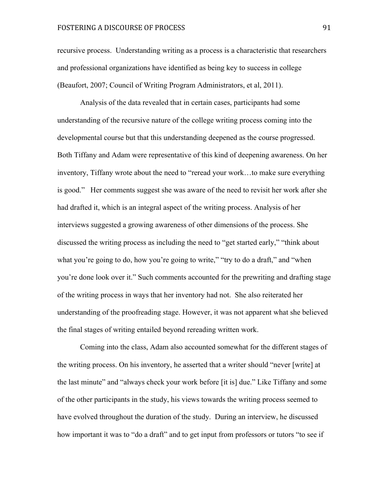# FOSTERING A DISCOURSE OF PROCESS 91

recursive process. Understanding writing as a process is a characteristic that researchers and professional organizations have identified as being key to success in college (Beaufort, 2007; Council of Writing Program Administrators, et al, 2011).

Analysis of the data revealed that in certain cases, participants had some understanding of the recursive nature of the college writing process coming into the developmental course but that this understanding deepened as the course progressed. Both Tiffany and Adam were representative of this kind of deepening awareness. On her inventory, Tiffany wrote about the need to "reread your work…to make sure everything is good." Her comments suggest she was aware of the need to revisit her work after she had drafted it, which is an integral aspect of the writing process. Analysis of her interviews suggested a growing awareness of other dimensions of the process. She discussed the writing process as including the need to "get started early," "think about what you're going to do, how you're going to write," "try to do a draft," and "when you're done look over it." Such comments accounted for the prewriting and drafting stage of the writing process in ways that her inventory had not. She also reiterated her understanding of the proofreading stage. However, it was not apparent what she believed the final stages of writing entailed beyond rereading written work.

Coming into the class, Adam also accounted somewhat for the different stages of the writing process. On his inventory, he asserted that a writer should "never [write] at the last minute" and "always check your work before [it is] due." Like Tiffany and some of the other participants in the study, his views towards the writing process seemed to have evolved throughout the duration of the study. During an interview, he discussed how important it was to "do a draft" and to get input from professors or tutors "to see if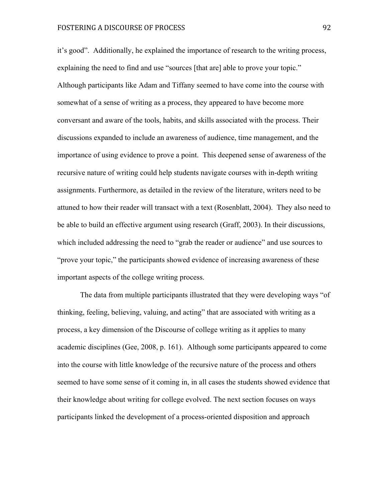# FOSTERING A DISCOURSE OF PROCESS 92

it's good". Additionally, he explained the importance of research to the writing process, explaining the need to find and use "sources [that are] able to prove your topic." Although participants like Adam and Tiffany seemed to have come into the course with somewhat of a sense of writing as a process, they appeared to have become more conversant and aware of the tools, habits, and skills associated with the process. Their discussions expanded to include an awareness of audience, time management, and the importance of using evidence to prove a point. This deepened sense of awareness of the recursive nature of writing could help students navigate courses with in-depth writing assignments. Furthermore, as detailed in the review of the literature, writers need to be attuned to how their reader will transact with a text (Rosenblatt, 2004). They also need to be able to build an effective argument using research (Graff, 2003). In their discussions, which included addressing the need to "grab the reader or audience" and use sources to "prove your topic," the participants showed evidence of increasing awareness of these important aspects of the college writing process.

The data from multiple participants illustrated that they were developing ways "of thinking, feeling, believing, valuing, and acting" that are associated with writing as a process, a key dimension of the Discourse of college writing as it applies to many academic disciplines (Gee, 2008, p. 161). Although some participants appeared to come into the course with little knowledge of the recursive nature of the process and others seemed to have some sense of it coming in, in all cases the students showed evidence that their knowledge about writing for college evolved. The next section focuses on ways participants linked the development of a process-oriented disposition and approach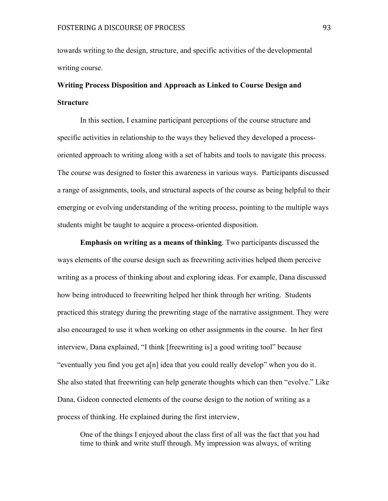towards writing to the design, structure, and specific activities of the developmental writing course.

# **Writing Process Disposition and Approach as Linked to Course Design and Structure**

In this section, I examine participant perceptions of the course structure and specific activities in relationship to the ways they believed they developed a processoriented approach to writing along with a set of habits and tools to navigate this process. The course was designed to foster this awareness in various ways. Participants discussed a range of assignments, tools, and structural aspects of the course as being helpful to their emerging or evolving understanding of the writing process, pointing to the multiple ways students might be taught to acquire a process-oriented disposition.

**Emphasis on writing as a means of thinking**. Two participants discussed the ways elements of the course design such as freewriting activities helped them perceive writing as a process of thinking about and exploring ideas. For example, Dana discussed how being introduced to freewriting helped her think through her writing. Students practiced this strategy during the prewriting stage of the narrative assignment. They were also encouraged to use it when working on other assignments in the course. In her first interview, Dana explained, "I think [freewriting is] a good writing tool" because "eventually you find you get a[n] idea that you could really develop" when you do it. She also stated that freewriting can help generate thoughts which can then "evolve." Like Dana, Gideon connected elements of the course design to the notion of writing as a process of thinking. He explained during the first interview,

One of the things I enjoyed about the class first of all was the fact that you had time to think and write stuff through. My impression was always, of writing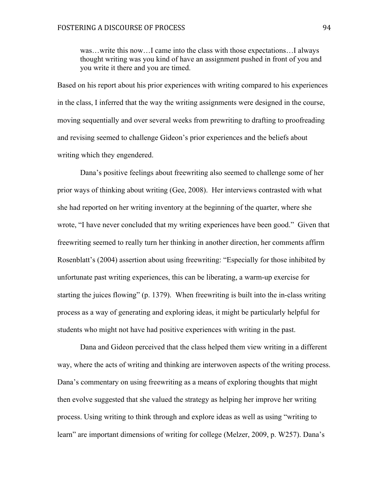was…write this now…I came into the class with those expectations…I always thought writing was you kind of have an assignment pushed in front of you and you write it there and you are timed.

Based on his report about his prior experiences with writing compared to his experiences in the class, I inferred that the way the writing assignments were designed in the course, moving sequentially and over several weeks from prewriting to drafting to proofreading and revising seemed to challenge Gideon's prior experiences and the beliefs about writing which they engendered.

Dana's positive feelings about freewriting also seemed to challenge some of her prior ways of thinking about writing (Gee, 2008). Her interviews contrasted with what she had reported on her writing inventory at the beginning of the quarter, where she wrote, "I have never concluded that my writing experiences have been good." Given that freewriting seemed to really turn her thinking in another direction, her comments affirm Rosenblatt's (2004) assertion about using freewriting: "Especially for those inhibited by unfortunate past writing experiences, this can be liberating, a warm-up exercise for starting the juices flowing" (p. 1379). When freewriting is built into the in-class writing process as a way of generating and exploring ideas, it might be particularly helpful for students who might not have had positive experiences with writing in the past.

Dana and Gideon perceived that the class helped them view writing in a different way, where the acts of writing and thinking are interwoven aspects of the writing process. Dana's commentary on using freewriting as a means of exploring thoughts that might then evolve suggested that she valued the strategy as helping her improve her writing process. Using writing to think through and explore ideas as well as using "writing to learn" are important dimensions of writing for college (Melzer, 2009, p. W257). Dana's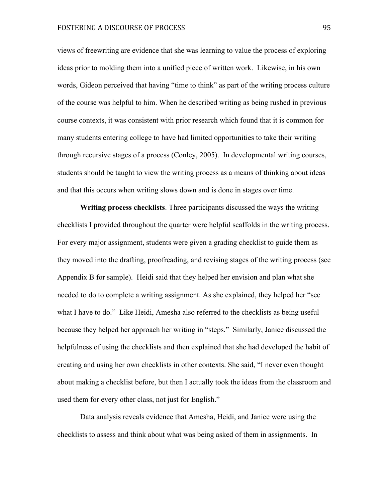views of freewriting are evidence that she was learning to value the process of exploring ideas prior to molding them into a unified piece of written work. Likewise, in his own words, Gideon perceived that having "time to think" as part of the writing process culture of the course was helpful to him. When he described writing as being rushed in previous course contexts, it was consistent with prior research which found that it is common for many students entering college to have had limited opportunities to take their writing through recursive stages of a process (Conley, 2005). In developmental writing courses, students should be taught to view the writing process as a means of thinking about ideas and that this occurs when writing slows down and is done in stages over time.

**Writing process checklists**. Three participants discussed the ways the writing checklists I provided throughout the quarter were helpful scaffolds in the writing process. For every major assignment, students were given a grading checklist to guide them as they moved into the drafting, proofreading, and revising stages of the writing process (see Appendix B for sample). Heidi said that they helped her envision and plan what she needed to do to complete a writing assignment. As she explained, they helped her "see what I have to do." Like Heidi, Amesha also referred to the checklists as being useful because they helped her approach her writing in "steps." Similarly, Janice discussed the helpfulness of using the checklists and then explained that she had developed the habit of creating and using her own checklists in other contexts. She said, "I never even thought about making a checklist before, but then I actually took the ideas from the classroom and used them for every other class, not just for English."

Data analysis reveals evidence that Amesha, Heidi, and Janice were using the checklists to assess and think about what was being asked of them in assignments. In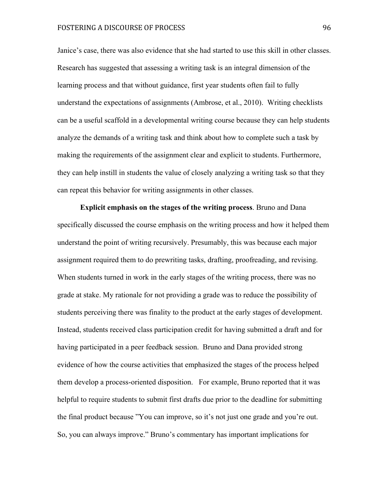Janice's case, there was also evidence that she had started to use this skill in other classes. Research has suggested that assessing a writing task is an integral dimension of the learning process and that without guidance, first year students often fail to fully understand the expectations of assignments (Ambrose, et al., 2010). Writing checklists can be a useful scaffold in a developmental writing course because they can help students analyze the demands of a writing task and think about how to complete such a task by making the requirements of the assignment clear and explicit to students. Furthermore, they can help instill in students the value of closely analyzing a writing task so that they can repeat this behavior for writing assignments in other classes.

**Explicit emphasis on the stages of the writing process**. Bruno and Dana specifically discussed the course emphasis on the writing process and how it helped them understand the point of writing recursively. Presumably, this was because each major assignment required them to do prewriting tasks, drafting, proofreading, and revising. When students turned in work in the early stages of the writing process, there was no grade at stake. My rationale for not providing a grade was to reduce the possibility of students perceiving there was finality to the product at the early stages of development. Instead, students received class participation credit for having submitted a draft and for having participated in a peer feedback session. Bruno and Dana provided strong evidence of how the course activities that emphasized the stages of the process helped them develop a process-oriented disposition. For example, Bruno reported that it was helpful to require students to submit first drafts due prior to the deadline for submitting the final product because "You can improve, so it's not just one grade and you're out. So, you can always improve." Bruno's commentary has important implications for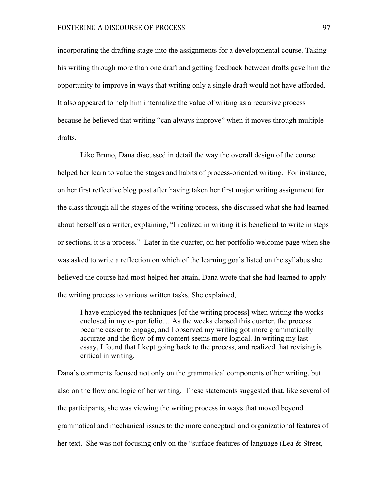incorporating the drafting stage into the assignments for a developmental course. Taking his writing through more than one draft and getting feedback between drafts gave him the opportunity to improve in ways that writing only a single draft would not have afforded. It also appeared to help him internalize the value of writing as a recursive process because he believed that writing "can always improve" when it moves through multiple drafts.

Like Bruno, Dana discussed in detail the way the overall design of the course helped her learn to value the stages and habits of process-oriented writing. For instance, on her first reflective blog post after having taken her first major writing assignment for the class through all the stages of the writing process, she discussed what she had learned about herself as a writer, explaining, "I realized in writing it is beneficial to write in steps or sections, it is a process." Later in the quarter, on her portfolio welcome page when she was asked to write a reflection on which of the learning goals listed on the syllabus she believed the course had most helped her attain, Dana wrote that she had learned to apply the writing process to various written tasks. She explained,

I have employed the techniques [of the writing process] when writing the works enclosed in my e- portfolio… As the weeks elapsed this quarter, the process became easier to engage, and I observed my writing got more grammatically accurate and the flow of my content seems more logical. In writing my last essay, I found that I kept going back to the process, and realized that revising is critical in writing.

Dana's comments focused not only on the grammatical components of her writing, but also on the flow and logic of her writing. These statements suggested that, like several of the participants, she was viewing the writing process in ways that moved beyond grammatical and mechanical issues to the more conceptual and organizational features of her text. She was not focusing only on the "surface features of language (Lea & Street,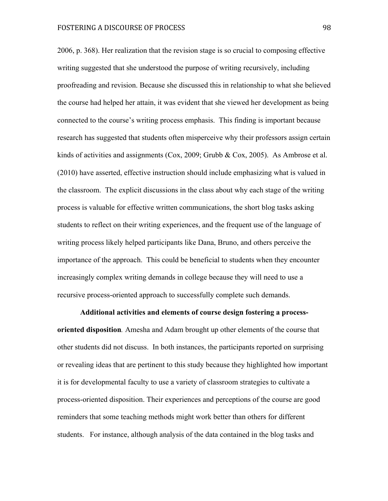2006, p. 368). Her realization that the revision stage is so crucial to composing effective writing suggested that she understood the purpose of writing recursively, including proofreading and revision. Because she discussed this in relationship to what she believed the course had helped her attain, it was evident that she viewed her development as being connected to the course's writing process emphasis. This finding is important because research has suggested that students often misperceive why their professors assign certain kinds of activities and assignments (Cox, 2009; Grubb & Cox, 2005). As Ambrose et al. (2010) have asserted, effective instruction should include emphasizing what is valued in the classroom. The explicit discussions in the class about why each stage of the writing process is valuable for effective written communications, the short blog tasks asking students to reflect on their writing experiences, and the frequent use of the language of writing process likely helped participants like Dana, Bruno, and others perceive the importance of the approach. This could be beneficial to students when they encounter increasingly complex writing demands in college because they will need to use a recursive process-oriented approach to successfully complete such demands.

**Additional activities and elements of course design fostering a processoriented disposition***.* Amesha and Adam brought up other elements of the course that other students did not discuss. In both instances, the participants reported on surprising or revealing ideas that are pertinent to this study because they highlighted how important it is for developmental faculty to use a variety of classroom strategies to cultivate a process-oriented disposition. Their experiences and perceptions of the course are good reminders that some teaching methods might work better than others for different students. For instance, although analysis of the data contained in the blog tasks and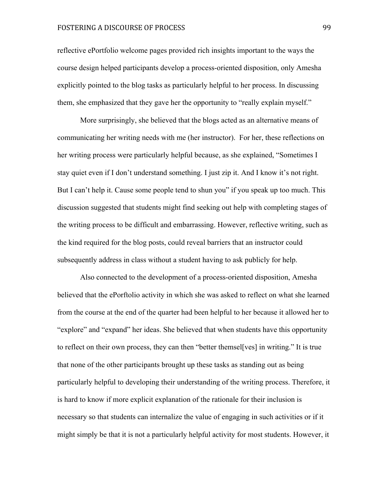# FOSTERING A DISCOURSE OF PROCESS 99

reflective ePortfolio welcome pages provided rich insights important to the ways the course design helped participants develop a process-oriented disposition, only Amesha explicitly pointed to the blog tasks as particularly helpful to her process. In discussing them, she emphasized that they gave her the opportunity to "really explain myself."

More surprisingly, she believed that the blogs acted as an alternative means of communicating her writing needs with me (her instructor). For her, these reflections on her writing process were particularly helpful because, as she explained, "Sometimes I stay quiet even if I don't understand something. I just zip it. And I know it's not right. But I can't help it. Cause some people tend to shun you" if you speak up too much. This discussion suggested that students might find seeking out help with completing stages of the writing process to be difficult and embarrassing. However, reflective writing, such as the kind required for the blog posts, could reveal barriers that an instructor could subsequently address in class without a student having to ask publicly for help.

Also connected to the development of a process-oriented disposition, Amesha believed that the ePorftolio activity in which she was asked to reflect on what she learned from the course at the end of the quarter had been helpful to her because it allowed her to "explore" and "expand" her ideas. She believed that when students have this opportunity to reflect on their own process, they can then "better themsel[ves] in writing." It is true that none of the other participants brought up these tasks as standing out as being particularly helpful to developing their understanding of the writing process. Therefore, it is hard to know if more explicit explanation of the rationale for their inclusion is necessary so that students can internalize the value of engaging in such activities or if it might simply be that it is not a particularly helpful activity for most students. However, it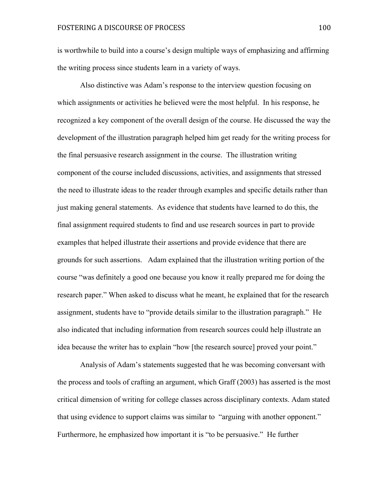is worthwhile to build into a course's design multiple ways of emphasizing and affirming the writing process since students learn in a variety of ways.

Also distinctive was Adam's response to the interview question focusing on which assignments or activities he believed were the most helpful. In his response, he recognized a key component of the overall design of the course. He discussed the way the development of the illustration paragraph helped him get ready for the writing process for the final persuasive research assignment in the course. The illustration writing component of the course included discussions, activities, and assignments that stressed the need to illustrate ideas to the reader through examples and specific details rather than just making general statements. As evidence that students have learned to do this, the final assignment required students to find and use research sources in part to provide examples that helped illustrate their assertions and provide evidence that there are grounds for such assertions. Adam explained that the illustration writing portion of the course "was definitely a good one because you know it really prepared me for doing the research paper." When asked to discuss what he meant, he explained that for the research assignment, students have to "provide details similar to the illustration paragraph." He also indicated that including information from research sources could help illustrate an idea because the writer has to explain "how [the research source] proved your point."

Analysis of Adam's statements suggested that he was becoming conversant with the process and tools of crafting an argument, which Graff (2003) has asserted is the most critical dimension of writing for college classes across disciplinary contexts. Adam stated that using evidence to support claims was similar to "arguing with another opponent." Furthermore, he emphasized how important it is "to be persuasive." He further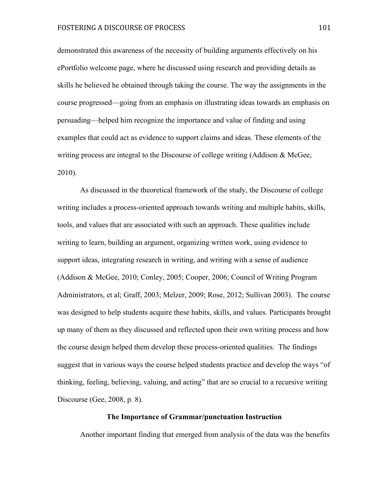demonstrated this awareness of the necessity of building arguments effectively on his ePortfolio welcome page, where he discussed using research and providing details as skills he believed he obtained through taking the course. The way the assignments in the course progressed—going from an emphasis on illustrating ideas towards an emphasis on persuading—helped him recognize the importance and value of finding and using examples that could act as evidence to support claims and ideas. These elements of the writing process are integral to the Discourse of college writing (Addison & McGee, 2010).

As discussed in the theoretical framework of the study, the Discourse of college writing includes a process-oriented approach towards writing and multiple habits, skills, tools, and values that are associated with such an approach. These qualities include writing to learn, building an argument, organizing written work, using evidence to support ideas, integrating research in writing, and writing with a sense of audience (Addison & McGee, 2010; Conley, 2005; Cooper, 2006; Council of Writing Program Administrators, et al; Graff, 2003; Melzer, 2009; Rose, 2012; Sullivan 2003). The course was designed to help students acquire these habits, skills, and values. Participants brought up many of them as they discussed and reflected upon their own writing process and how the course design helped them develop these process-oriented qualities. The findings suggest that in various ways the course helped students practice and develop the ways "of thinking, feeling, believing, valuing, and acting" that are so crucial to a recursive writing Discourse (Gee, 2008, p. 8).

#### **The Importance of Grammar/punctuation Instruction**

Another important finding that emerged from analysis of the data was the benefits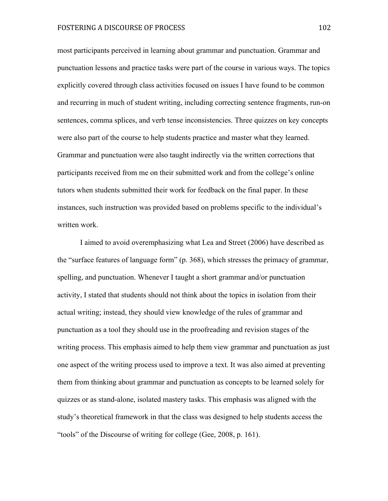most participants perceived in learning about grammar and punctuation. Grammar and punctuation lessons and practice tasks were part of the course in various ways. The topics explicitly covered through class activities focused on issues I have found to be common and recurring in much of student writing, including correcting sentence fragments, run-on sentences, comma splices, and verb tense inconsistencies. Three quizzes on key concepts were also part of the course to help students practice and master what they learned. Grammar and punctuation were also taught indirectly via the written corrections that participants received from me on their submitted work and from the college's online tutors when students submitted their work for feedback on the final paper. In these instances, such instruction was provided based on problems specific to the individual's written work.

I aimed to avoid overemphasizing what Lea and Street (2006) have described as the "surface features of language form" (p. 368), which stresses the primacy of grammar, spelling, and punctuation. Whenever I taught a short grammar and/or punctuation activity, I stated that students should not think about the topics in isolation from their actual writing; instead, they should view knowledge of the rules of grammar and punctuation as a tool they should use in the proofreading and revision stages of the writing process. This emphasis aimed to help them view grammar and punctuation as just one aspect of the writing process used to improve a text. It was also aimed at preventing them from thinking about grammar and punctuation as concepts to be learned solely for quizzes or as stand-alone, isolated mastery tasks. This emphasis was aligned with the study's theoretical framework in that the class was designed to help students access the "tools" of the Discourse of writing for college (Gee, 2008, p. 161).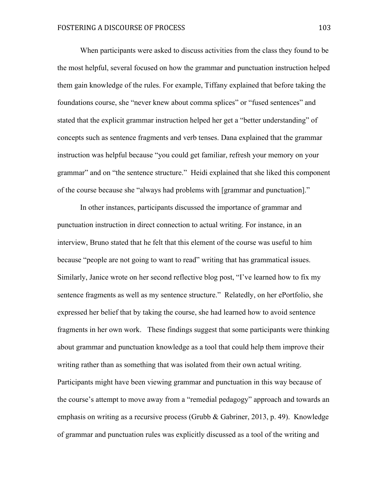When participants were asked to discuss activities from the class they found to be the most helpful, several focused on how the grammar and punctuation instruction helped them gain knowledge of the rules. For example, Tiffany explained that before taking the foundations course, she "never knew about comma splices" or "fused sentences" and stated that the explicit grammar instruction helped her get a "better understanding" of concepts such as sentence fragments and verb tenses. Dana explained that the grammar instruction was helpful because "you could get familiar, refresh your memory on your grammar" and on "the sentence structure." Heidi explained that she liked this component of the course because she "always had problems with [grammar and punctuation]."

In other instances, participants discussed the importance of grammar and punctuation instruction in direct connection to actual writing. For instance, in an interview, Bruno stated that he felt that this element of the course was useful to him because "people are not going to want to read" writing that has grammatical issues. Similarly, Janice wrote on her second reflective blog post, "I've learned how to fix my sentence fragments as well as my sentence structure." Relatedly, on her ePortfolio, she expressed her belief that by taking the course, she had learned how to avoid sentence fragments in her own work. These findings suggest that some participants were thinking about grammar and punctuation knowledge as a tool that could help them improve their writing rather than as something that was isolated from their own actual writing. Participants might have been viewing grammar and punctuation in this way because of the course's attempt to move away from a "remedial pedagogy" approach and towards an emphasis on writing as a recursive process (Grubb & Gabriner, 2013, p. 49). Knowledge of grammar and punctuation rules was explicitly discussed as a tool of the writing and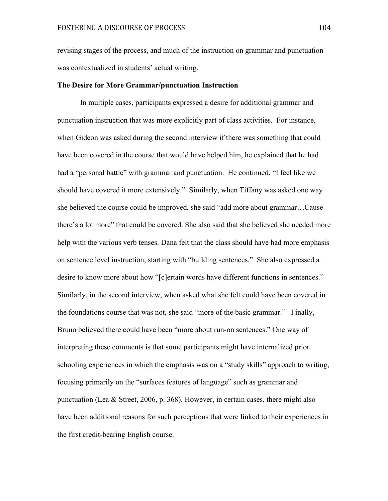revising stages of the process, and much of the instruction on grammar and punctuation was contextualized in students' actual writing.

#### **The Desire for More Grammar/punctuation Instruction**

In multiple cases, participants expressed a desire for additional grammar and punctuation instruction that was more explicitly part of class activities. For instance, when Gideon was asked during the second interview if there was something that could have been covered in the course that would have helped him, he explained that he had had a "personal battle" with grammar and punctuation. He continued, "I feel like we should have covered it more extensively." Similarly, when Tiffany was asked one way she believed the course could be improved, she said "add more about grammar…Cause there's a lot more" that could be covered. She also said that she believed she needed more help with the various verb tenses. Dana felt that the class should have had more emphasis on sentence level instruction, starting with "building sentences." She also expressed a desire to know more about how "[c]ertain words have different functions in sentences." Similarly, in the second interview, when asked what she felt could have been covered in the foundations course that was not, she said "more of the basic grammar." Finally, Bruno believed there could have been "more about run-on sentences." One way of interpreting these comments is that some participants might have internalized prior schooling experiences in which the emphasis was on a "study skills" approach to writing, focusing primarily on the "surfaces features of language" such as grammar and punctuation (Lea & Street, 2006, p. 368). However, in certain cases, there might also have been additional reasons for such perceptions that were linked to their experiences in the first credit-bearing English course.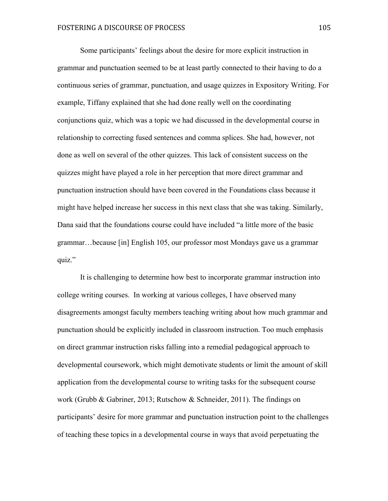Some participants' feelings about the desire for more explicit instruction in grammar and punctuation seemed to be at least partly connected to their having to do a continuous series of grammar, punctuation, and usage quizzes in Expository Writing. For example, Tiffany explained that she had done really well on the coordinating conjunctions quiz, which was a topic we had discussed in the developmental course in relationship to correcting fused sentences and comma splices. She had, however, not done as well on several of the other quizzes. This lack of consistent success on the quizzes might have played a role in her perception that more direct grammar and punctuation instruction should have been covered in the Foundations class because it might have helped increase her success in this next class that she was taking. Similarly, Dana said that the foundations course could have included "a little more of the basic grammar…because [in] English 105, our professor most Mondays gave us a grammar quiz."

It is challenging to determine how best to incorporate grammar instruction into college writing courses. In working at various colleges, I have observed many disagreements amongst faculty members teaching writing about how much grammar and punctuation should be explicitly included in classroom instruction. Too much emphasis on direct grammar instruction risks falling into a remedial pedagogical approach to developmental coursework, which might demotivate students or limit the amount of skill application from the developmental course to writing tasks for the subsequent course work (Grubb & Gabriner, 2013; Rutschow & Schneider, 2011). The findings on participants' desire for more grammar and punctuation instruction point to the challenges of teaching these topics in a developmental course in ways that avoid perpetuating the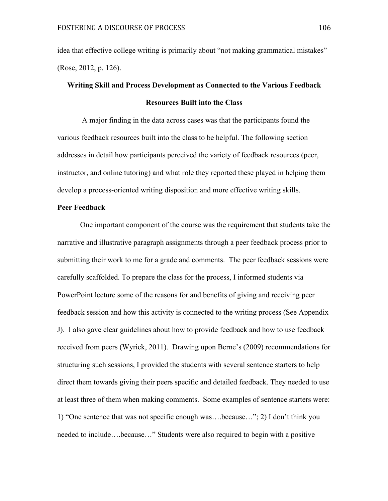idea that effective college writing is primarily about "not making grammatical mistakes" (Rose, 2012, p. 126).

# **Writing Skill and Process Development as Connected to the Various Feedback Resources Built into the Class**

A major finding in the data across cases was that the participants found the various feedback resources built into the class to be helpful. The following section addresses in detail how participants perceived the variety of feedback resources (peer, instructor, and online tutoring) and what role they reported these played in helping them develop a process-oriented writing disposition and more effective writing skills.

# **Peer Feedback**

One important component of the course was the requirement that students take the narrative and illustrative paragraph assignments through a peer feedback process prior to submitting their work to me for a grade and comments. The peer feedback sessions were carefully scaffolded. To prepare the class for the process, I informed students via PowerPoint lecture some of the reasons for and benefits of giving and receiving peer feedback session and how this activity is connected to the writing process (See Appendix J). I also gave clear guidelines about how to provide feedback and how to use feedback received from peers (Wyrick, 2011). Drawing upon Berne's (2009) recommendations for structuring such sessions, I provided the students with several sentence starters to help direct them towards giving their peers specific and detailed feedback. They needed to use at least three of them when making comments. Some examples of sentence starters were: 1) "One sentence that was not specific enough was….because…"; 2) I don't think you needed to include….because…" Students were also required to begin with a positive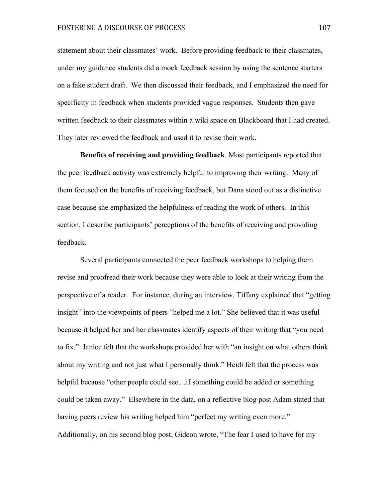statement about their classmates' work. Before providing feedback to their classmates, under my guidance students did a mock feedback session by using the sentence starters on a fake student draft. We then discussed their feedback, and I emphasized the need for specificity in feedback when students provided vague responses. Students then gave written feedback to their classmates within a wiki space on Blackboard that I had created. They later reviewed the feedback and used it to revise their work.

**Benefits of receiving and providing feedback**. Most participants reported that the peer feedback activity was extremely helpful to improving their writing. Many of them focused on the benefits of receiving feedback, but Dana stood out as a distinctive case because she emphasized the helpfulness of reading the work of others. In this section, I describe participants' perceptions of the benefits of receiving and providing feedback.

Several participants connected the peer feedback workshops to helping them revise and proofread their work because they were able to look at their writing from the perspective of a reader. For instance, during an interview, Tiffany explained that "getting insight" into the viewpoints of peers "helped me a lot." She believed that it was useful because it helped her and her classmates identify aspects of their writing that "you need to fix." Janice felt that the workshops provided her with "an insight on what others think about my writing and not just what I personally think." Heidi felt that the process was helpful because "other people could see…if something could be added or something could be taken away." Elsewhere in the data, on a reflective blog post Adam stated that having peers review his writing helped him "perfect my writing even more." Additionally, on his second blog post, Gideon wrote, "The fear I used to have for my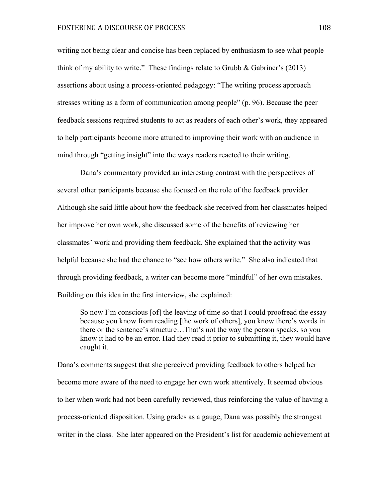writing not being clear and concise has been replaced by enthusiasm to see what people think of my ability to write." These findings relate to Grubb  $\&$  Gabriner's (2013) assertions about using a process-oriented pedagogy: "The writing process approach stresses writing as a form of communication among people" (p. 96). Because the peer feedback sessions required students to act as readers of each other's work, they appeared to help participants become more attuned to improving their work with an audience in mind through "getting insight" into the ways readers reacted to their writing.

Dana's commentary provided an interesting contrast with the perspectives of several other participants because she focused on the role of the feedback provider. Although she said little about how the feedback she received from her classmates helped her improve her own work, she discussed some of the benefits of reviewing her classmates' work and providing them feedback. She explained that the activity was helpful because she had the chance to "see how others write." She also indicated that through providing feedback, a writer can become more "mindful" of her own mistakes. Building on this idea in the first interview, she explained:

So now I'm conscious [of] the leaving of time so that I could proofread the essay because you know from reading [the work of others], you know there's words in there or the sentence's structure…That's not the way the person speaks, so you know it had to be an error. Had they read it prior to submitting it, they would have caught it.

Dana's comments suggest that she perceived providing feedback to others helped her become more aware of the need to engage her own work attentively. It seemed obvious to her when work had not been carefully reviewed, thus reinforcing the value of having a process-oriented disposition. Using grades as a gauge, Dana was possibly the strongest writer in the class. She later appeared on the President's list for academic achievement at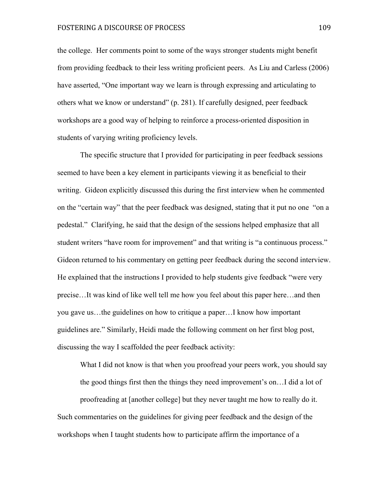the college. Her comments point to some of the ways stronger students might benefit from providing feedback to their less writing proficient peers. As Liu and Carless (2006) have asserted, "One important way we learn is through expressing and articulating to others what we know or understand" (p. 281). If carefully designed, peer feedback workshops are a good way of helping to reinforce a process-oriented disposition in students of varying writing proficiency levels.

The specific structure that I provided for participating in peer feedback sessions seemed to have been a key element in participants viewing it as beneficial to their writing. Gideon explicitly discussed this during the first interview when he commented on the "certain way" that the peer feedback was designed, stating that it put no one "on a pedestal." Clarifying, he said that the design of the sessions helped emphasize that all student writers "have room for improvement" and that writing is "a continuous process." Gideon returned to his commentary on getting peer feedback during the second interview. He explained that the instructions I provided to help students give feedback "were very precise…It was kind of like well tell me how you feel about this paper here…and then you gave us…the guidelines on how to critique a paper…I know how important guidelines are." Similarly, Heidi made the following comment on her first blog post, discussing the way I scaffolded the peer feedback activity:

What I did not know is that when you proofread your peers work, you should say

the good things first then the things they need improvement's on…I did a lot of

proofreading at [another college] but they never taught me how to really do it. Such commentaries on the guidelines for giving peer feedback and the design of the workshops when I taught students how to participate affirm the importance of a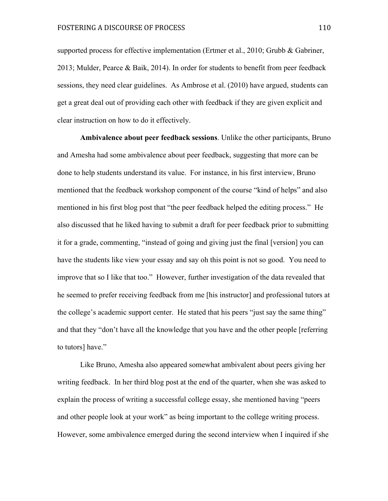supported process for effective implementation (Ertmer et al., 2010; Grubb & Gabriner, 2013; Mulder, Pearce & Baik, 2014). In order for students to benefit from peer feedback sessions, they need clear guidelines. As Ambrose et al. (2010) have argued, students can get a great deal out of providing each other with feedback if they are given explicit and clear instruction on how to do it effectively.

**Ambivalence about peer feedback sessions**. Unlike the other participants, Bruno and Amesha had some ambivalence about peer feedback, suggesting that more can be done to help students understand its value. For instance, in his first interview, Bruno mentioned that the feedback workshop component of the course "kind of helps" and also mentioned in his first blog post that "the peer feedback helped the editing process." He also discussed that he liked having to submit a draft for peer feedback prior to submitting it for a grade, commenting, "instead of going and giving just the final [version] you can have the students like view your essay and say oh this point is not so good. You need to improve that so I like that too." However, further investigation of the data revealed that he seemed to prefer receiving feedback from me [his instructor] and professional tutors at the college's academic support center. He stated that his peers "just say the same thing" and that they "don't have all the knowledge that you have and the other people [referring to tutors] have."

Like Bruno, Amesha also appeared somewhat ambivalent about peers giving her writing feedback. In her third blog post at the end of the quarter, when she was asked to explain the process of writing a successful college essay, she mentioned having "peers and other people look at your work" as being important to the college writing process. However, some ambivalence emerged during the second interview when I inquired if she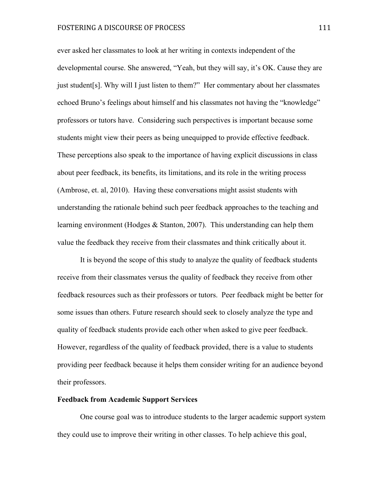ever asked her classmates to look at her writing in contexts independent of the developmental course. She answered, "Yeah, but they will say, it's OK. Cause they are just student[s]. Why will I just listen to them?" Her commentary about her classmates echoed Bruno's feelings about himself and his classmates not having the "knowledge" professors or tutors have. Considering such perspectives is important because some students might view their peers as being unequipped to provide effective feedback. These perceptions also speak to the importance of having explicit discussions in class about peer feedback, its benefits, its limitations, and its role in the writing process (Ambrose, et. al, 2010). Having these conversations might assist students with understanding the rationale behind such peer feedback approaches to the teaching and learning environment (Hodges & Stanton, 2007). This understanding can help them value the feedback they receive from their classmates and think critically about it.

It is beyond the scope of this study to analyze the quality of feedback students receive from their classmates versus the quality of feedback they receive from other feedback resources such as their professors or tutors. Peer feedback might be better for some issues than others. Future research should seek to closely analyze the type and quality of feedback students provide each other when asked to give peer feedback. However, regardless of the quality of feedback provided, there is a value to students providing peer feedback because it helps them consider writing for an audience beyond their professors.

#### **Feedback from Academic Support Services**

One course goal was to introduce students to the larger academic support system they could use to improve their writing in other classes. To help achieve this goal,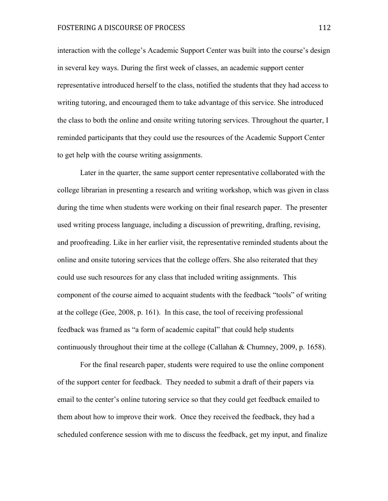interaction with the college's Academic Support Center was built into the course's design in several key ways. During the first week of classes, an academic support center representative introduced herself to the class, notified the students that they had access to writing tutoring, and encouraged them to take advantage of this service. She introduced the class to both the online and onsite writing tutoring services. Throughout the quarter, I reminded participants that they could use the resources of the Academic Support Center to get help with the course writing assignments.

Later in the quarter, the same support center representative collaborated with the college librarian in presenting a research and writing workshop, which was given in class during the time when students were working on their final research paper. The presenter used writing process language, including a discussion of prewriting, drafting, revising, and proofreading. Like in her earlier visit, the representative reminded students about the online and onsite tutoring services that the college offers. She also reiterated that they could use such resources for any class that included writing assignments. This component of the course aimed to acquaint students with the feedback "tools" of writing at the college (Gee, 2008, p. 161). In this case, the tool of receiving professional feedback was framed as "a form of academic capital" that could help students continuously throughout their time at the college (Callahan & Chumney, 2009, p. 1658).

For the final research paper, students were required to use the online component of the support center for feedback. They needed to submit a draft of their papers via email to the center's online tutoring service so that they could get feedback emailed to them about how to improve their work. Once they received the feedback, they had a scheduled conference session with me to discuss the feedback, get my input, and finalize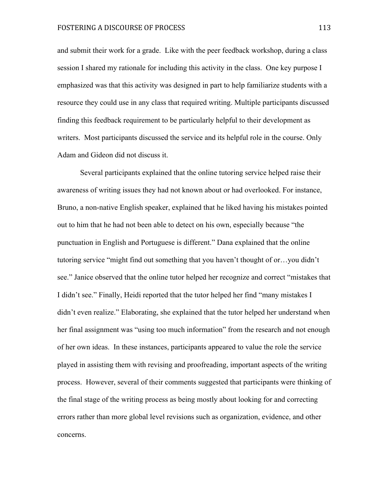and submit their work for a grade. Like with the peer feedback workshop, during a class session I shared my rationale for including this activity in the class. One key purpose I emphasized was that this activity was designed in part to help familiarize students with a resource they could use in any class that required writing. Multiple participants discussed finding this feedback requirement to be particularly helpful to their development as writers. Most participants discussed the service and its helpful role in the course. Only Adam and Gideon did not discuss it.

Several participants explained that the online tutoring service helped raise their awareness of writing issues they had not known about or had overlooked. For instance, Bruno, a non-native English speaker, explained that he liked having his mistakes pointed out to him that he had not been able to detect on his own, especially because "the punctuation in English and Portuguese is different." Dana explained that the online tutoring service "might find out something that you haven't thought of or…you didn't see." Janice observed that the online tutor helped her recognize and correct "mistakes that I didn't see." Finally, Heidi reported that the tutor helped her find "many mistakes I didn't even realize." Elaborating, she explained that the tutor helped her understand when her final assignment was "using too much information" from the research and not enough of her own ideas. In these instances, participants appeared to value the role the service played in assisting them with revising and proofreading, important aspects of the writing process. However, several of their comments suggested that participants were thinking of the final stage of the writing process as being mostly about looking for and correcting errors rather than more global level revisions such as organization, evidence, and other concerns.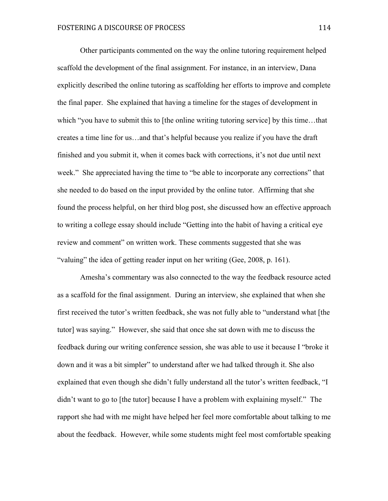Other participants commented on the way the online tutoring requirement helped scaffold the development of the final assignment. For instance, in an interview, Dana explicitly described the online tutoring as scaffolding her efforts to improve and complete the final paper. She explained that having a timeline for the stages of development in which "you have to submit this to [the online writing tutoring service] by this time...that creates a time line for us…and that's helpful because you realize if you have the draft finished and you submit it, when it comes back with corrections, it's not due until next week." She appreciated having the time to "be able to incorporate any corrections" that she needed to do based on the input provided by the online tutor. Affirming that she found the process helpful, on her third blog post, she discussed how an effective approach to writing a college essay should include "Getting into the habit of having a critical eye review and comment" on written work. These comments suggested that she was "valuing" the idea of getting reader input on her writing (Gee, 2008, p. 161).

Amesha's commentary was also connected to the way the feedback resource acted as a scaffold for the final assignment. During an interview, she explained that when she first received the tutor's written feedback, she was not fully able to "understand what [the tutor] was saying." However, she said that once she sat down with me to discuss the feedback during our writing conference session, she was able to use it because I "broke it down and it was a bit simpler" to understand after we had talked through it. She also explained that even though she didn't fully understand all the tutor's written feedback, "I didn't want to go to [the tutor] because I have a problem with explaining myself." The rapport she had with me might have helped her feel more comfortable about talking to me about the feedback. However, while some students might feel most comfortable speaking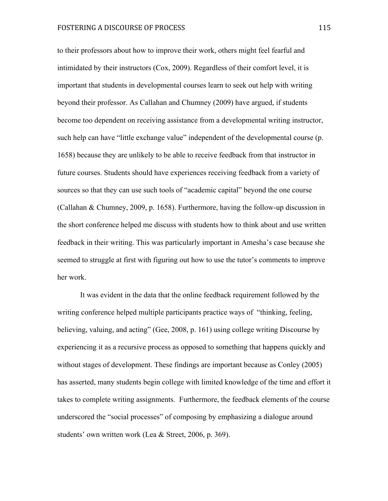to their professors about how to improve their work, others might feel fearful and intimidated by their instructors (Cox, 2009). Regardless of their comfort level, it is important that students in developmental courses learn to seek out help with writing beyond their professor. As Callahan and Chumney (2009) have argued, if students become too dependent on receiving assistance from a developmental writing instructor, such help can have "little exchange value" independent of the developmental course (p. 1658) because they are unlikely to be able to receive feedback from that instructor in future courses. Students should have experiences receiving feedback from a variety of sources so that they can use such tools of "academic capital" beyond the one course (Callahan & Chumney, 2009, p. 1658). Furthermore, having the follow-up discussion in the short conference helped me discuss with students how to think about and use written feedback in their writing. This was particularly important in Amesha's case because she seemed to struggle at first with figuring out how to use the tutor's comments to improve her work.

It was evident in the data that the online feedback requirement followed by the writing conference helped multiple participants practice ways of "thinking, feeling, believing, valuing, and acting" (Gee, 2008, p. 161) using college writing Discourse by experiencing it as a recursive process as opposed to something that happens quickly and without stages of development. These findings are important because as Conley (2005) has asserted, many students begin college with limited knowledge of the time and effort it takes to complete writing assignments. Furthermore, the feedback elements of the course underscored the "social processes" of composing by emphasizing a dialogue around students' own written work (Lea & Street, 2006, p. 369).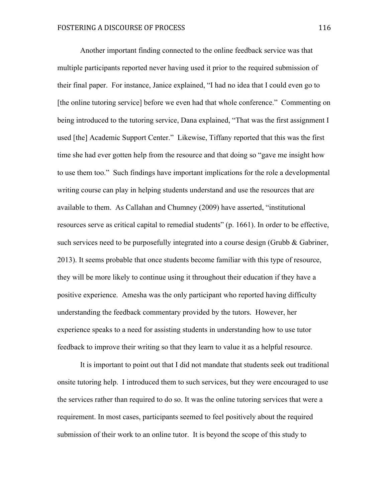Another important finding connected to the online feedback service was that multiple participants reported never having used it prior to the required submission of their final paper. For instance, Janice explained, "I had no idea that I could even go to [the online tutoring service] before we even had that whole conference." Commenting on being introduced to the tutoring service, Dana explained, "That was the first assignment I used [the] Academic Support Center." Likewise, Tiffany reported that this was the first time she had ever gotten help from the resource and that doing so "gave me insight how to use them too." Such findings have important implications for the role a developmental writing course can play in helping students understand and use the resources that are available to them. As Callahan and Chumney (2009) have asserted, "institutional resources serve as critical capital to remedial students" (p. 1661). In order to be effective, such services need to be purposefully integrated into a course design (Grubb & Gabriner, 2013). It seems probable that once students become familiar with this type of resource, they will be more likely to continue using it throughout their education if they have a positive experience. Amesha was the only participant who reported having difficulty understanding the feedback commentary provided by the tutors. However, her experience speaks to a need for assisting students in understanding how to use tutor feedback to improve their writing so that they learn to value it as a helpful resource.

It is important to point out that I did not mandate that students seek out traditional onsite tutoring help. I introduced them to such services, but they were encouraged to use the services rather than required to do so. It was the online tutoring services that were a requirement. In most cases, participants seemed to feel positively about the required submission of their work to an online tutor. It is beyond the scope of this study to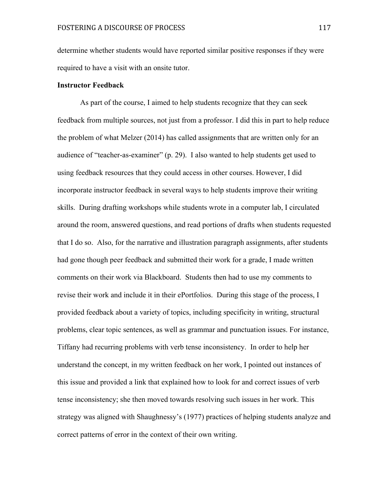determine whether students would have reported similar positive responses if they were required to have a visit with an onsite tutor.

## **Instructor Feedback**

As part of the course, I aimed to help students recognize that they can seek feedback from multiple sources, not just from a professor. I did this in part to help reduce the problem of what Melzer (2014) has called assignments that are written only for an audience of "teacher-as-examiner" (p. 29). I also wanted to help students get used to using feedback resources that they could access in other courses. However, I did incorporate instructor feedback in several ways to help students improve their writing skills. During drafting workshops while students wrote in a computer lab, I circulated around the room, answered questions, and read portions of drafts when students requested that I do so. Also, for the narrative and illustration paragraph assignments, after students had gone though peer feedback and submitted their work for a grade, I made written comments on their work via Blackboard. Students then had to use my comments to revise their work and include it in their ePortfolios. During this stage of the process, I provided feedback about a variety of topics, including specificity in writing, structural problems, clear topic sentences, as well as grammar and punctuation issues. For instance, Tiffany had recurring problems with verb tense inconsistency. In order to help her understand the concept, in my written feedback on her work, I pointed out instances of this issue and provided a link that explained how to look for and correct issues of verb tense inconsistency; she then moved towards resolving such issues in her work. This strategy was aligned with Shaughnessy's (1977) practices of helping students analyze and correct patterns of error in the context of their own writing.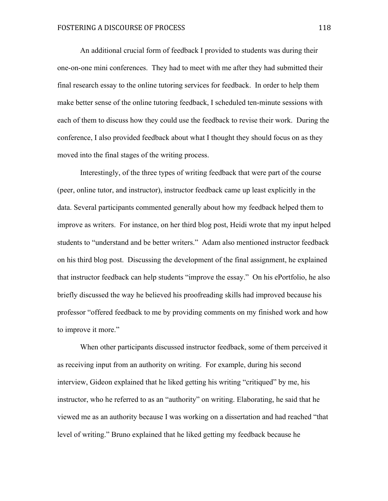An additional crucial form of feedback I provided to students was during their one-on-one mini conferences. They had to meet with me after they had submitted their final research essay to the online tutoring services for feedback. In order to help them make better sense of the online tutoring feedback, I scheduled ten-minute sessions with each of them to discuss how they could use the feedback to revise their work. During the conference, I also provided feedback about what I thought they should focus on as they moved into the final stages of the writing process.

Interestingly, of the three types of writing feedback that were part of the course (peer, online tutor, and instructor), instructor feedback came up least explicitly in the data. Several participants commented generally about how my feedback helped them to improve as writers. For instance, on her third blog post, Heidi wrote that my input helped students to "understand and be better writers." Adam also mentioned instructor feedback on his third blog post. Discussing the development of the final assignment, he explained that instructor feedback can help students "improve the essay." On his ePortfolio, he also briefly discussed the way he believed his proofreading skills had improved because his professor "offered feedback to me by providing comments on my finished work and how to improve it more."

When other participants discussed instructor feedback, some of them perceived it as receiving input from an authority on writing. For example, during his second interview, Gideon explained that he liked getting his writing "critiqued" by me, his instructor, who he referred to as an "authority" on writing. Elaborating, he said that he viewed me as an authority because I was working on a dissertation and had reached "that level of writing." Bruno explained that he liked getting my feedback because he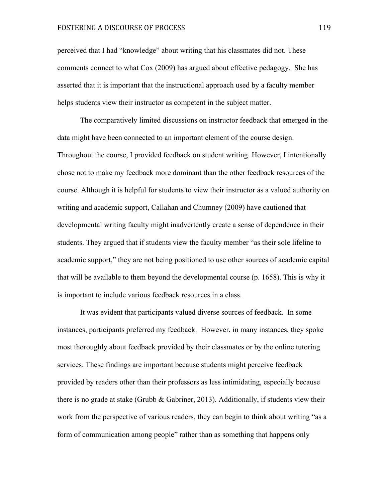perceived that I had "knowledge" about writing that his classmates did not. These comments connect to what Cox (2009) has argued about effective pedagogy. She has asserted that it is important that the instructional approach used by a faculty member helps students view their instructor as competent in the subject matter.

The comparatively limited discussions on instructor feedback that emerged in the data might have been connected to an important element of the course design. Throughout the course, I provided feedback on student writing. However, I intentionally chose not to make my feedback more dominant than the other feedback resources of the course. Although it is helpful for students to view their instructor as a valued authority on writing and academic support, Callahan and Chumney (2009) have cautioned that developmental writing faculty might inadvertently create a sense of dependence in their students. They argued that if students view the faculty member "as their sole lifeline to academic support," they are not being positioned to use other sources of academic capital that will be available to them beyond the developmental course (p. 1658). This is why it is important to include various feedback resources in a class.

It was evident that participants valued diverse sources of feedback. In some instances, participants preferred my feedback. However, in many instances, they spoke most thoroughly about feedback provided by their classmates or by the online tutoring services. These findings are important because students might perceive feedback provided by readers other than their professors as less intimidating, especially because there is no grade at stake (Grubb  $\&$  Gabriner, 2013). Additionally, if students view their work from the perspective of various readers, they can begin to think about writing "as a form of communication among people" rather than as something that happens only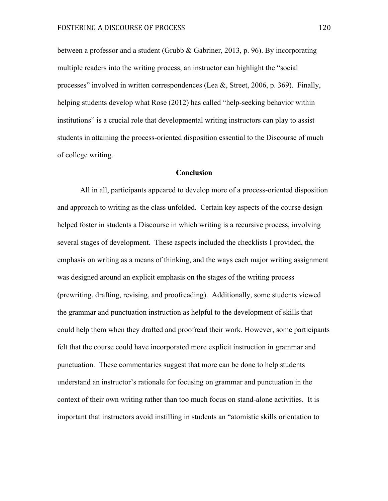between a professor and a student (Grubb & Gabriner, 2013, p. 96). By incorporating multiple readers into the writing process, an instructor can highlight the "social processes" involved in written correspondences (Lea &, Street, 2006, p. 369). Finally, helping students develop what Rose (2012) has called "help-seeking behavior within institutions" is a crucial role that developmental writing instructors can play to assist students in attaining the process-oriented disposition essential to the Discourse of much of college writing.

#### **Conclusion**

All in all, participants appeared to develop more of a process-oriented disposition and approach to writing as the class unfolded. Certain key aspects of the course design helped foster in students a Discourse in which writing is a recursive process, involving several stages of development. These aspects included the checklists I provided, the emphasis on writing as a means of thinking, and the ways each major writing assignment was designed around an explicit emphasis on the stages of the writing process (prewriting, drafting, revising, and proofreading). Additionally, some students viewed the grammar and punctuation instruction as helpful to the development of skills that could help them when they drafted and proofread their work. However, some participants felt that the course could have incorporated more explicit instruction in grammar and punctuation. These commentaries suggest that more can be done to help students understand an instructor's rationale for focusing on grammar and punctuation in the context of their own writing rather than too much focus on stand-alone activities. It is important that instructors avoid instilling in students an "atomistic skills orientation to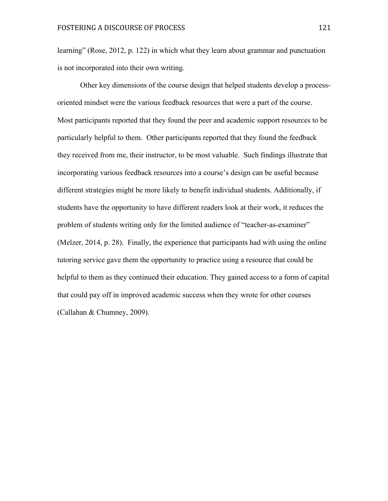learning" (Rose, 2012, p. 122) in which what they learn about grammar and punctuation is not incorporated into their own writing.

Other key dimensions of the course design that helped students develop a processoriented mindset were the various feedback resources that were a part of the course. Most participants reported that they found the peer and academic support resources to be particularly helpful to them. Other participants reported that they found the feedback they received from me, their instructor, to be most valuable. Such findings illustrate that incorporating various feedback resources into a course's design can be useful because different strategies might be more likely to benefit individual students. Additionally, if students have the opportunity to have different readers look at their work, it reduces the problem of students writing only for the limited audience of "teacher-as-examiner" (Melzer, 2014, p. 28). Finally, the experience that participants had with using the online tutoring service gave them the opportunity to practice using a resource that could be helpful to them as they continued their education. They gained access to a form of capital that could pay off in improved academic success when they wrote for other courses (Callahan & Chumney, 2009).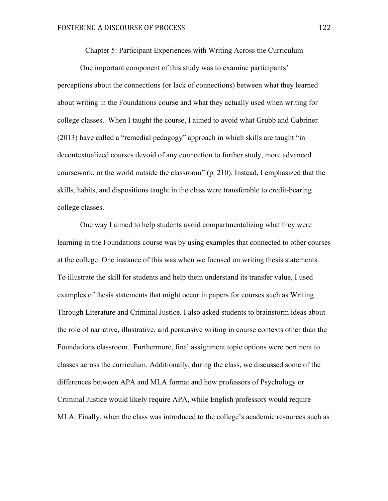Chapter 5: Participant Experiences with Writing Across the Curriculum

One important component of this study was to examine participants' perceptions about the connections (or lack of connections) between what they learned about writing in the Foundations course and what they actually used when writing for college classes. When I taught the course, I aimed to avoid what Grubb and Gabriner (2013) have called a "remedial pedagogy" approach in which skills are taught "in decontextualized courses devoid of any connection to further study, more advanced coursework, or the world outside the classroom" (p. 210). Instead, I emphasized that the skills, habits, and dispositions taught in the class were transferable to credit-bearing college classes.

One way I aimed to help students avoid compartmentalizing what they were learning in the Foundations course was by using examples that connected to other courses at the college. One instance of this was when we focused on writing thesis statements. To illustrate the skill for students and help them understand its transfer value, I used examples of thesis statements that might occur in papers for courses such as Writing Through Literature and Criminal Justice. I also asked students to brainstorm ideas about the role of narrative, illustrative, and persuasive writing in course contexts other than the Foundations classroom. Furthermore, final assignment topic options were pertinent to classes across the curriculum. Additionally, during the class, we discussed some of the differences between APA and MLA format and how professors of Psychology or Criminal Justice would likely require APA, while English professors would require MLA. Finally, when the class was introduced to the college's academic resources such as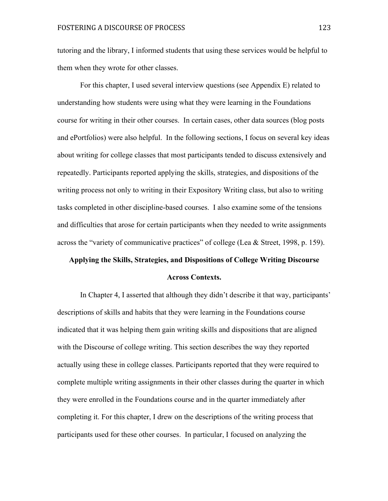tutoring and the library, I informed students that using these services would be helpful to them when they wrote for other classes.

For this chapter, I used several interview questions (see Appendix E) related to understanding how students were using what they were learning in the Foundations course for writing in their other courses. In certain cases, other data sources (blog posts and ePortfolios) were also helpful. In the following sections, I focus on several key ideas about writing for college classes that most participants tended to discuss extensively and repeatedly. Participants reported applying the skills, strategies, and dispositions of the writing process not only to writing in their Expository Writing class, but also to writing tasks completed in other discipline-based courses. I also examine some of the tensions and difficulties that arose for certain participants when they needed to write assignments across the "variety of communicative practices" of college (Lea & Street, 1998, p. 159).

# **Applying the Skills, Strategies, and Dispositions of College Writing Discourse Across Contexts.**

In Chapter 4, I asserted that although they didn't describe it that way, participants' descriptions of skills and habits that they were learning in the Foundations course indicated that it was helping them gain writing skills and dispositions that are aligned with the Discourse of college writing. This section describes the way they reported actually using these in college classes. Participants reported that they were required to complete multiple writing assignments in their other classes during the quarter in which they were enrolled in the Foundations course and in the quarter immediately after completing it. For this chapter, I drew on the descriptions of the writing process that participants used for these other courses. In particular, I focused on analyzing the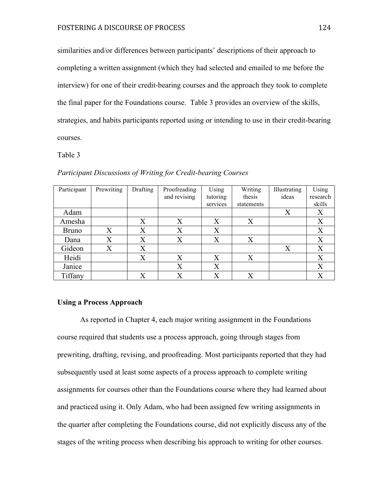similarities and/or differences between participants' descriptions of their approach to completing a written assignment (which they had selected and emailed to me before the interview) for one of their credit-bearing courses and the approach they took to complete the final paper for the Foundations course. Table 3 provides an overview of the skills, strategies, and habits participants reported using or intending to use in their credit-bearing courses.

Table 3

| Participant  | Prewriting        | Drafting | Proofreading | Using    | Writing    | Illustrating | Using    |
|--------------|-------------------|----------|--------------|----------|------------|--------------|----------|
|              |                   |          | and revising | tutoring | thesis     | ideas        | research |
|              |                   |          |              | services | statements |              | skills   |
| Adam         |                   |          |              |          |            | X            | X        |
| Amesha       |                   | X        | X            | X        | X          |              | X        |
| <b>Bruno</b> | X                 | X        | X            | X        |            |              | X        |
| Dana         | $\rm\overline{X}$ | X        | X            | Χ        | X          |              | X        |
| Gideon       | Х                 | X        |              |          |            | X            | X        |
| Heidi        |                   | X        | X            | X        | X          |              | X        |
| Janice       |                   |          | X            | Χ        |            |              | X        |
| Tiffany      |                   | X        | $\rm X$      | X        | Х          |              | X        |

*Participant Discussions of Writing for Credit-bearing Courses*

## **Using a Process Approach**

As reported in Chapter 4, each major writing assignment in the Foundations course required that students use a process approach, going through stages from prewriting, drafting, revising, and proofreading. Most participants reported that they had subsequently used at least some aspects of a process approach to complete writing assignments for courses other than the Foundations course where they had learned about and practiced using it. Only Adam, who had been assigned few writing assignments in the quarter after completing the Foundations course, did not explicitly discuss any of the stages of the writing process when describing his approach to writing for other courses.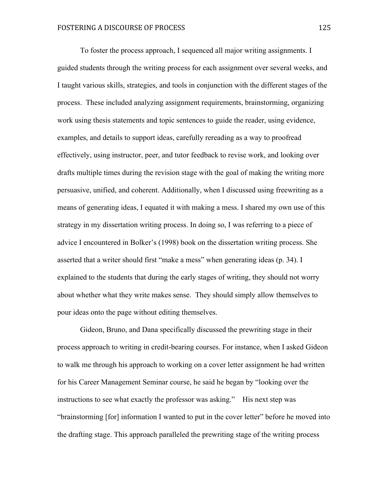To foster the process approach, I sequenced all major writing assignments. I guided students through the writing process for each assignment over several weeks, and I taught various skills, strategies, and tools in conjunction with the different stages of the process. These included analyzing assignment requirements, brainstorming, organizing work using thesis statements and topic sentences to guide the reader, using evidence, examples, and details to support ideas, carefully rereading as a way to proofread effectively, using instructor, peer, and tutor feedback to revise work, and looking over drafts multiple times during the revision stage with the goal of making the writing more persuasive, unified, and coherent. Additionally, when I discussed using freewriting as a means of generating ideas, I equated it with making a mess. I shared my own use of this strategy in my dissertation writing process. In doing so, I was referring to a piece of advice I encountered in Bolker's (1998) book on the dissertation writing process. She asserted that a writer should first "make a mess" when generating ideas (p. 34). I explained to the students that during the early stages of writing, they should not worry about whether what they write makes sense. They should simply allow themselves to pour ideas onto the page without editing themselves.

Gideon, Bruno, and Dana specifically discussed the prewriting stage in their process approach to writing in credit-bearing courses. For instance, when I asked Gideon to walk me through his approach to working on a cover letter assignment he had written for his Career Management Seminar course, he said he began by "looking over the instructions to see what exactly the professor was asking." His next step was "brainstorming [for] information I wanted to put in the cover letter" before he moved into the drafting stage. This approach paralleled the prewriting stage of the writing process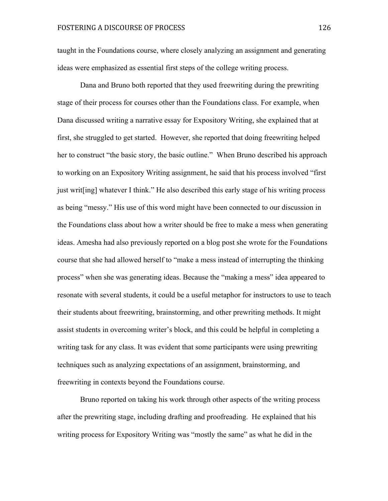taught in the Foundations course, where closely analyzing an assignment and generating ideas were emphasized as essential first steps of the college writing process.

Dana and Bruno both reported that they used freewriting during the prewriting stage of their process for courses other than the Foundations class. For example, when Dana discussed writing a narrative essay for Expository Writing, she explained that at first, she struggled to get started. However, she reported that doing freewriting helped her to construct "the basic story, the basic outline." When Bruno described his approach to working on an Expository Writing assignment, he said that his process involved "first just writ[ing] whatever I think." He also described this early stage of his writing process as being "messy." His use of this word might have been connected to our discussion in the Foundations class about how a writer should be free to make a mess when generating ideas. Amesha had also previously reported on a blog post she wrote for the Foundations course that she had allowed herself to "make a mess instead of interrupting the thinking process" when she was generating ideas. Because the "making a mess" idea appeared to resonate with several students, it could be a useful metaphor for instructors to use to teach their students about freewriting, brainstorming, and other prewriting methods. It might assist students in overcoming writer's block, and this could be helpful in completing a writing task for any class. It was evident that some participants were using prewriting techniques such as analyzing expectations of an assignment, brainstorming, and freewriting in contexts beyond the Foundations course.

Bruno reported on taking his work through other aspects of the writing process after the prewriting stage, including drafting and proofreading. He explained that his writing process for Expository Writing was "mostly the same" as what he did in the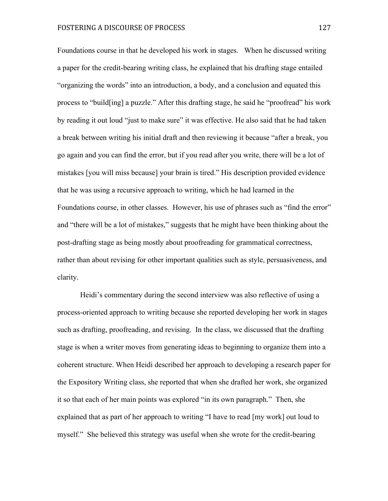Foundations course in that he developed his work in stages. When he discussed writing a paper for the credit-bearing writing class, he explained that his drafting stage entailed "organizing the words" into an introduction, a body, and a conclusion and equated this process to "build[ing] a puzzle." After this drafting stage, he said he "proofread" his work by reading it out loud "just to make sure" it was effective. He also said that he had taken a break between writing his initial draft and then reviewing it because "after a break, you go again and you can find the error, but if you read after you write, there will be a lot of mistakes [you will miss because] your brain is tired." His description provided evidence that he was using a recursive approach to writing, which he had learned in the Foundations course, in other classes. However, his use of phrases such as "find the error" and "there will be a lot of mistakes," suggests that he might have been thinking about the post-drafting stage as being mostly about proofreading for grammatical correctness, rather than about revising for other important qualities such as style, persuasiveness, and clarity.

Heidi's commentary during the second interview was also reflective of using a process-oriented approach to writing because she reported developing her work in stages such as drafting, proofreading, and revising. In the class, we discussed that the drafting stage is when a writer moves from generating ideas to beginning to organize them into a coherent structure. When Heidi described her approach to developing a research paper for the Expository Writing class, she reported that when she drafted her work, she organized it so that each of her main points was explored "in its own paragraph." Then, she explained that as part of her approach to writing "I have to read [my work] out loud to myself." She believed this strategy was useful when she wrote for the credit-bearing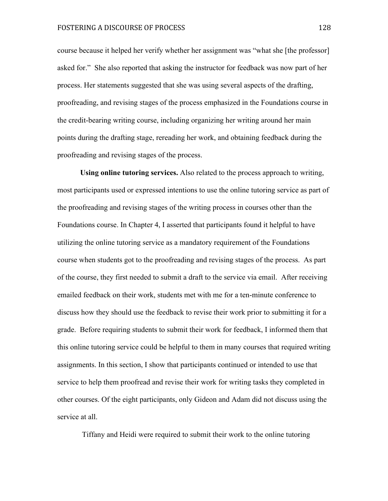course because it helped her verify whether her assignment was "what she [the professor] asked for." She also reported that asking the instructor for feedback was now part of her process. Her statements suggested that she was using several aspects of the drafting, proofreading, and revising stages of the process emphasized in the Foundations course in the credit-bearing writing course, including organizing her writing around her main points during the drafting stage, rereading her work, and obtaining feedback during the proofreading and revising stages of the process.

**Using online tutoring services.** Also related to the process approach to writing, most participants used or expressed intentions to use the online tutoring service as part of the proofreading and revising stages of the writing process in courses other than the Foundations course. In Chapter 4, I asserted that participants found it helpful to have utilizing the online tutoring service as a mandatory requirement of the Foundations course when students got to the proofreading and revising stages of the process. As part of the course, they first needed to submit a draft to the service via email. After receiving emailed feedback on their work, students met with me for a ten-minute conference to discuss how they should use the feedback to revise their work prior to submitting it for a grade. Before requiring students to submit their work for feedback, I informed them that this online tutoring service could be helpful to them in many courses that required writing assignments. In this section, I show that participants continued or intended to use that service to help them proofread and revise their work for writing tasks they completed in other courses. Of the eight participants, only Gideon and Adam did not discuss using the service at all.

Tiffany and Heidi were required to submit their work to the online tutoring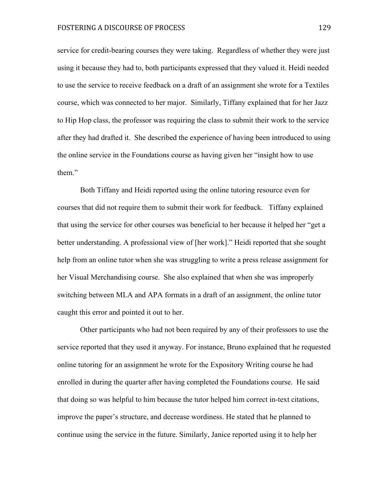service for credit-bearing courses they were taking. Regardless of whether they were just using it because they had to, both participants expressed that they valued it. Heidi needed to use the service to receive feedback on a draft of an assignment she wrote for a Textiles course, which was connected to her major. Similarly, Tiffany explained that for her Jazz to Hip Hop class, the professor was requiring the class to submit their work to the service after they had drafted it. She described the experience of having been introduced to using the online service in the Foundations course as having given her "insight how to use them"

Both Tiffany and Heidi reported using the online tutoring resource even for courses that did not require them to submit their work for feedback. Tiffany explained that using the service for other courses was beneficial to her because it helped her "get a better understanding. A professional view of [her work]." Heidi reported that she sought help from an online tutor when she was struggling to write a press release assignment for her Visual Merchandising course. She also explained that when she was improperly switching between MLA and APA formats in a draft of an assignment, the online tutor caught this error and pointed it out to her.

Other participants who had not been required by any of their professors to use the service reported that they used it anyway. For instance, Bruno explained that he requested online tutoring for an assignment he wrote for the Expository Writing course he had enrolled in during the quarter after having completed the Foundations course. He said that doing so was helpful to him because the tutor helped him correct in-text citations, improve the paper's structure, and decrease wordiness. He stated that he planned to continue using the service in the future. Similarly, Janice reported using it to help her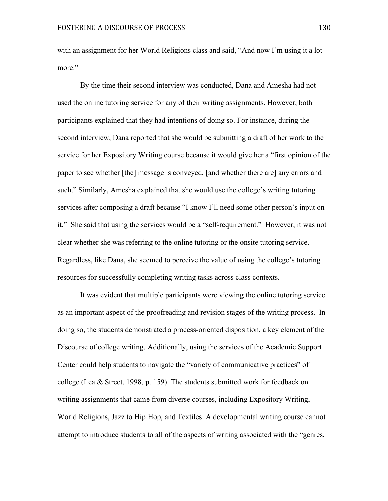with an assignment for her World Religions class and said, "And now I'm using it a lot more."

By the time their second interview was conducted, Dana and Amesha had not used the online tutoring service for any of their writing assignments. However, both participants explained that they had intentions of doing so. For instance, during the second interview, Dana reported that she would be submitting a draft of her work to the service for her Expository Writing course because it would give her a "first opinion of the paper to see whether [the] message is conveyed, [and whether there are] any errors and such." Similarly, Amesha explained that she would use the college's writing tutoring services after composing a draft because "I know I'll need some other person's input on it." She said that using the services would be a "self-requirement." However, it was not clear whether she was referring to the online tutoring or the onsite tutoring service. Regardless, like Dana, she seemed to perceive the value of using the college's tutoring resources for successfully completing writing tasks across class contexts.

It was evident that multiple participants were viewing the online tutoring service as an important aspect of the proofreading and revision stages of the writing process. In doing so, the students demonstrated a process-oriented disposition, a key element of the Discourse of college writing. Additionally, using the services of the Academic Support Center could help students to navigate the "variety of communicative practices" of college (Lea & Street, 1998, p. 159). The students submitted work for feedback on writing assignments that came from diverse courses, including Expository Writing, World Religions, Jazz to Hip Hop, and Textiles. A developmental writing course cannot attempt to introduce students to all of the aspects of writing associated with the "genres,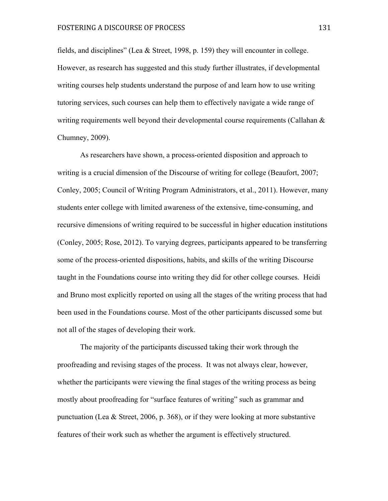fields, and disciplines" (Lea & Street, 1998, p. 159) they will encounter in college. However, as research has suggested and this study further illustrates, if developmental writing courses help students understand the purpose of and learn how to use writing tutoring services, such courses can help them to effectively navigate a wide range of writing requirements well beyond their developmental course requirements (Callahan  $\&$ Chumney, 2009).

As researchers have shown, a process-oriented disposition and approach to writing is a crucial dimension of the Discourse of writing for college (Beaufort, 2007; Conley, 2005; Council of Writing Program Administrators, et al., 2011). However, many students enter college with limited awareness of the extensive, time-consuming, and recursive dimensions of writing required to be successful in higher education institutions (Conley, 2005; Rose, 2012). To varying degrees, participants appeared to be transferring some of the process-oriented dispositions, habits, and skills of the writing Discourse taught in the Foundations course into writing they did for other college courses. Heidi and Bruno most explicitly reported on using all the stages of the writing process that had been used in the Foundations course. Most of the other participants discussed some but not all of the stages of developing their work.

The majority of the participants discussed taking their work through the proofreading and revising stages of the process. It was not always clear, however, whether the participants were viewing the final stages of the writing process as being mostly about proofreading for "surface features of writing" such as grammar and punctuation (Lea & Street, 2006, p. 368), or if they were looking at more substantive features of their work such as whether the argument is effectively structured.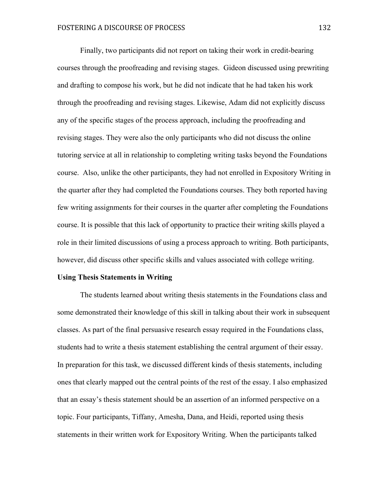Finally, two participants did not report on taking their work in credit-bearing courses through the proofreading and revising stages. Gideon discussed using prewriting and drafting to compose his work, but he did not indicate that he had taken his work through the proofreading and revising stages. Likewise, Adam did not explicitly discuss any of the specific stages of the process approach, including the proofreading and revising stages. They were also the only participants who did not discuss the online tutoring service at all in relationship to completing writing tasks beyond the Foundations course. Also, unlike the other participants, they had not enrolled in Expository Writing in the quarter after they had completed the Foundations courses. They both reported having few writing assignments for their courses in the quarter after completing the Foundations course. It is possible that this lack of opportunity to practice their writing skills played a role in their limited discussions of using a process approach to writing. Both participants, however, did discuss other specific skills and values associated with college writing.

#### **Using Thesis Statements in Writing**

The students learned about writing thesis statements in the Foundations class and some demonstrated their knowledge of this skill in talking about their work in subsequent classes. As part of the final persuasive research essay required in the Foundations class, students had to write a thesis statement establishing the central argument of their essay. In preparation for this task, we discussed different kinds of thesis statements, including ones that clearly mapped out the central points of the rest of the essay. I also emphasized that an essay's thesis statement should be an assertion of an informed perspective on a topic. Four participants, Tiffany, Amesha, Dana, and Heidi, reported using thesis statements in their written work for Expository Writing. When the participants talked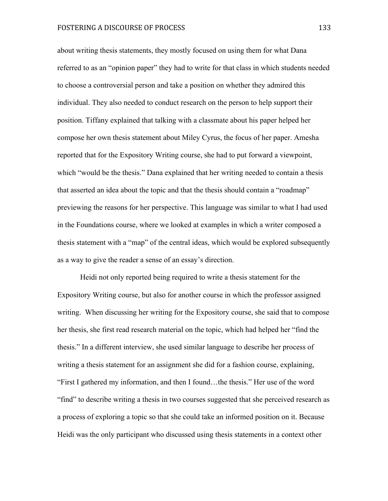about writing thesis statements, they mostly focused on using them for what Dana referred to as an "opinion paper" they had to write for that class in which students needed to choose a controversial person and take a position on whether they admired this individual. They also needed to conduct research on the person to help support their position. Tiffany explained that talking with a classmate about his paper helped her compose her own thesis statement about Miley Cyrus, the focus of her paper. Amesha reported that for the Expository Writing course, she had to put forward a viewpoint, which "would be the thesis." Dana explained that her writing needed to contain a thesis that asserted an idea about the topic and that the thesis should contain a "roadmap" previewing the reasons for her perspective. This language was similar to what I had used in the Foundations course, where we looked at examples in which a writer composed a thesis statement with a "map" of the central ideas, which would be explored subsequently as a way to give the reader a sense of an essay's direction.

Heidi not only reported being required to write a thesis statement for the Expository Writing course, but also for another course in which the professor assigned writing. When discussing her writing for the Expository course, she said that to compose her thesis, she first read research material on the topic, which had helped her "find the thesis." In a different interview, she used similar language to describe her process of writing a thesis statement for an assignment she did for a fashion course, explaining, "First I gathered my information, and then I found…the thesis." Her use of the word "find" to describe writing a thesis in two courses suggested that she perceived research as a process of exploring a topic so that she could take an informed position on it. Because Heidi was the only participant who discussed using thesis statements in a context other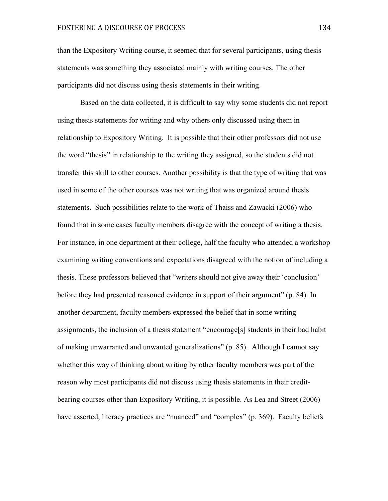than the Expository Writing course, it seemed that for several participants, using thesis statements was something they associated mainly with writing courses. The other participants did not discuss using thesis statements in their writing.

Based on the data collected, it is difficult to say why some students did not report using thesis statements for writing and why others only discussed using them in relationship to Expository Writing. It is possible that their other professors did not use the word "thesis" in relationship to the writing they assigned, so the students did not transfer this skill to other courses. Another possibility is that the type of writing that was used in some of the other courses was not writing that was organized around thesis statements. Such possibilities relate to the work of Thaiss and Zawacki (2006) who found that in some cases faculty members disagree with the concept of writing a thesis. For instance, in one department at their college, half the faculty who attended a workshop examining writing conventions and expectations disagreed with the notion of including a thesis. These professors believed that "writers should not give away their 'conclusion' before they had presented reasoned evidence in support of their argument" (p. 84). In another department, faculty members expressed the belief that in some writing assignments, the inclusion of a thesis statement "encourage[s] students in their bad habit of making unwarranted and unwanted generalizations" (p. 85). Although I cannot say whether this way of thinking about writing by other faculty members was part of the reason why most participants did not discuss using thesis statements in their creditbearing courses other than Expository Writing, it is possible. As Lea and Street (2006) have asserted, literacy practices are "nuanced" and "complex" (p. 369). Faculty beliefs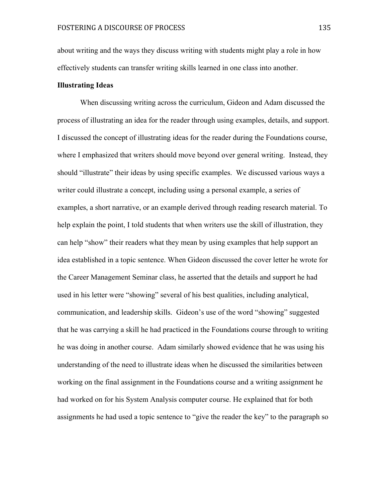about writing and the ways they discuss writing with students might play a role in how effectively students can transfer writing skills learned in one class into another.

### **Illustrating Ideas**

When discussing writing across the curriculum, Gideon and Adam discussed the process of illustrating an idea for the reader through using examples, details, and support. I discussed the concept of illustrating ideas for the reader during the Foundations course, where I emphasized that writers should move beyond over general writing. Instead, they should "illustrate" their ideas by using specific examples. We discussed various ways a writer could illustrate a concept, including using a personal example, a series of examples, a short narrative, or an example derived through reading research material. To help explain the point, I told students that when writers use the skill of illustration, they can help "show" their readers what they mean by using examples that help support an idea established in a topic sentence. When Gideon discussed the cover letter he wrote for the Career Management Seminar class, he asserted that the details and support he had used in his letter were "showing" several of his best qualities, including analytical, communication, and leadership skills. Gideon's use of the word "showing" suggested that he was carrying a skill he had practiced in the Foundations course through to writing he was doing in another course. Adam similarly showed evidence that he was using his understanding of the need to illustrate ideas when he discussed the similarities between working on the final assignment in the Foundations course and a writing assignment he had worked on for his System Analysis computer course. He explained that for both assignments he had used a topic sentence to "give the reader the key" to the paragraph so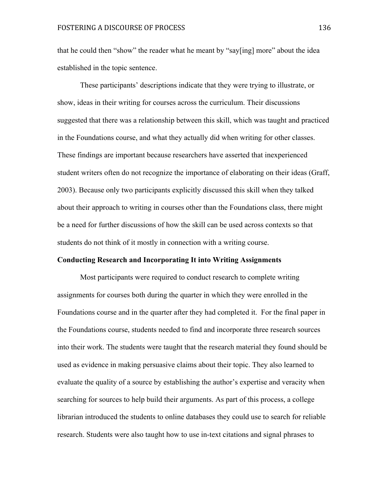that he could then "show" the reader what he meant by "say[ing] more" about the idea established in the topic sentence.

These participants' descriptions indicate that they were trying to illustrate, or show, ideas in their writing for courses across the curriculum. Their discussions suggested that there was a relationship between this skill, which was taught and practiced in the Foundations course, and what they actually did when writing for other classes. These findings are important because researchers have asserted that inexperienced student writers often do not recognize the importance of elaborating on their ideas (Graff, 2003). Because only two participants explicitly discussed this skill when they talked about their approach to writing in courses other than the Foundations class, there might be a need for further discussions of how the skill can be used across contexts so that students do not think of it mostly in connection with a writing course.

#### **Conducting Research and Incorporating It into Writing Assignments**

Most participants were required to conduct research to complete writing assignments for courses both during the quarter in which they were enrolled in the Foundations course and in the quarter after they had completed it. For the final paper in the Foundations course, students needed to find and incorporate three research sources into their work. The students were taught that the research material they found should be used as evidence in making persuasive claims about their topic. They also learned to evaluate the quality of a source by establishing the author's expertise and veracity when searching for sources to help build their arguments. As part of this process, a college librarian introduced the students to online databases they could use to search for reliable research. Students were also taught how to use in-text citations and signal phrases to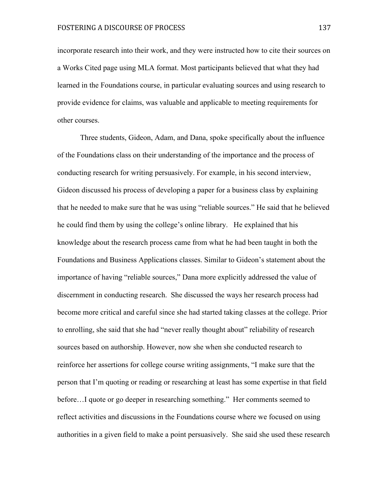incorporate research into their work, and they were instructed how to cite their sources on a Works Cited page using MLA format. Most participants believed that what they had learned in the Foundations course, in particular evaluating sources and using research to provide evidence for claims, was valuable and applicable to meeting requirements for other courses.

Three students, Gideon, Adam, and Dana, spoke specifically about the influence of the Foundations class on their understanding of the importance and the process of conducting research for writing persuasively. For example, in his second interview, Gideon discussed his process of developing a paper for a business class by explaining that he needed to make sure that he was using "reliable sources." He said that he believed he could find them by using the college's online library. He explained that his knowledge about the research process came from what he had been taught in both the Foundations and Business Applications classes. Similar to Gideon's statement about the importance of having "reliable sources," Dana more explicitly addressed the value of discernment in conducting research. She discussed the ways her research process had become more critical and careful since she had started taking classes at the college. Prior to enrolling, she said that she had "never really thought about" reliability of research sources based on authorship. However, now she when she conducted research to reinforce her assertions for college course writing assignments, "I make sure that the person that I'm quoting or reading or researching at least has some expertise in that field before…I quote or go deeper in researching something." Her comments seemed to reflect activities and discussions in the Foundations course where we focused on using authorities in a given field to make a point persuasively. She said she used these research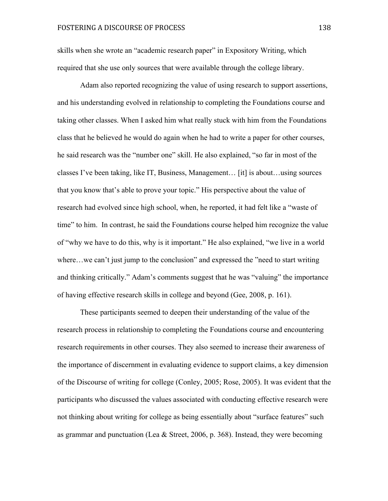skills when she wrote an "academic research paper" in Expository Writing, which required that she use only sources that were available through the college library.

Adam also reported recognizing the value of using research to support assertions, and his understanding evolved in relationship to completing the Foundations course and taking other classes. When I asked him what really stuck with him from the Foundations class that he believed he would do again when he had to write a paper for other courses, he said research was the "number one" skill. He also explained, "so far in most of the classes I've been taking, like IT, Business, Management… [it] is about…using sources that you know that's able to prove your topic." His perspective about the value of research had evolved since high school, when, he reported, it had felt like a "waste of time" to him. In contrast, he said the Foundations course helped him recognize the value of "why we have to do this, why is it important." He also explained, "we live in a world where...we can't just jump to the conclusion" and expressed the "need to start writing and thinking critically." Adam's comments suggest that he was "valuing" the importance of having effective research skills in college and beyond (Gee, 2008, p. 161).

These participants seemed to deepen their understanding of the value of the research process in relationship to completing the Foundations course and encountering research requirements in other courses. They also seemed to increase their awareness of the importance of discernment in evaluating evidence to support claims, a key dimension of the Discourse of writing for college (Conley, 2005; Rose, 2005). It was evident that the participants who discussed the values associated with conducting effective research were not thinking about writing for college as being essentially about "surface features" such as grammar and punctuation (Lea & Street, 2006, p. 368). Instead, they were becoming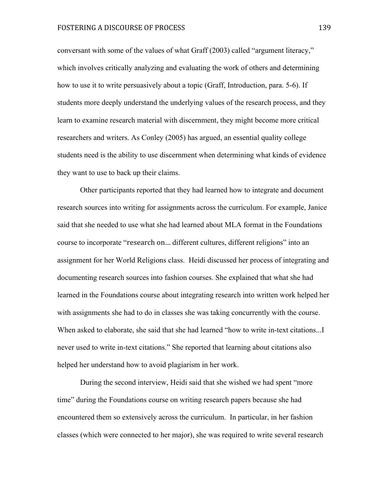conversant with some of the values of what Graff (2003) called "argument literacy," which involves critically analyzing and evaluating the work of others and determining how to use it to write persuasively about a topic (Graff, Introduction, para. 5-6). If students more deeply understand the underlying values of the research process, and they learn to examine research material with discernment, they might become more critical researchers and writers. As Conley (2005) has argued, an essential quality college students need is the ability to use discernment when determining what kinds of evidence they want to use to back up their claims.

Other participants reported that they had learned how to integrate and document research sources into writing for assignments across the curriculum. For example, Janice said that she needed to use what she had learned about MLA format in the Foundations course to incorporate "research on... different cultures, different religions" into an assignment for her World Religions class. Heidi discussed her process of integrating and documenting research sources into fashion courses. She explained that what she had learned in the Foundations course about integrating research into written work helped her with assignments she had to do in classes she was taking concurrently with the course. When asked to elaborate, she said that she had learned "how to write in-text citations... never used to write in-text citations." She reported that learning about citations also helped her understand how to avoid plagiarism in her work.

During the second interview, Heidi said that she wished we had spent "more time" during the Foundations course on writing research papers because she had encountered them so extensively across the curriculum. In particular, in her fashion classes (which were connected to her major), she was required to write several research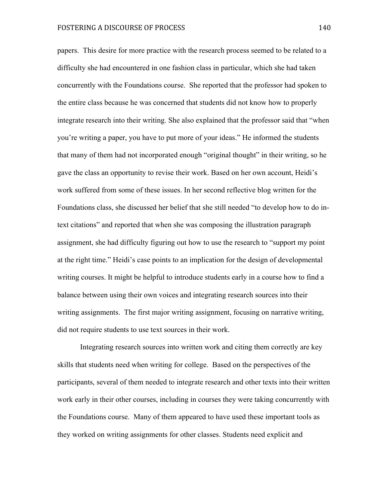papers. This desire for more practice with the research process seemed to be related to a difficulty she had encountered in one fashion class in particular, which she had taken concurrently with the Foundations course. She reported that the professor had spoken to the entire class because he was concerned that students did not know how to properly integrate research into their writing. She also explained that the professor said that "when you're writing a paper, you have to put more of your ideas." He informed the students that many of them had not incorporated enough "original thought" in their writing, so he gave the class an opportunity to revise their work. Based on her own account, Heidi's work suffered from some of these issues. In her second reflective blog written for the Foundations class, she discussed her belief that she still needed "to develop how to do intext citations" and reported that when she was composing the illustration paragraph assignment, she had difficulty figuring out how to use the research to "support my point at the right time." Heidi's case points to an implication for the design of developmental writing courses. It might be helpful to introduce students early in a course how to find a balance between using their own voices and integrating research sources into their writing assignments. The first major writing assignment, focusing on narrative writing, did not require students to use text sources in their work.

Integrating research sources into written work and citing them correctly are key skills that students need when writing for college. Based on the perspectives of the participants, several of them needed to integrate research and other texts into their written work early in their other courses, including in courses they were taking concurrently with the Foundations course. Many of them appeared to have used these important tools as they worked on writing assignments for other classes. Students need explicit and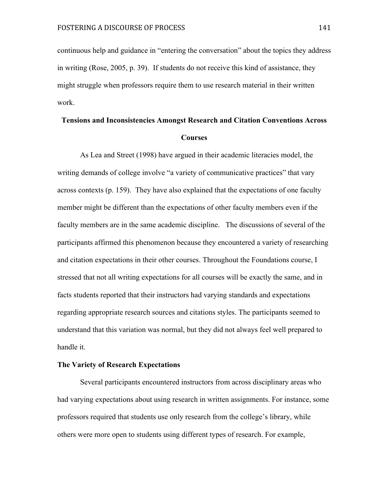continuous help and guidance in "entering the conversation" about the topics they address in writing (Rose, 2005, p. 39). If students do not receive this kind of assistance, they might struggle when professors require them to use research material in their written work.

# **Tensions and Inconsistencies Amongst Research and Citation Conventions Across Courses**

As Lea and Street (1998) have argued in their academic literacies model, the writing demands of college involve "a variety of communicative practices" that vary across contexts (p. 159). They have also explained that the expectations of one faculty member might be different than the expectations of other faculty members even if the faculty members are in the same academic discipline. The discussions of several of the participants affirmed this phenomenon because they encountered a variety of researching and citation expectations in their other courses. Throughout the Foundations course, I stressed that not all writing expectations for all courses will be exactly the same, and in facts students reported that their instructors had varying standards and expectations regarding appropriate research sources and citations styles. The participants seemed to understand that this variation was normal, but they did not always feel well prepared to handle it.

#### **The Variety of Research Expectations**

Several participants encountered instructors from across disciplinary areas who had varying expectations about using research in written assignments. For instance, some professors required that students use only research from the college's library, while others were more open to students using different types of research. For example,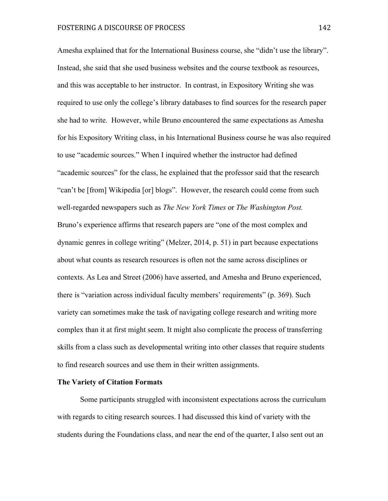Amesha explained that for the International Business course, she "didn't use the library". Instead, she said that she used business websites and the course textbook as resources, and this was acceptable to her instructor. In contrast, in Expository Writing she was required to use only the college's library databases to find sources for the research paper she had to write. However, while Bruno encountered the same expectations as Amesha for his Expository Writing class, in his International Business course he was also required to use "academic sources." When I inquired whether the instructor had defined "academic sources" for the class, he explained that the professor said that the research "can't be [from] Wikipedia [or] blogs". However, the research could come from such well-regarded newspapers such as *The New York Times* or *The Washington Post.* Bruno's experience affirms that research papers are "one of the most complex and dynamic genres in college writing" (Melzer, 2014, p. 51) in part because expectations about what counts as research resources is often not the same across disciplines or contexts. As Lea and Street (2006) have asserted, and Amesha and Bruno experienced, there is "variation across individual faculty members' requirements" (p. 369). Such variety can sometimes make the task of navigating college research and writing more complex than it at first might seem. It might also complicate the process of transferring skills from a class such as developmental writing into other classes that require students to find research sources and use them in their written assignments.

## **The Variety of Citation Formats**

Some participants struggled with inconsistent expectations across the curriculum with regards to citing research sources. I had discussed this kind of variety with the students during the Foundations class, and near the end of the quarter, I also sent out an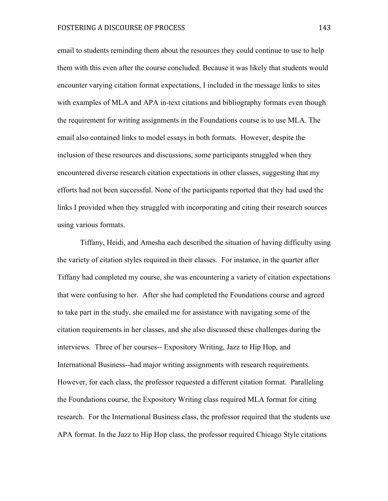email to students reminding them about the resources they could continue to use to help them with this even after the course concluded. Because it was likely that students would encounter varying citation format expectations, I included in the message links to sites with examples of MLA and APA in-text citations and bibliography formats even though the requirement for writing assignments in the Foundations course is to use MLA. The email also contained links to model essays in both formats. However, despite the inclusion of these resources and discussions, some participants struggled when they encountered diverse research citation expectations in other classes, suggesting that my efforts had not been successful. None of the participants reported that they had used the links I provided when they struggled with incorporating and citing their research sources using various formats.

Tiffany, Heidi, and Amesha each described the situation of having difficulty using the variety of citation styles required in their classes. For instance, in the quarter after Tiffany had completed my course, she was encountering a variety of citation expectations that were confusing to her. After she had completed the Foundations course and agreed to take part in the study, she emailed me for assistance with navigating some of the citation requirements in her classes, and she also discussed these challenges during the interviews. Three of her courses-- Expository Writing, Jazz to Hip Hop, and International Business--had major writing assignments with research requirements. However, for each class, the professor requested a different citation format. Paralleling the Foundations course, the Expository Writing class required MLA format for citing research. For the International Business class, the professor required that the students use APA format. In the Jazz to Hip Hop class, the professor required Chicago Style citations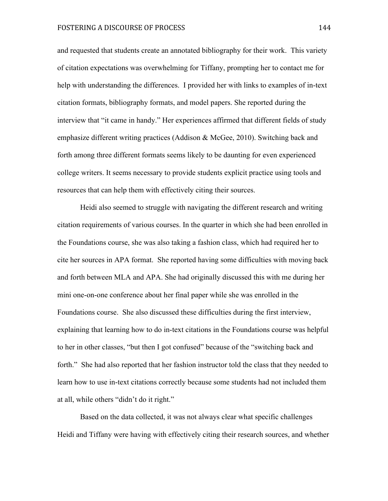and requested that students create an annotated bibliography for their work. This variety of citation expectations was overwhelming for Tiffany, prompting her to contact me for help with understanding the differences. I provided her with links to examples of in-text citation formats, bibliography formats, and model papers. She reported during the interview that "it came in handy." Her experiences affirmed that different fields of study emphasize different writing practices (Addison & McGee, 2010). Switching back and forth among three different formats seems likely to be daunting for even experienced college writers. It seems necessary to provide students explicit practice using tools and resources that can help them with effectively citing their sources.

Heidi also seemed to struggle with navigating the different research and writing citation requirements of various courses. In the quarter in which she had been enrolled in the Foundations course, she was also taking a fashion class, which had required her to cite her sources in APA format. She reported having some difficulties with moving back and forth between MLA and APA. She had originally discussed this with me during her mini one-on-one conference about her final paper while she was enrolled in the Foundations course. She also discussed these difficulties during the first interview, explaining that learning how to do in-text citations in the Foundations course was helpful to her in other classes, "but then I got confused" because of the "switching back and forth." She had also reported that her fashion instructor told the class that they needed to learn how to use in-text citations correctly because some students had not included them at all, while others "didn't do it right."

Based on the data collected, it was not always clear what specific challenges Heidi and Tiffany were having with effectively citing their research sources, and whether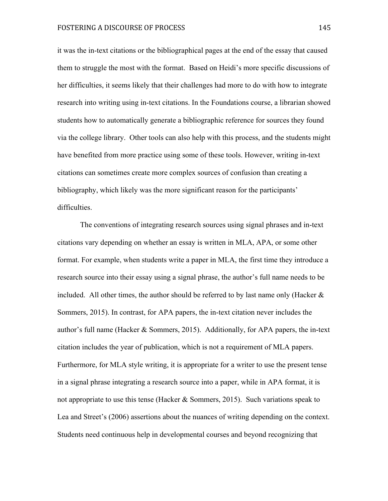it was the in-text citations or the bibliographical pages at the end of the essay that caused them to struggle the most with the format. Based on Heidi's more specific discussions of her difficulties, it seems likely that their challenges had more to do with how to integrate research into writing using in-text citations. In the Foundations course, a librarian showed students how to automatically generate a bibliographic reference for sources they found via the college library. Other tools can also help with this process, and the students might have benefited from more practice using some of these tools. However, writing in-text citations can sometimes create more complex sources of confusion than creating a bibliography, which likely was the more significant reason for the participants' difficulties.

The conventions of integrating research sources using signal phrases and in-text citations vary depending on whether an essay is written in MLA, APA, or some other format. For example, when students write a paper in MLA, the first time they introduce a research source into their essay using a signal phrase, the author's full name needs to be included. All other times, the author should be referred to by last name only (Hacker  $\&$ Sommers, 2015). In contrast, for APA papers, the in-text citation never includes the author's full name (Hacker & Sommers, 2015). Additionally, for APA papers, the in-text citation includes the year of publication, which is not a requirement of MLA papers. Furthermore, for MLA style writing, it is appropriate for a writer to use the present tense in a signal phrase integrating a research source into a paper, while in APA format, it is not appropriate to use this tense (Hacker & Sommers, 2015). Such variations speak to Lea and Street's (2006) assertions about the nuances of writing depending on the context. Students need continuous help in developmental courses and beyond recognizing that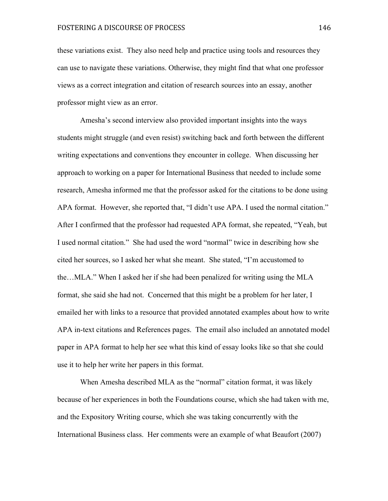these variations exist. They also need help and practice using tools and resources they can use to navigate these variations. Otherwise, they might find that what one professor views as a correct integration and citation of research sources into an essay, another professor might view as an error.

Amesha's second interview also provided important insights into the ways students might struggle (and even resist) switching back and forth between the different writing expectations and conventions they encounter in college. When discussing her approach to working on a paper for International Business that needed to include some research, Amesha informed me that the professor asked for the citations to be done using APA format. However, she reported that, "I didn't use APA. I used the normal citation." After I confirmed that the professor had requested APA format, she repeated, "Yeah, but I used normal citation." She had used the word "normal" twice in describing how she cited her sources, so I asked her what she meant. She stated, "I'm accustomed to the…MLA." When I asked her if she had been penalized for writing using the MLA format, she said she had not. Concerned that this might be a problem for her later, I emailed her with links to a resource that provided annotated examples about how to write APA in-text citations and References pages. The email also included an annotated model paper in APA format to help her see what this kind of essay looks like so that she could use it to help her write her papers in this format.

When Amesha described MLA as the "normal" citation format, it was likely because of her experiences in both the Foundations course, which she had taken with me, and the Expository Writing course, which she was taking concurrently with the International Business class. Her comments were an example of what Beaufort (2007)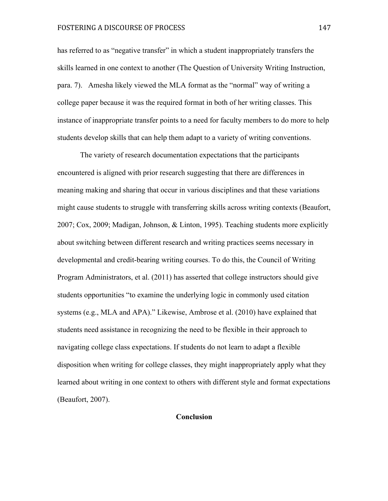# FOSTERING A DISCOURSE OF PROCESS 147

has referred to as "negative transfer" in which a student inappropriately transfers the skills learned in one context to another (The Question of University Writing Instruction, para. 7). Amesha likely viewed the MLA format as the "normal" way of writing a college paper because it was the required format in both of her writing classes. This instance of inappropriate transfer points to a need for faculty members to do more to help students develop skills that can help them adapt to a variety of writing conventions.

The variety of research documentation expectations that the participants encountered is aligned with prior research suggesting that there are differences in meaning making and sharing that occur in various disciplines and that these variations might cause students to struggle with transferring skills across writing contexts (Beaufort, 2007; Cox, 2009; Madigan, Johnson, & Linton, 1995). Teaching students more explicitly about switching between different research and writing practices seems necessary in developmental and credit-bearing writing courses. To do this, the Council of Writing Program Administrators, et al. (2011) has asserted that college instructors should give students opportunities "to examine the underlying logic in commonly used citation systems (e.g., MLA and APA)." Likewise, Ambrose et al. (2010) have explained that students need assistance in recognizing the need to be flexible in their approach to navigating college class expectations. If students do not learn to adapt a flexible disposition when writing for college classes, they might inappropriately apply what they learned about writing in one context to others with different style and format expectations (Beaufort, 2007).

# **Conclusion**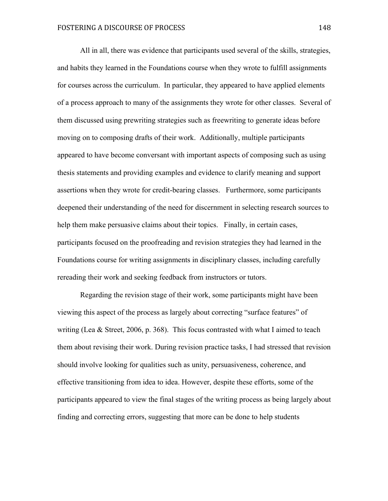All in all, there was evidence that participants used several of the skills, strategies, and habits they learned in the Foundations course when they wrote to fulfill assignments for courses across the curriculum. In particular, they appeared to have applied elements of a process approach to many of the assignments they wrote for other classes. Several of them discussed using prewriting strategies such as freewriting to generate ideas before moving on to composing drafts of their work. Additionally, multiple participants appeared to have become conversant with important aspects of composing such as using thesis statements and providing examples and evidence to clarify meaning and support assertions when they wrote for credit-bearing classes. Furthermore, some participants deepened their understanding of the need for discernment in selecting research sources to help them make persuasive claims about their topics. Finally, in certain cases, participants focused on the proofreading and revision strategies they had learned in the Foundations course for writing assignments in disciplinary classes, including carefully rereading their work and seeking feedback from instructors or tutors.

Regarding the revision stage of their work, some participants might have been viewing this aspect of the process as largely about correcting "surface features" of writing (Lea & Street, 2006, p. 368). This focus contrasted with what I aimed to teach them about revising their work. During revision practice tasks, I had stressed that revision should involve looking for qualities such as unity, persuasiveness, coherence, and effective transitioning from idea to idea. However, despite these efforts, some of the participants appeared to view the final stages of the writing process as being largely about finding and correcting errors, suggesting that more can be done to help students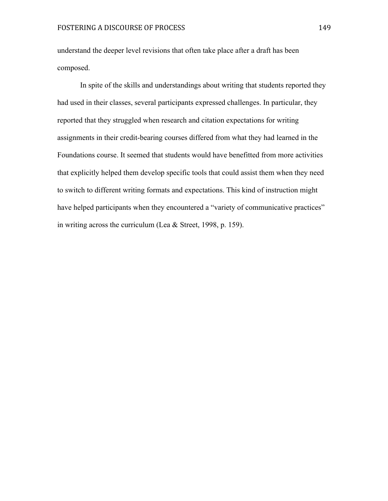understand the deeper level revisions that often take place after a draft has been composed.

In spite of the skills and understandings about writing that students reported they had used in their classes, several participants expressed challenges. In particular, they reported that they struggled when research and citation expectations for writing assignments in their credit-bearing courses differed from what they had learned in the Foundations course. It seemed that students would have benefitted from more activities that explicitly helped them develop specific tools that could assist them when they need to switch to different writing formats and expectations. This kind of instruction might have helped participants when they encountered a "variety of communicative practices" in writing across the curriculum (Lea & Street, 1998, p. 159).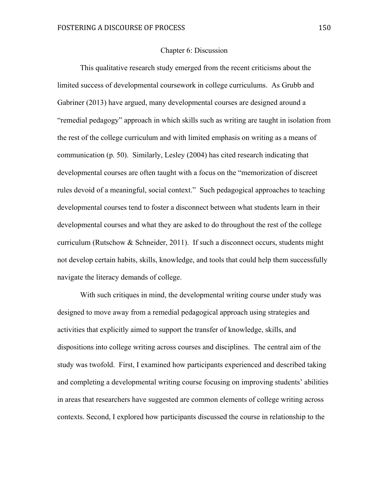#### Chapter 6: Discussion

This qualitative research study emerged from the recent criticisms about the limited success of developmental coursework in college curriculums. As Grubb and Gabriner (2013) have argued, many developmental courses are designed around a "remedial pedagogy" approach in which skills such as writing are taught in isolation from the rest of the college curriculum and with limited emphasis on writing as a means of communication (p. 50). Similarly, Lesley (2004) has cited research indicating that developmental courses are often taught with a focus on the "memorization of discreet rules devoid of a meaningful, social context." Such pedagogical approaches to teaching developmental courses tend to foster a disconnect between what students learn in their developmental courses and what they are asked to do throughout the rest of the college curriculum (Rutschow  $&$  Schneider, 2011). If such a disconnect occurs, students might not develop certain habits, skills, knowledge, and tools that could help them successfully navigate the literacy demands of college.

With such critiques in mind, the developmental writing course under study was designed to move away from a remedial pedagogical approach using strategies and activities that explicitly aimed to support the transfer of knowledge, skills, and dispositions into college writing across courses and disciplines. The central aim of the study was twofold. First, I examined how participants experienced and described taking and completing a developmental writing course focusing on improving students' abilities in areas that researchers have suggested are common elements of college writing across contexts. Second, I explored how participants discussed the course in relationship to the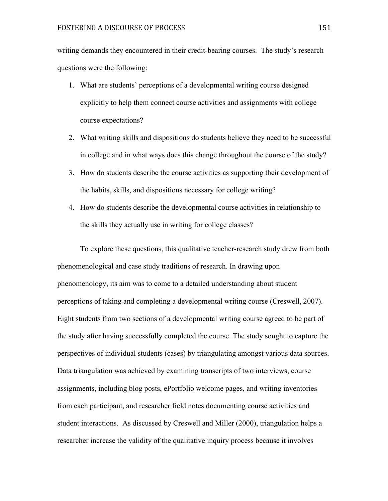writing demands they encountered in their credit-bearing courses. The study's research questions were the following:

- 1. What are students' perceptions of a developmental writing course designed explicitly to help them connect course activities and assignments with college course expectations?
- 2. What writing skills and dispositions do students believe they need to be successful in college and in what ways does this change throughout the course of the study?
- 3. How do students describe the course activities as supporting their development of the habits, skills, and dispositions necessary for college writing?
- 4. How do students describe the developmental course activities in relationship to the skills they actually use in writing for college classes?

To explore these questions, this qualitative teacher-research study drew from both phenomenological and case study traditions of research. In drawing upon phenomenology, its aim was to come to a detailed understanding about student perceptions of taking and completing a developmental writing course (Creswell, 2007). Eight students from two sections of a developmental writing course agreed to be part of the study after having successfully completed the course. The study sought to capture the perspectives of individual students (cases) by triangulating amongst various data sources. Data triangulation was achieved by examining transcripts of two interviews, course assignments, including blog posts, ePortfolio welcome pages, and writing inventories from each participant, and researcher field notes documenting course activities and student interactions. As discussed by Creswell and Miller (2000), triangulation helps a researcher increase the validity of the qualitative inquiry process because it involves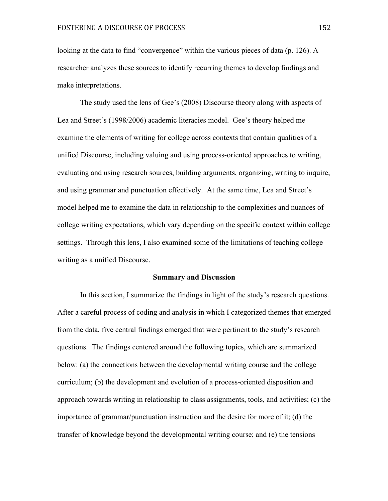looking at the data to find "convergence" within the various pieces of data (p. 126). A researcher analyzes these sources to identify recurring themes to develop findings and make interpretations.

The study used the lens of Gee's (2008) Discourse theory along with aspects of Lea and Street's (1998/2006) academic literacies model. Gee's theory helped me examine the elements of writing for college across contexts that contain qualities of a unified Discourse, including valuing and using process-oriented approaches to writing, evaluating and using research sources, building arguments, organizing, writing to inquire, and using grammar and punctuation effectively. At the same time, Lea and Street's model helped me to examine the data in relationship to the complexities and nuances of college writing expectations, which vary depending on the specific context within college settings. Through this lens, I also examined some of the limitations of teaching college writing as a unified Discourse.

#### **Summary and Discussion**

In this section, I summarize the findings in light of the study's research questions. After a careful process of coding and analysis in which I categorized themes that emerged from the data, five central findings emerged that were pertinent to the study's research questions. The findings centered around the following topics, which are summarized below: (a) the connections between the developmental writing course and the college curriculum; (b) the development and evolution of a process-oriented disposition and approach towards writing in relationship to class assignments, tools, and activities; (c) the importance of grammar/punctuation instruction and the desire for more of it; (d) the transfer of knowledge beyond the developmental writing course; and (e) the tensions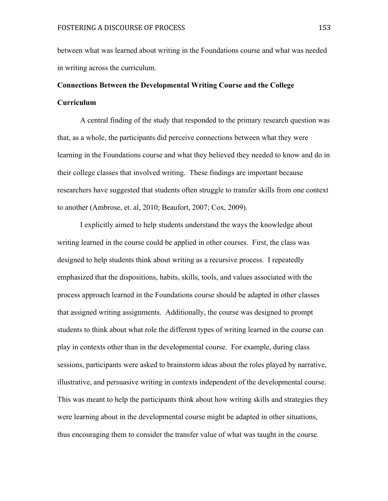between what was learned about writing in the Foundations course and what was needed in writing across the curriculum.

# **Connections Between the Developmental Writing Course and the College Curriculum**

A central finding of the study that responded to the primary research question was that, as a whole, the participants did perceive connections between what they were learning in the Foundations course and what they believed they needed to know and do in their college classes that involved writing. These findings are important because researchers have suggested that students often struggle to transfer skills from one context to another (Ambrose, et. al, 2010; Beaufort, 2007; Cox, 2009).

I explicitly aimed to help students understand the ways the knowledge about writing learned in the course could be applied in other courses. First, the class was designed to help students think about writing as a recursive process. I repeatedly emphasized that the dispositions, habits, skills, tools, and values associated with the process approach learned in the Foundations course should be adapted in other classes that assigned writing assignments. Additionally, the course was designed to prompt students to think about what role the different types of writing learned in the course can play in contexts other than in the developmental course. For example, during class sessions, participants were asked to brainstorm ideas about the roles played by narrative, illustrative, and persuasive writing in contexts independent of the developmental course. This was meant to help the participants think about how writing skills and strategies they were learning about in the developmental course might be adapted in other situations, thus encouraging them to consider the transfer value of what was taught in the course.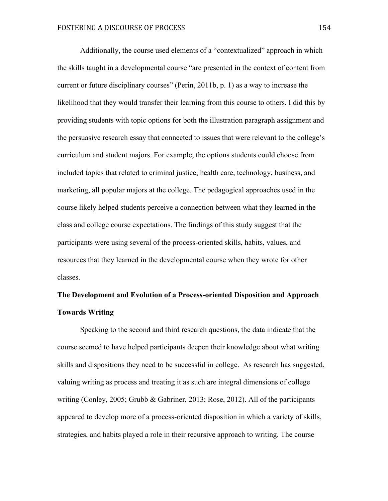Additionally, the course used elements of a "contextualized" approach in which the skills taught in a developmental course "are presented in the context of content from current or future disciplinary courses" (Perin, 2011b, p. 1) as a way to increase the likelihood that they would transfer their learning from this course to others. I did this by providing students with topic options for both the illustration paragraph assignment and the persuasive research essay that connected to issues that were relevant to the college's curriculum and student majors. For example, the options students could choose from included topics that related to criminal justice, health care, technology, business, and marketing, all popular majors at the college. The pedagogical approaches used in the course likely helped students perceive a connection between what they learned in the class and college course expectations. The findings of this study suggest that the participants were using several of the process-oriented skills, habits, values, and resources that they learned in the developmental course when they wrote for other classes.

# **The Development and Evolution of a Process-oriented Disposition and Approach Towards Writing**

Speaking to the second and third research questions, the data indicate that the course seemed to have helped participants deepen their knowledge about what writing skills and dispositions they need to be successful in college. As research has suggested, valuing writing as process and treating it as such are integral dimensions of college writing (Conley, 2005; Grubb & Gabriner, 2013; Rose, 2012). All of the participants appeared to develop more of a process-oriented disposition in which a variety of skills, strategies, and habits played a role in their recursive approach to writing. The course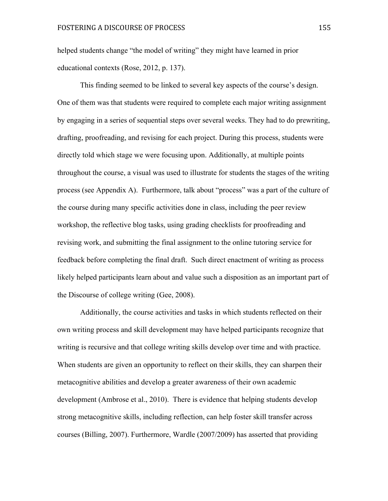helped students change "the model of writing" they might have learned in prior educational contexts (Rose, 2012, p. 137).

This finding seemed to be linked to several key aspects of the course's design. One of them was that students were required to complete each major writing assignment by engaging in a series of sequential steps over several weeks. They had to do prewriting, drafting, proofreading, and revising for each project. During this process, students were directly told which stage we were focusing upon. Additionally, at multiple points throughout the course, a visual was used to illustrate for students the stages of the writing process (see Appendix A). Furthermore, talk about "process" was a part of the culture of the course during many specific activities done in class, including the peer review workshop, the reflective blog tasks, using grading checklists for proofreading and revising work, and submitting the final assignment to the online tutoring service for feedback before completing the final draft. Such direct enactment of writing as process likely helped participants learn about and value such a disposition as an important part of the Discourse of college writing (Gee, 2008).

Additionally, the course activities and tasks in which students reflected on their own writing process and skill development may have helped participants recognize that writing is recursive and that college writing skills develop over time and with practice. When students are given an opportunity to reflect on their skills, they can sharpen their metacognitive abilities and develop a greater awareness of their own academic development (Ambrose et al., 2010). There is evidence that helping students develop strong metacognitive skills, including reflection, can help foster skill transfer across courses (Billing, 2007). Furthermore, Wardle (2007/2009) has asserted that providing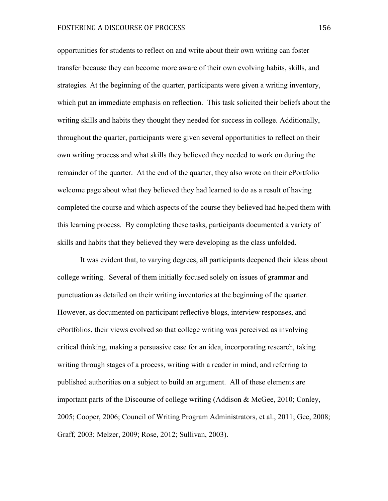opportunities for students to reflect on and write about their own writing can foster transfer because they can become more aware of their own evolving habits, skills, and strategies. At the beginning of the quarter, participants were given a writing inventory, which put an immediate emphasis on reflection. This task solicited their beliefs about the writing skills and habits they thought they needed for success in college. Additionally, throughout the quarter, participants were given several opportunities to reflect on their own writing process and what skills they believed they needed to work on during the remainder of the quarter. At the end of the quarter, they also wrote on their ePortfolio welcome page about what they believed they had learned to do as a result of having completed the course and which aspects of the course they believed had helped them with this learning process. By completing these tasks, participants documented a variety of skills and habits that they believed they were developing as the class unfolded.

It was evident that, to varying degrees, all participants deepened their ideas about college writing. Several of them initially focused solely on issues of grammar and punctuation as detailed on their writing inventories at the beginning of the quarter. However, as documented on participant reflective blogs, interview responses, and ePortfolios, their views evolved so that college writing was perceived as involving critical thinking, making a persuasive case for an idea, incorporating research, taking writing through stages of a process, writing with a reader in mind, and referring to published authorities on a subject to build an argument. All of these elements are important parts of the Discourse of college writing (Addison & McGee, 2010; Conley, 2005; Cooper, 2006; Council of Writing Program Administrators, et al., 2011; Gee, 2008; Graff, 2003; Melzer, 2009; Rose, 2012; Sullivan, 2003).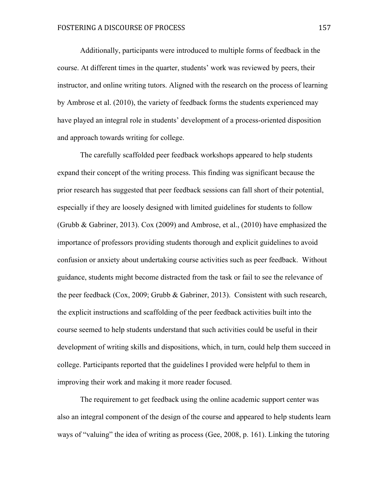Additionally, participants were introduced to multiple forms of feedback in the course. At different times in the quarter, students' work was reviewed by peers, their instructor, and online writing tutors. Aligned with the research on the process of learning by Ambrose et al. (2010), the variety of feedback forms the students experienced may have played an integral role in students' development of a process-oriented disposition and approach towards writing for college.

The carefully scaffolded peer feedback workshops appeared to help students expand their concept of the writing process. This finding was significant because the prior research has suggested that peer feedback sessions can fall short of their potential, especially if they are loosely designed with limited guidelines for students to follow (Grubb & Gabriner, 2013). Cox (2009) and Ambrose, et al., (2010) have emphasized the importance of professors providing students thorough and explicit guidelines to avoid confusion or anxiety about undertaking course activities such as peer feedback. Without guidance, students might become distracted from the task or fail to see the relevance of the peer feedback (Cox, 2009; Grubb & Gabriner, 2013). Consistent with such research, the explicit instructions and scaffolding of the peer feedback activities built into the course seemed to help students understand that such activities could be useful in their development of writing skills and dispositions, which, in turn, could help them succeed in college. Participants reported that the guidelines I provided were helpful to them in improving their work and making it more reader focused.

The requirement to get feedback using the online academic support center was also an integral component of the design of the course and appeared to help students learn ways of "valuing" the idea of writing as process (Gee, 2008, p. 161). Linking the tutoring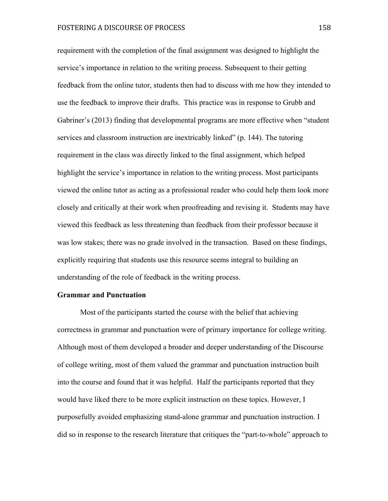requirement with the completion of the final assignment was designed to highlight the service's importance in relation to the writing process. Subsequent to their getting feedback from the online tutor, students then had to discuss with me how they intended to use the feedback to improve their drafts. This practice was in response to Grubb and Gabriner's (2013) finding that developmental programs are more effective when "student services and classroom instruction are inextricably linked" (p. 144). The tutoring requirement in the class was directly linked to the final assignment, which helped highlight the service's importance in relation to the writing process. Most participants viewed the online tutor as acting as a professional reader who could help them look more closely and critically at their work when proofreading and revising it. Students may have viewed this feedback as less threatening than feedback from their professor because it was low stakes; there was no grade involved in the transaction. Based on these findings, explicitly requiring that students use this resource seems integral to building an understanding of the role of feedback in the writing process.

#### **Grammar and Punctuation**

Most of the participants started the course with the belief that achieving correctness in grammar and punctuation were of primary importance for college writing. Although most of them developed a broader and deeper understanding of the Discourse of college writing, most of them valued the grammar and punctuation instruction built into the course and found that it was helpful. Half the participants reported that they would have liked there to be more explicit instruction on these topics. However, I purposefully avoided emphasizing stand-alone grammar and punctuation instruction. I did so in response to the research literature that critiques the "part-to-whole" approach to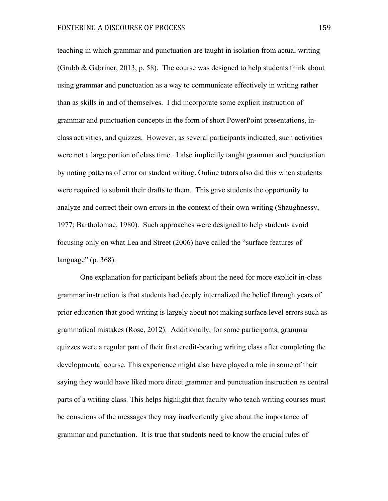teaching in which grammar and punctuation are taught in isolation from actual writing (Grubb & Gabriner, 2013, p. 58). The course was designed to help students think about using grammar and punctuation as a way to communicate effectively in writing rather than as skills in and of themselves. I did incorporate some explicit instruction of grammar and punctuation concepts in the form of short PowerPoint presentations, inclass activities, and quizzes. However, as several participants indicated, such activities were not a large portion of class time. I also implicitly taught grammar and punctuation by noting patterns of error on student writing. Online tutors also did this when students were required to submit their drafts to them. This gave students the opportunity to analyze and correct their own errors in the context of their own writing (Shaughnessy, 1977; Bartholomae, 1980). Such approaches were designed to help students avoid focusing only on what Lea and Street (2006) have called the "surface features of language" (p. 368).

One explanation for participant beliefs about the need for more explicit in-class grammar instruction is that students had deeply internalized the belief through years of prior education that good writing is largely about not making surface level errors such as grammatical mistakes (Rose, 2012). Additionally, for some participants, grammar quizzes were a regular part of their first credit-bearing writing class after completing the developmental course. This experience might also have played a role in some of their saying they would have liked more direct grammar and punctuation instruction as central parts of a writing class. This helps highlight that faculty who teach writing courses must be conscious of the messages they may inadvertently give about the importance of grammar and punctuation. It is true that students need to know the crucial rules of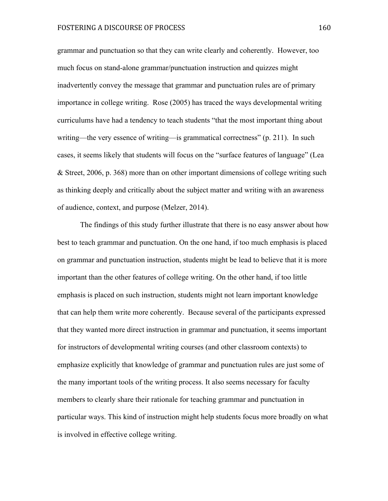grammar and punctuation so that they can write clearly and coherently. However, too much focus on stand-alone grammar/punctuation instruction and quizzes might inadvertently convey the message that grammar and punctuation rules are of primary importance in college writing. Rose (2005) has traced the ways developmental writing curriculums have had a tendency to teach students "that the most important thing about writing—the very essence of writing—is grammatical correctness" (p. 211). In such cases, it seems likely that students will focus on the "surface features of language" (Lea & Street, 2006, p. 368) more than on other important dimensions of college writing such as thinking deeply and critically about the subject matter and writing with an awareness of audience, context, and purpose (Melzer, 2014).

The findings of this study further illustrate that there is no easy answer about how best to teach grammar and punctuation. On the one hand, if too much emphasis is placed on grammar and punctuation instruction, students might be lead to believe that it is more important than the other features of college writing. On the other hand, if too little emphasis is placed on such instruction, students might not learn important knowledge that can help them write more coherently. Because several of the participants expressed that they wanted more direct instruction in grammar and punctuation, it seems important for instructors of developmental writing courses (and other classroom contexts) to emphasize explicitly that knowledge of grammar and punctuation rules are just some of the many important tools of the writing process. It also seems necessary for faculty members to clearly share their rationale for teaching grammar and punctuation in particular ways. This kind of instruction might help students focus more broadly on what is involved in effective college writing.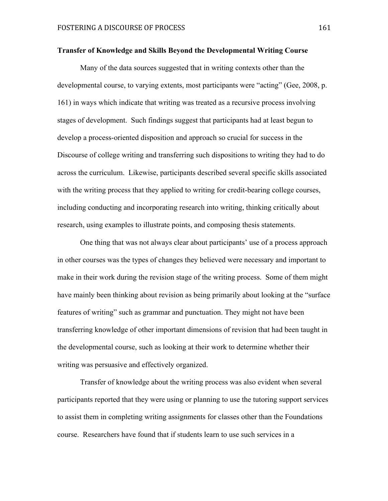#### **Transfer of Knowledge and Skills Beyond the Developmental Writing Course**

Many of the data sources suggested that in writing contexts other than the developmental course, to varying extents, most participants were "acting" (Gee, 2008, p. 161) in ways which indicate that writing was treated as a recursive process involving stages of development. Such findings suggest that participants had at least begun to develop a process-oriented disposition and approach so crucial for success in the Discourse of college writing and transferring such dispositions to writing they had to do across the curriculum. Likewise, participants described several specific skills associated with the writing process that they applied to writing for credit-bearing college courses, including conducting and incorporating research into writing, thinking critically about research, using examples to illustrate points, and composing thesis statements.

One thing that was not always clear about participants' use of a process approach in other courses was the types of changes they believed were necessary and important to make in their work during the revision stage of the writing process. Some of them might have mainly been thinking about revision as being primarily about looking at the "surface features of writing" such as grammar and punctuation. They might not have been transferring knowledge of other important dimensions of revision that had been taught in the developmental course, such as looking at their work to determine whether their writing was persuasive and effectively organized.

Transfer of knowledge about the writing process was also evident when several participants reported that they were using or planning to use the tutoring support services to assist them in completing writing assignments for classes other than the Foundations course. Researchers have found that if students learn to use such services in a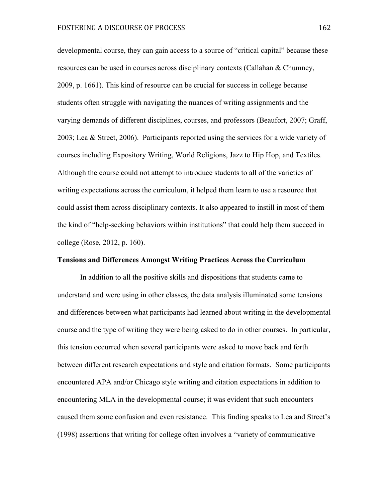developmental course, they can gain access to a source of "critical capital" because these resources can be used in courses across disciplinary contexts (Callahan & Chumney, 2009, p. 1661). This kind of resource can be crucial for success in college because students often struggle with navigating the nuances of writing assignments and the varying demands of different disciplines, courses, and professors (Beaufort, 2007; Graff, 2003; Lea & Street, 2006). Participants reported using the services for a wide variety of courses including Expository Writing, World Religions, Jazz to Hip Hop, and Textiles. Although the course could not attempt to introduce students to all of the varieties of writing expectations across the curriculum, it helped them learn to use a resource that could assist them across disciplinary contexts. It also appeared to instill in most of them the kind of "help-seeking behaviors within institutions" that could help them succeed in college (Rose, 2012, p. 160).

#### **Tensions and Differences Amongst Writing Practices Across the Curriculum**

In addition to all the positive skills and dispositions that students came to understand and were using in other classes, the data analysis illuminated some tensions and differences between what participants had learned about writing in the developmental course and the type of writing they were being asked to do in other courses. In particular, this tension occurred when several participants were asked to move back and forth between different research expectations and style and citation formats. Some participants encountered APA and/or Chicago style writing and citation expectations in addition to encountering MLA in the developmental course; it was evident that such encounters caused them some confusion and even resistance. This finding speaks to Lea and Street's (1998) assertions that writing for college often involves a "variety of communicative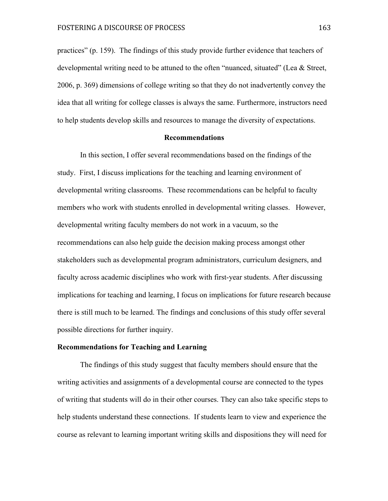practices" (p. 159). The findings of this study provide further evidence that teachers of developmental writing need to be attuned to the often "nuanced, situated" (Lea & Street, 2006, p. 369) dimensions of college writing so that they do not inadvertently convey the idea that all writing for college classes is always the same. Furthermore, instructors need to help students develop skills and resources to manage the diversity of expectations.

#### **Recommendations**

In this section, I offer several recommendations based on the findings of the study. First, I discuss implications for the teaching and learning environment of developmental writing classrooms. These recommendations can be helpful to faculty members who work with students enrolled in developmental writing classes. However, developmental writing faculty members do not work in a vacuum, so the recommendations can also help guide the decision making process amongst other stakeholders such as developmental program administrators, curriculum designers, and faculty across academic disciplines who work with first-year students. After discussing implications for teaching and learning, I focus on implications for future research because there is still much to be learned. The findings and conclusions of this study offer several possible directions for further inquiry.

#### **Recommendations for Teaching and Learning**

The findings of this study suggest that faculty members should ensure that the writing activities and assignments of a developmental course are connected to the types of writing that students will do in their other courses. They can also take specific steps to help students understand these connections. If students learn to view and experience the course as relevant to learning important writing skills and dispositions they will need for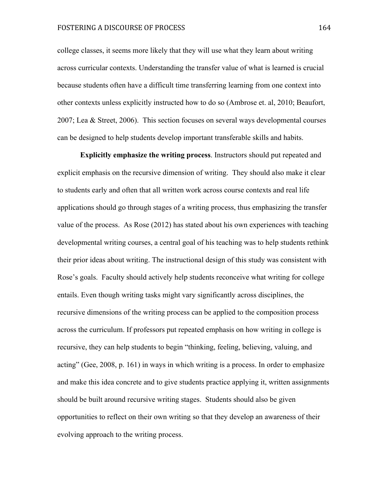college classes, it seems more likely that they will use what they learn about writing across curricular contexts. Understanding the transfer value of what is learned is crucial because students often have a difficult time transferring learning from one context into other contexts unless explicitly instructed how to do so (Ambrose et. al, 2010; Beaufort, 2007; Lea & Street, 2006). This section focuses on several ways developmental courses can be designed to help students develop important transferable skills and habits.

**Explicitly emphasize the writing process**. Instructors should put repeated and explicit emphasis on the recursive dimension of writing. They should also make it clear to students early and often that all written work across course contexts and real life applications should go through stages of a writing process, thus emphasizing the transfer value of the process. As Rose (2012) has stated about his own experiences with teaching developmental writing courses, a central goal of his teaching was to help students rethink their prior ideas about writing. The instructional design of this study was consistent with Rose's goals. Faculty should actively help students reconceive what writing for college entails. Even though writing tasks might vary significantly across disciplines, the recursive dimensions of the writing process can be applied to the composition process across the curriculum. If professors put repeated emphasis on how writing in college is recursive, they can help students to begin "thinking, feeling, believing, valuing, and acting" (Gee, 2008, p. 161) in ways in which writing is a process. In order to emphasize and make this idea concrete and to give students practice applying it, written assignments should be built around recursive writing stages. Students should also be given opportunities to reflect on their own writing so that they develop an awareness of their evolving approach to the writing process.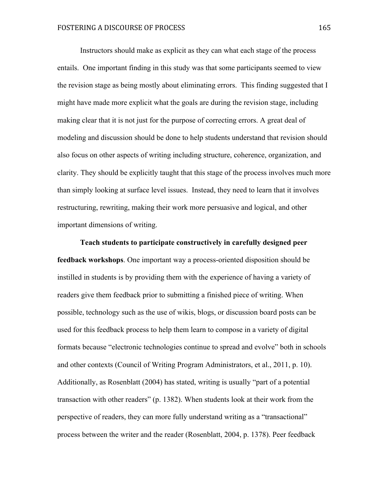Instructors should make as explicit as they can what each stage of the process entails. One important finding in this study was that some participants seemed to view the revision stage as being mostly about eliminating errors. This finding suggested that I might have made more explicit what the goals are during the revision stage, including making clear that it is not just for the purpose of correcting errors. A great deal of modeling and discussion should be done to help students understand that revision should also focus on other aspects of writing including structure, coherence, organization, and clarity. They should be explicitly taught that this stage of the process involves much more than simply looking at surface level issues. Instead, they need to learn that it involves restructuring, rewriting, making their work more persuasive and logical, and other important dimensions of writing.

**Teach students to participate constructively in carefully designed peer feedback workshops**. One important way a process-oriented disposition should be instilled in students is by providing them with the experience of having a variety of readers give them feedback prior to submitting a finished piece of writing. When possible, technology such as the use of wikis, blogs, or discussion board posts can be used for this feedback process to help them learn to compose in a variety of digital formats because "electronic technologies continue to spread and evolve" both in schools and other contexts (Council of Writing Program Administrators, et al., 2011, p. 10). Additionally, as Rosenblatt (2004) has stated, writing is usually "part of a potential transaction with other readers" (p. 1382). When students look at their work from the perspective of readers, they can more fully understand writing as a "transactional" process between the writer and the reader (Rosenblatt, 2004, p. 1378). Peer feedback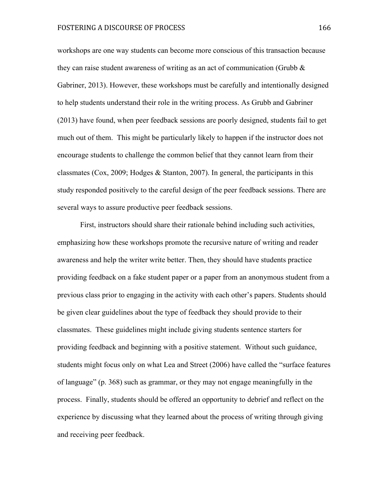workshops are one way students can become more conscious of this transaction because they can raise student awareness of writing as an act of communication (Grubb  $\&$ Gabriner, 2013). However, these workshops must be carefully and intentionally designed to help students understand their role in the writing process. As Grubb and Gabriner (2013) have found, when peer feedback sessions are poorly designed, students fail to get much out of them. This might be particularly likely to happen if the instructor does not encourage students to challenge the common belief that they cannot learn from their classmates (Cox, 2009; Hodges & Stanton, 2007). In general, the participants in this study responded positively to the careful design of the peer feedback sessions. There are several ways to assure productive peer feedback sessions.

First, instructors should share their rationale behind including such activities, emphasizing how these workshops promote the recursive nature of writing and reader awareness and help the writer write better. Then, they should have students practice providing feedback on a fake student paper or a paper from an anonymous student from a previous class prior to engaging in the activity with each other's papers. Students should be given clear guidelines about the type of feedback they should provide to their classmates. These guidelines might include giving students sentence starters for providing feedback and beginning with a positive statement. Without such guidance, students might focus only on what Lea and Street (2006) have called the "surface features of language" (p. 368) such as grammar, or they may not engage meaningfully in the process. Finally, students should be offered an opportunity to debrief and reflect on the experience by discussing what they learned about the process of writing through giving and receiving peer feedback.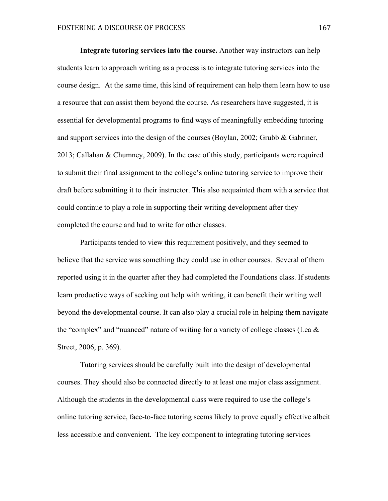**Integrate tutoring services into the course.** Another way instructors can help students learn to approach writing as a process is to integrate tutoring services into the course design. At the same time, this kind of requirement can help them learn how to use a resource that can assist them beyond the course. As researchers have suggested, it is essential for developmental programs to find ways of meaningfully embedding tutoring and support services into the design of the courses (Boylan, 2002; Grubb & Gabriner, 2013; Callahan & Chumney, 2009). In the case of this study, participants were required to submit their final assignment to the college's online tutoring service to improve their draft before submitting it to their instructor. This also acquainted them with a service that could continue to play a role in supporting their writing development after they completed the course and had to write for other classes.

Participants tended to view this requirement positively, and they seemed to believe that the service was something they could use in other courses. Several of them reported using it in the quarter after they had completed the Foundations class. If students learn productive ways of seeking out help with writing, it can benefit their writing well beyond the developmental course. It can also play a crucial role in helping them navigate the "complex" and "nuanced" nature of writing for a variety of college classes (Lea  $\&$ Street, 2006, p. 369).

Tutoring services should be carefully built into the design of developmental courses. They should also be connected directly to at least one major class assignment. Although the students in the developmental class were required to use the college's online tutoring service, face-to-face tutoring seems likely to prove equally effective albeit less accessible and convenient. The key component to integrating tutoring services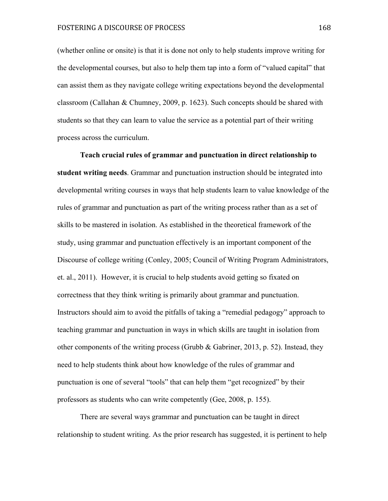(whether online or onsite) is that it is done not only to help students improve writing for the developmental courses, but also to help them tap into a form of "valued capital" that can assist them as they navigate college writing expectations beyond the developmental classroom (Callahan & Chumney, 2009, p. 1623). Such concepts should be shared with students so that they can learn to value the service as a potential part of their writing process across the curriculum.

**Teach crucial rules of grammar and punctuation in direct relationship to student writing needs**. Grammar and punctuation instruction should be integrated into developmental writing courses in ways that help students learn to value knowledge of the rules of grammar and punctuation as part of the writing process rather than as a set of skills to be mastered in isolation. As established in the theoretical framework of the study, using grammar and punctuation effectively is an important component of the Discourse of college writing (Conley, 2005; Council of Writing Program Administrators, et. al., 2011). However, it is crucial to help students avoid getting so fixated on correctness that they think writing is primarily about grammar and punctuation. Instructors should aim to avoid the pitfalls of taking a "remedial pedagogy" approach to teaching grammar and punctuation in ways in which skills are taught in isolation from other components of the writing process (Grubb  $\&$  Gabriner, 2013, p. 52). Instead, they need to help students think about how knowledge of the rules of grammar and punctuation is one of several "tools" that can help them "get recognized" by their professors as students who can write competently (Gee, 2008, p. 155).

There are several ways grammar and punctuation can be taught in direct relationship to student writing. As the prior research has suggested, it is pertinent to help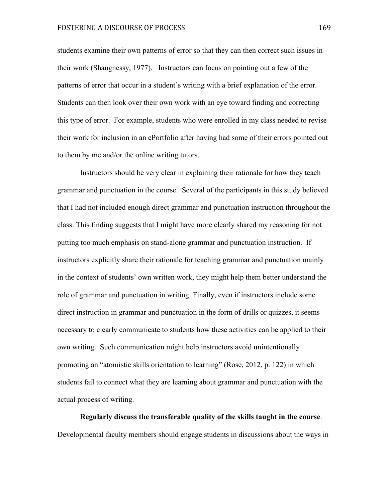students examine their own patterns of error so that they can then correct such issues in their work (Shaugnessy, 1977). Instructors can focus on pointing out a few of the patterns of error that occur in a student's writing with a brief explanation of the error. Students can then look over their own work with an eye toward finding and correcting this type of error. For example, students who were enrolled in my class needed to revise their work for inclusion in an ePortfolio after having had some of their errors pointed out to them by me and/or the online writing tutors.

Instructors should be very clear in explaining their rationale for how they teach grammar and punctuation in the course. Several of the participants in this study believed that I had not included enough direct grammar and punctuation instruction throughout the class. This finding suggests that I might have more clearly shared my reasoning for not putting too much emphasis on stand-alone grammar and punctuation instruction. If instructors explicitly share their rationale for teaching grammar and punctuation mainly in the context of students' own written work, they might help them better understand the role of grammar and punctuation in writing. Finally, even if instructors include some direct instruction in grammar and punctuation in the form of drills or quizzes, it seems necessary to clearly communicate to students how these activities can be applied to their own writing. Such communication might help instructors avoid unintentionally promoting an "atomistic skills orientation to learning" (Rose, 2012, p. 122) in which students fail to connect what they are learning about grammar and punctuation with the actual process of writing.

**Regularly discuss the transferable quality of the skills taught in the course**. Developmental faculty members should engage students in discussions about the ways in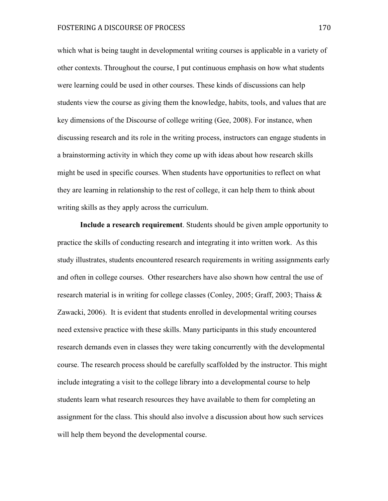which what is being taught in developmental writing courses is applicable in a variety of other contexts. Throughout the course, I put continuous emphasis on how what students were learning could be used in other courses. These kinds of discussions can help students view the course as giving them the knowledge, habits, tools, and values that are key dimensions of the Discourse of college writing (Gee, 2008). For instance, when discussing research and its role in the writing process, instructors can engage students in a brainstorming activity in which they come up with ideas about how research skills might be used in specific courses. When students have opportunities to reflect on what they are learning in relationship to the rest of college, it can help them to think about writing skills as they apply across the curriculum.

**Include a research requirement**. Students should be given ample opportunity to practice the skills of conducting research and integrating it into written work. As this study illustrates, students encountered research requirements in writing assignments early and often in college courses. Other researchers have also shown how central the use of research material is in writing for college classes (Conley, 2005; Graff, 2003; Thaiss & Zawacki, 2006). It is evident that students enrolled in developmental writing courses need extensive practice with these skills. Many participants in this study encountered research demands even in classes they were taking concurrently with the developmental course. The research process should be carefully scaffolded by the instructor. This might include integrating a visit to the college library into a developmental course to help students learn what research resources they have available to them for completing an assignment for the class. This should also involve a discussion about how such services will help them beyond the developmental course.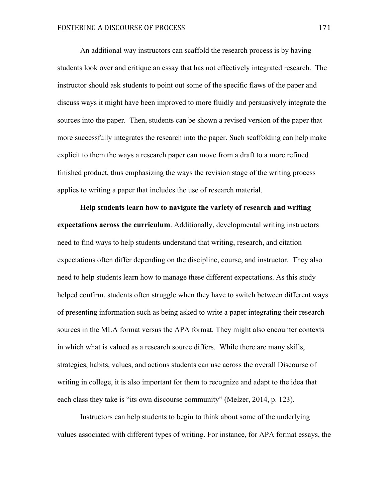An additional way instructors can scaffold the research process is by having students look over and critique an essay that has not effectively integrated research. The instructor should ask students to point out some of the specific flaws of the paper and discuss ways it might have been improved to more fluidly and persuasively integrate the sources into the paper. Then, students can be shown a revised version of the paper that more successfully integrates the research into the paper. Such scaffolding can help make explicit to them the ways a research paper can move from a draft to a more refined finished product, thus emphasizing the ways the revision stage of the writing process applies to writing a paper that includes the use of research material.

**Help students learn how to navigate the variety of research and writing expectations across the curriculum**. Additionally, developmental writing instructors need to find ways to help students understand that writing, research, and citation expectations often differ depending on the discipline, course, and instructor. They also need to help students learn how to manage these different expectations. As this study helped confirm, students often struggle when they have to switch between different ways of presenting information such as being asked to write a paper integrating their research sources in the MLA format versus the APA format. They might also encounter contexts in which what is valued as a research source differs. While there are many skills, strategies, habits, values, and actions students can use across the overall Discourse of writing in college, it is also important for them to recognize and adapt to the idea that each class they take is "its own discourse community" (Melzer, 2014, p. 123).

Instructors can help students to begin to think about some of the underlying values associated with different types of writing. For instance, for APA format essays, the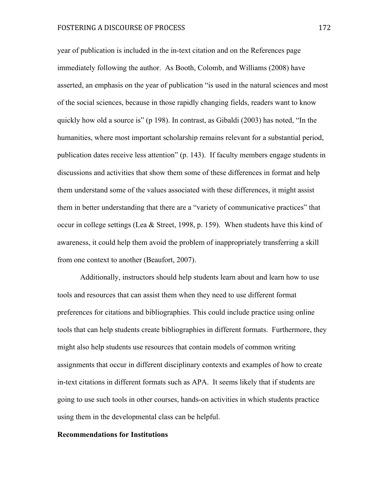year of publication is included in the in-text citation and on the References page immediately following the author. As Booth, Colomb, and Williams (2008) have asserted, an emphasis on the year of publication "is used in the natural sciences and most of the social sciences, because in those rapidly changing fields, readers want to know quickly how old a source is" (p 198). In contrast, as Gibaldi (2003) has noted, "In the humanities, where most important scholarship remains relevant for a substantial period, publication dates receive less attention" (p. 143). If faculty members engage students in discussions and activities that show them some of these differences in format and help them understand some of the values associated with these differences, it might assist them in better understanding that there are a "variety of communicative practices" that occur in college settings (Lea & Street, 1998, p. 159). When students have this kind of awareness, it could help them avoid the problem of inappropriately transferring a skill from one context to another (Beaufort, 2007).

Additionally, instructors should help students learn about and learn how to use tools and resources that can assist them when they need to use different format preferences for citations and bibliographies. This could include practice using online tools that can help students create bibliographies in different formats. Furthermore, they might also help students use resources that contain models of common writing assignments that occur in different disciplinary contexts and examples of how to create in-text citations in different formats such as APA. It seems likely that if students are going to use such tools in other courses, hands-on activities in which students practice using them in the developmental class can be helpful.

#### **Recommendations for Institutions**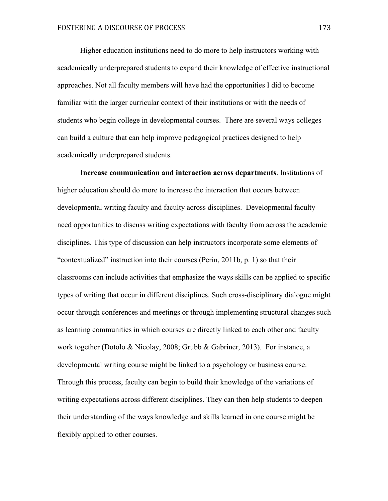Higher education institutions need to do more to help instructors working with academically underprepared students to expand their knowledge of effective instructional approaches. Not all faculty members will have had the opportunities I did to become familiar with the larger curricular context of their institutions or with the needs of students who begin college in developmental courses. There are several ways colleges can build a culture that can help improve pedagogical practices designed to help academically underprepared students.

**Increase communication and interaction across departments**. Institutions of higher education should do more to increase the interaction that occurs between developmental writing faculty and faculty across disciplines. Developmental faculty need opportunities to discuss writing expectations with faculty from across the academic disciplines. This type of discussion can help instructors incorporate some elements of "contextualized" instruction into their courses (Perin, 2011b, p. 1) so that their classrooms can include activities that emphasize the ways skills can be applied to specific types of writing that occur in different disciplines. Such cross-disciplinary dialogue might occur through conferences and meetings or through implementing structural changes such as learning communities in which courses are directly linked to each other and faculty work together (Dotolo & Nicolay, 2008; Grubb & Gabriner, 2013). For instance, a developmental writing course might be linked to a psychology or business course. Through this process, faculty can begin to build their knowledge of the variations of writing expectations across different disciplines. They can then help students to deepen their understanding of the ways knowledge and skills learned in one course might be flexibly applied to other courses.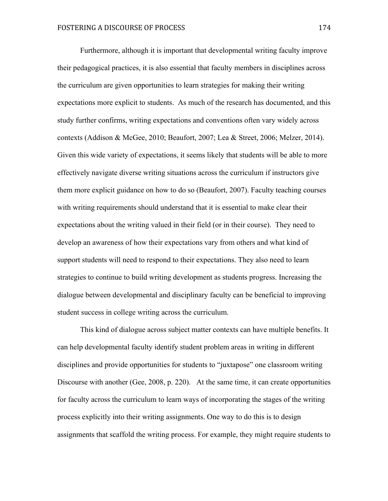Furthermore, although it is important that developmental writing faculty improve their pedagogical practices, it is also essential that faculty members in disciplines across the curriculum are given opportunities to learn strategies for making their writing expectations more explicit to students. As much of the research has documented, and this study further confirms, writing expectations and conventions often vary widely across contexts (Addison & McGee, 2010; Beaufort, 2007; Lea & Street, 2006; Melzer, 2014). Given this wide variety of expectations, it seems likely that students will be able to more effectively navigate diverse writing situations across the curriculum if instructors give them more explicit guidance on how to do so (Beaufort, 2007). Faculty teaching courses with writing requirements should understand that it is essential to make clear their expectations about the writing valued in their field (or in their course). They need to develop an awareness of how their expectations vary from others and what kind of support students will need to respond to their expectations. They also need to learn strategies to continue to build writing development as students progress. Increasing the dialogue between developmental and disciplinary faculty can be beneficial to improving student success in college writing across the curriculum.

This kind of dialogue across subject matter contexts can have multiple benefits. It can help developmental faculty identify student problem areas in writing in different disciplines and provide opportunities for students to "juxtapose" one classroom writing Discourse with another (Gee, 2008, p. 220). At the same time, it can create opportunities for faculty across the curriculum to learn ways of incorporating the stages of the writing process explicitly into their writing assignments. One way to do this is to design assignments that scaffold the writing process. For example, they might require students to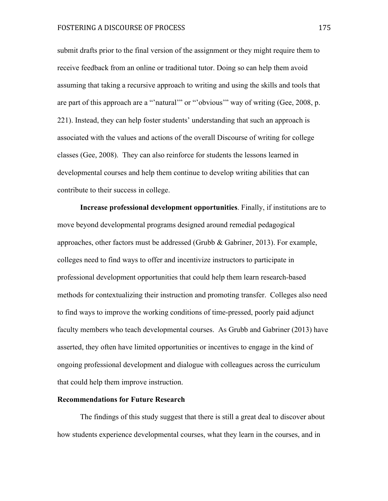submit drafts prior to the final version of the assignment or they might require them to receive feedback from an online or traditional tutor. Doing so can help them avoid assuming that taking a recursive approach to writing and using the skills and tools that are part of this approach are a "'natural'" or "'obvious'" way of writing (Gee, 2008, p. 221). Instead, they can help foster students' understanding that such an approach is associated with the values and actions of the overall Discourse of writing for college classes (Gee, 2008). They can also reinforce for students the lessons learned in developmental courses and help them continue to develop writing abilities that can contribute to their success in college.

**Increase professional development opportunities**. Finally, if institutions are to move beyond developmental programs designed around remedial pedagogical approaches, other factors must be addressed (Grubb & Gabriner, 2013). For example, colleges need to find ways to offer and incentivize instructors to participate in professional development opportunities that could help them learn research-based methods for contextualizing their instruction and promoting transfer. Colleges also need to find ways to improve the working conditions of time-pressed, poorly paid adjunct faculty members who teach developmental courses. As Grubb and Gabriner (2013) have asserted, they often have limited opportunities or incentives to engage in the kind of ongoing professional development and dialogue with colleagues across the curriculum that could help them improve instruction.

#### **Recommendations for Future Research**

The findings of this study suggest that there is still a great deal to discover about how students experience developmental courses, what they learn in the courses, and in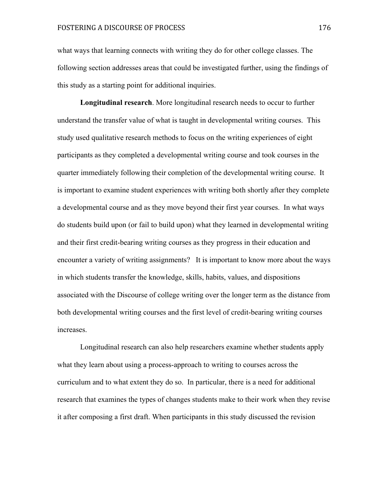what ways that learning connects with writing they do for other college classes. The following section addresses areas that could be investigated further, using the findings of this study as a starting point for additional inquiries.

**Longitudinal research**. More longitudinal research needs to occur to further understand the transfer value of what is taught in developmental writing courses. This study used qualitative research methods to focus on the writing experiences of eight participants as they completed a developmental writing course and took courses in the quarter immediately following their completion of the developmental writing course. It is important to examine student experiences with writing both shortly after they complete a developmental course and as they move beyond their first year courses. In what ways do students build upon (or fail to build upon) what they learned in developmental writing and their first credit-bearing writing courses as they progress in their education and encounter a variety of writing assignments? It is important to know more about the ways in which students transfer the knowledge, skills, habits, values, and dispositions associated with the Discourse of college writing over the longer term as the distance from both developmental writing courses and the first level of credit-bearing writing courses increases.

Longitudinal research can also help researchers examine whether students apply what they learn about using a process-approach to writing to courses across the curriculum and to what extent they do so. In particular, there is a need for additional research that examines the types of changes students make to their work when they revise it after composing a first draft. When participants in this study discussed the revision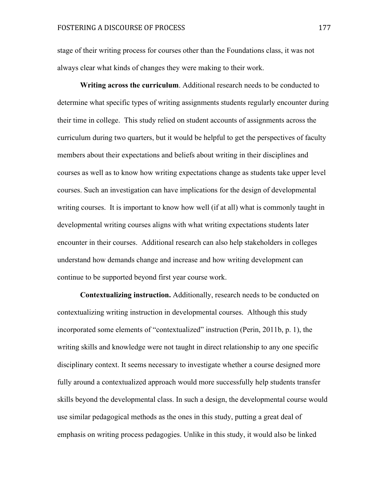stage of their writing process for courses other than the Foundations class, it was not always clear what kinds of changes they were making to their work.

**Writing across the curriculum**. Additional research needs to be conducted to determine what specific types of writing assignments students regularly encounter during their time in college. This study relied on student accounts of assignments across the curriculum during two quarters, but it would be helpful to get the perspectives of faculty members about their expectations and beliefs about writing in their disciplines and courses as well as to know how writing expectations change as students take upper level courses. Such an investigation can have implications for the design of developmental writing courses. It is important to know how well (if at all) what is commonly taught in developmental writing courses aligns with what writing expectations students later encounter in their courses. Additional research can also help stakeholders in colleges understand how demands change and increase and how writing development can continue to be supported beyond first year course work.

**Contextualizing instruction.** Additionally, research needs to be conducted on contextualizing writing instruction in developmental courses. Although this study incorporated some elements of "contextualized" instruction (Perin, 2011b, p. 1), the writing skills and knowledge were not taught in direct relationship to any one specific disciplinary context. It seems necessary to investigate whether a course designed more fully around a contextualized approach would more successfully help students transfer skills beyond the developmental class. In such a design, the developmental course would use similar pedagogical methods as the ones in this study, putting a great deal of emphasis on writing process pedagogies. Unlike in this study, it would also be linked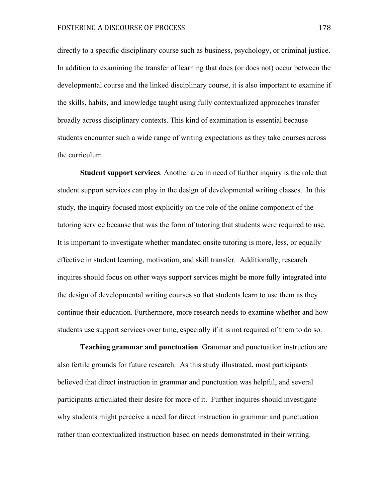directly to a specific disciplinary course such as business, psychology, or criminal justice. In addition to examining the transfer of learning that does (or does not) occur between the developmental course and the linked disciplinary course, it is also important to examine if the skills, habits, and knowledge taught using fully contextualized approaches transfer broadly across disciplinary contexts. This kind of examination is essential because students encounter such a wide range of writing expectations as they take courses across the curriculum.

**Student support services**. Another area in need of further inquiry is the role that student support services can play in the design of developmental writing classes. In this study, the inquiry focused most explicitly on the role of the online component of the tutoring service because that was the form of tutoring that students were required to use. It is important to investigate whether mandated onsite tutoring is more, less, or equally effective in student learning, motivation, and skill transfer. Additionally, research inquires should focus on other ways support services might be more fully integrated into the design of developmental writing courses so that students learn to use them as they continue their education. Furthermore, more research needs to examine whether and how students use support services over time, especially if it is not required of them to do so.

**Teaching grammar and punctuation**. Grammar and punctuation instruction are also fertile grounds for future research. As this study illustrated, most participants believed that direct instruction in grammar and punctuation was helpful, and several participants articulated their desire for more of it. Further inquires should investigate why students might perceive a need for direct instruction in grammar and punctuation rather than contextualized instruction based on needs demonstrated in their writing.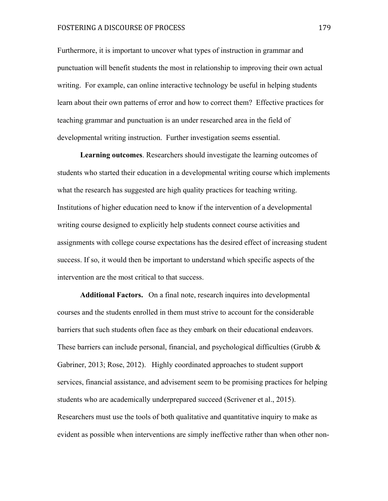#### FOSTERING A DISCOURSE OF PROCESS 179

Furthermore, it is important to uncover what types of instruction in grammar and punctuation will benefit students the most in relationship to improving their own actual writing. For example, can online interactive technology be useful in helping students learn about their own patterns of error and how to correct them? Effective practices for teaching grammar and punctuation is an under researched area in the field of developmental writing instruction. Further investigation seems essential.

**Learning outcomes**. Researchers should investigate the learning outcomes of students who started their education in a developmental writing course which implements what the research has suggested are high quality practices for teaching writing. Institutions of higher education need to know if the intervention of a developmental writing course designed to explicitly help students connect course activities and assignments with college course expectations has the desired effect of increasing student success. If so, it would then be important to understand which specific aspects of the intervention are the most critical to that success.

**Additional Factors.** On a final note, research inquires into developmental courses and the students enrolled in them must strive to account for the considerable barriers that such students often face as they embark on their educational endeavors. These barriers can include personal, financial, and psychological difficulties (Grubb  $\&$ Gabriner, 2013; Rose, 2012). Highly coordinated approaches to student support services, financial assistance, and advisement seem to be promising practices for helping students who are academically underprepared succeed (Scrivener et al., 2015). Researchers must use the tools of both qualitative and quantitative inquiry to make as evident as possible when interventions are simply ineffective rather than when other non-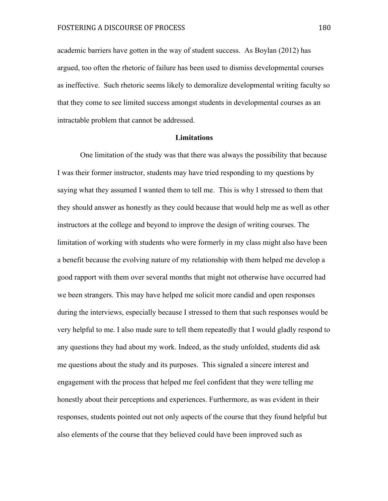academic barriers have gotten in the way of student success. As Boylan (2012) has argued, too often the rhetoric of failure has been used to dismiss developmental courses as ineffective. Such rhetoric seems likely to demoralize developmental writing faculty so that they come to see limited success amongst students in developmental courses as an intractable problem that cannot be addressed.

#### **Limitations**

One limitation of the study was that there was always the possibility that because I was their former instructor, students may have tried responding to my questions by saying what they assumed I wanted them to tell me. This is why I stressed to them that they should answer as honestly as they could because that would help me as well as other instructors at the college and beyond to improve the design of writing courses. The limitation of working with students who were formerly in my class might also have been a benefit because the evolving nature of my relationship with them helped me develop a good rapport with them over several months that might not otherwise have occurred had we been strangers. This may have helped me solicit more candid and open responses during the interviews, especially because I stressed to them that such responses would be very helpful to me. I also made sure to tell them repeatedly that I would gladly respond to any questions they had about my work. Indeed, as the study unfolded, students did ask me questions about the study and its purposes. This signaled a sincere interest and engagement with the process that helped me feel confident that they were telling me honestly about their perceptions and experiences. Furthermore, as was evident in their responses, students pointed out not only aspects of the course that they found helpful but also elements of the course that they believed could have been improved such as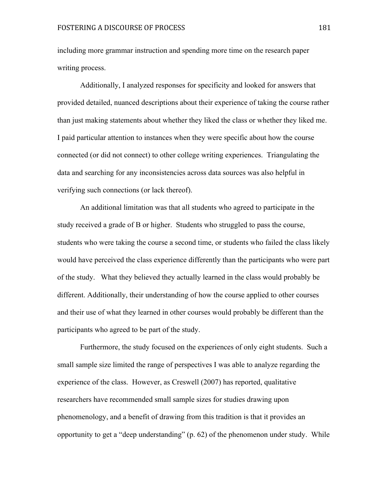including more grammar instruction and spending more time on the research paper writing process.

Additionally, I analyzed responses for specificity and looked for answers that provided detailed, nuanced descriptions about their experience of taking the course rather than just making statements about whether they liked the class or whether they liked me. I paid particular attention to instances when they were specific about how the course connected (or did not connect) to other college writing experiences. Triangulating the data and searching for any inconsistencies across data sources was also helpful in verifying such connections (or lack thereof).

An additional limitation was that all students who agreed to participate in the study received a grade of B or higher. Students who struggled to pass the course, students who were taking the course a second time, or students who failed the class likely would have perceived the class experience differently than the participants who were part of the study. What they believed they actually learned in the class would probably be different. Additionally, their understanding of how the course applied to other courses and their use of what they learned in other courses would probably be different than the participants who agreed to be part of the study.

Furthermore, the study focused on the experiences of only eight students. Such a small sample size limited the range of perspectives I was able to analyze regarding the experience of the class. However, as Creswell (2007) has reported, qualitative researchers have recommended small sample sizes for studies drawing upon phenomenology, and a benefit of drawing from this tradition is that it provides an opportunity to get a "deep understanding" (p. 62) of the phenomenon under study. While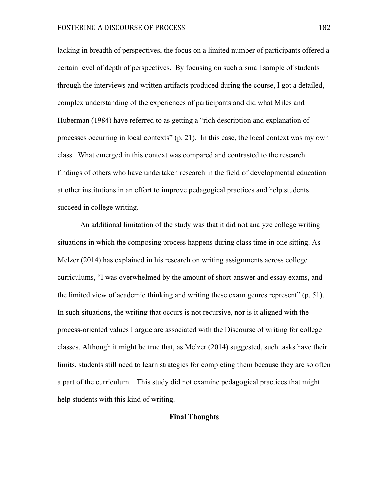lacking in breadth of perspectives, the focus on a limited number of participants offered a certain level of depth of perspectives. By focusing on such a small sample of students through the interviews and written artifacts produced during the course, I got a detailed, complex understanding of the experiences of participants and did what Miles and Huberman (1984) have referred to as getting a "rich description and explanation of processes occurring in local contexts" (p. 21). In this case, the local context was my own class. What emerged in this context was compared and contrasted to the research findings of others who have undertaken research in the field of developmental education at other institutions in an effort to improve pedagogical practices and help students succeed in college writing.

An additional limitation of the study was that it did not analyze college writing situations in which the composing process happens during class time in one sitting. As Melzer (2014) has explained in his research on writing assignments across college curriculums, "I was overwhelmed by the amount of short-answer and essay exams, and the limited view of academic thinking and writing these exam genres represent" (p. 51). In such situations, the writing that occurs is not recursive, nor is it aligned with the process-oriented values I argue are associated with the Discourse of writing for college classes. Although it might be true that, as Melzer (2014) suggested, such tasks have their limits, students still need to learn strategies for completing them because they are so often a part of the curriculum. This study did not examine pedagogical practices that might help students with this kind of writing.

#### **Final Thoughts**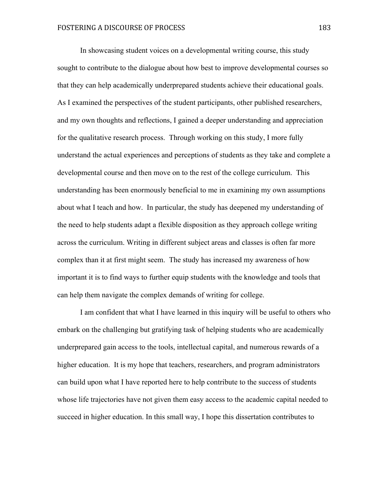In showcasing student voices on a developmental writing course, this study sought to contribute to the dialogue about how best to improve developmental courses so that they can help academically underprepared students achieve their educational goals. As I examined the perspectives of the student participants, other published researchers, and my own thoughts and reflections, I gained a deeper understanding and appreciation for the qualitative research process. Through working on this study, I more fully understand the actual experiences and perceptions of students as they take and complete a developmental course and then move on to the rest of the college curriculum. This understanding has been enormously beneficial to me in examining my own assumptions about what I teach and how. In particular, the study has deepened my understanding of the need to help students adapt a flexible disposition as they approach college writing across the curriculum. Writing in different subject areas and classes is often far more complex than it at first might seem. The study has increased my awareness of how important it is to find ways to further equip students with the knowledge and tools that can help them navigate the complex demands of writing for college.

I am confident that what I have learned in this inquiry will be useful to others who embark on the challenging but gratifying task of helping students who are academically underprepared gain access to the tools, intellectual capital, and numerous rewards of a higher education. It is my hope that teachers, researchers, and program administrators can build upon what I have reported here to help contribute to the success of students whose life trajectories have not given them easy access to the academic capital needed to succeed in higher education. In this small way, I hope this dissertation contributes to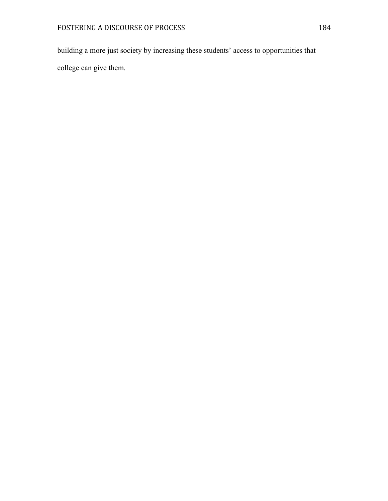building a more just society by increasing these students' access to opportunities that

college can give them.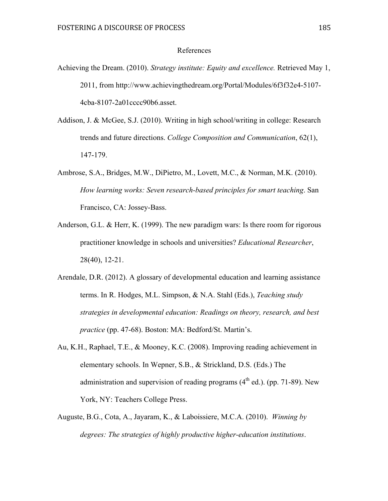#### References

- Achieving the Dream. (2010). *Strategy institute: Equity and excellence.* Retrieved May 1, 2011, from http://www.achievingthedream.org/Portal/Modules/6f3f32e4-5107- 4cba-8107-2a01cccc90b6.asset.
- Addison, J. & McGee, S.J. (2010). Writing in high school/writing in college: Research trends and future directions. *College Composition and Communication*, 62(1), 147-179.
- Ambrose, S.A., Bridges, M.W., DiPietro, M., Lovett, M.C., & Norman, M.K. (2010). *How learning works: Seven research-based principles for smart teaching*. San Francisco, CA: Jossey-Bass.
- Anderson, G.L. & Herr, K. (1999). The new paradigm wars: Is there room for rigorous practitioner knowledge in schools and universities? *Educational Researcher*, 28(40), 12-21.
- Arendale, D.R. (2012). A glossary of developmental education and learning assistance terms. In R. Hodges, M.L. Simpson, & N.A. Stahl (Eds.), *Teaching study strategies in developmental education: Readings on theory, research, and best practice* (pp. 47-68). Boston: MA: Bedford/St. Martin's.
- Au, K.H., Raphael, T.E., & Mooney, K.C. (2008). Improving reading achievement in elementary schools. In Wepner, S.B., & Strickland, D.S. (Eds.) The administration and supervision of reading programs  $(4<sup>th</sup>$  ed.). (pp. 71-89). New York, NY: Teachers College Press.
- Auguste, B.G., Cota, A., Jayaram, K., & Laboissiere, M.C.A. (2010). *Winning by degrees: The strategies of highly productive higher-education institutions*.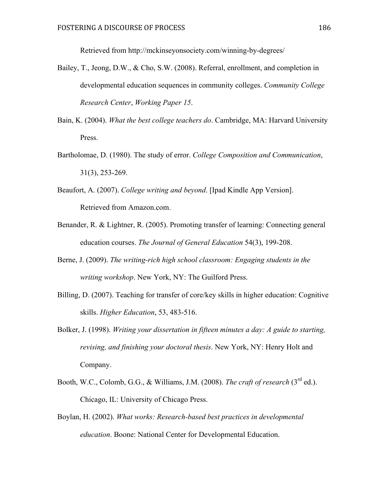Retrieved from http://mckinseyonsociety.com/winning-by-degrees/

- Bailey, T., Jeong, D.W., & Cho, S.W. (2008). Referral, enrollment, and completion in developmental education sequences in community colleges. *Community College Research Center*, *Working Paper 15*.
- Bain, K. (2004). *What the best college teachers do*. Cambridge, MA: Harvard University Press.
- Bartholomae, D. (1980). The study of error. *College Composition and Communication*, 31(3), 253-269.
- Beaufort, A. (2007). *College writing and beyond*. [Ipad Kindle App Version]. Retrieved from Amazon.com.
- Benander, R. & Lightner, R. (2005). Promoting transfer of learning: Connecting general education courses. *The Journal of General Education* 54(3), 199-208.
- Berne, J. (2009). *The writing-rich high school classroom: Engaging students in the writing workshop*. New York, NY: The Guilford Press.
- Billing, D. (2007). Teaching for transfer of core/key skills in higher education: Cognitive skills. *Higher Education*, 53, 483-516.
- Bolker, J. (1998). *Writing your dissertation in fifteen minutes a day: A guide to starting, revising, and finishing your doctoral thesis*. New York, NY: Henry Holt and Company.
- Booth, W.C., Colomb, G.G., & Williams, J.M. (2008). *The craft of research* (3rd ed.). Chicago, IL: University of Chicago Press.
- Boylan, H. (2002). *What works: Research-based best practices in developmental education*. Boone: National Center for Developmental Education.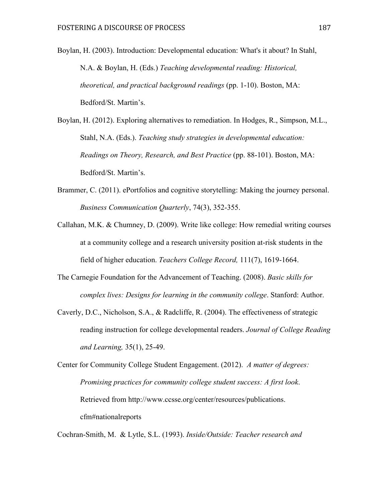Boylan, H. (2003). Introduction: Developmental education: What's it about? In Stahl, N.A. & Boylan, H. (Eds.) *Teaching developmental reading: Historical, theoretical, and practical background readings* (pp. 1-10). Boston, MA: Bedford/St. Martin's.

Boylan, H. (2012). Exploring alternatives to remediation. In Hodges, R., Simpson, M.L., Stahl, N.A. (Eds.). *Teaching study strategies in developmental education: Readings on Theory, Research, and Best Practice* (pp. 88-101). Boston, MA: Bedford/St. Martin's.

- Brammer, C. (2011). ePortfolios and cognitive storytelling: Making the journey personal. *Business Communication Quarterly*, 74(3), 352-355.
- Callahan, M.K. & Chumney, D. (2009). Write like college: How remedial writing courses at a community college and a research university position at-risk students in the field of higher education. *Teachers College Record,* 111(7), 1619-1664.
- The Carnegie Foundation for the Advancement of Teaching. (2008). *Basic skills for complex lives: Designs for learning in the community college*. Stanford: Author.
- Caverly, D.C., Nicholson, S.A., & Radcliffe, R. (2004). The effectiveness of strategic reading instruction for college developmental readers. *Journal of College Reading and Learning,* 35(1), 25-49.

Center for Community College Student Engagement. (2012). *A matter of degrees: Promising practices for community college student success: A first look*. Retrieved from http://www.ccsse.org/center/resources/publications. cfm#nationalreports

Cochran-Smith, M. & Lytle, S.L. (1993). *Inside/Outside: Teacher research and*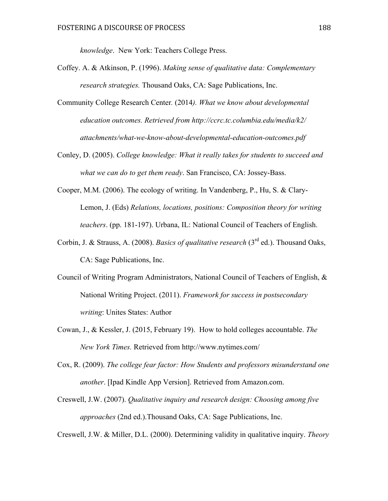*knowledge*. New York: Teachers College Press.

- Coffey. A. & Atkinson, P. (1996). *Making sense of qualitative data: Complementary research strategies.* Thousand Oaks, CA: Sage Publications, Inc.
- Community College Research Center*.* (2014*). What we know about developmental education outcomes. Retrieved from http://ccrc.tc.columbia.edu/media/k2/ attachments/what-we-know-about-developmental-education-outcomes.pdf*
- Conley, D. (2005). *College knowledge: What it really takes for students to succeed and what we can do to get them ready*. San Francisco, CA: Jossey-Bass.
- Cooper, M.M. (2006). The ecology of writing. In Vandenberg, P., Hu, S. & Clary-Lemon, J. (Eds) *Relations, locations, positions: Composition theory for writing teachers*. (pp. 181-197). Urbana, IL: National Council of Teachers of English.
- Corbin, J. & Strauss, A. (2008). *Basics of qualitative research* (3rd ed.). Thousand Oaks, CA: Sage Publications, Inc.
- Council of Writing Program Administrators, National Council of Teachers of English, & National Writing Project. (2011). *Framework for success in postsecondary writing*: Unites States: Author
- Cowan, J., & Kessler, J. (2015, February 19). How to hold colleges accountable. *The New York Times.* Retrieved from http://www.nytimes.com/
- Cox, R. (2009). *The college fear factor: How Students and professors misunderstand one another*. [Ipad Kindle App Version]. Retrieved from Amazon.com.
- Creswell, J.W. (2007). *Qualitative inquiry and research design: Choosing among five approaches* (2nd ed.).Thousand Oaks, CA: Sage Publications, Inc.

Creswell, J.W. & Miller, D.L. (2000). Determining validity in qualitative inquiry. *Theory*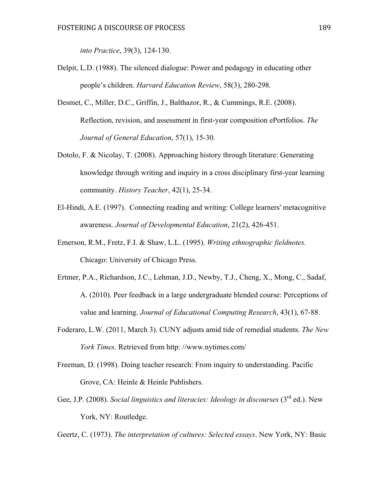*into Practice*, 39(3), 124-130.

- Delpit, L.D. (1988). The silenced dialogue: Power and pedagogy in educating other people's children. *Harvard Education Review*, 58(3), 280-298.
- Desmet, C., Miller, D.C., Griffin, J., Balthazor, R., & Cummings, R.E. (2008). Reflection, revision, and assessment in first-year composition ePortfolios. *The Journal of General Education*, 57(1), 15-30.
- Dotolo, F. & Nicolay, T. (2008). Approaching history through literature: Generating knowledge through writing and inquiry in a cross disciplinary first-year learning community. *History Teacher*, 42(1), 25-34.
- El-Hindi, A.E. (1997). Connecting reading and writing: College learners' metacognitive awareness. *Journal of Developmental Education*, 21(2), 426-451.
- Emerson, R.M., Fretz, F.I. & Shaw, L.L. (1995). *Writing ethnographic fieldnotes.*  Chicago: University of Chicago Press.
- Ertmer, P.A., Richardson, J.C., Lehman, J.D., Newby, T.J., Cheng, X., Mong, C., Sadaf, A. (2010). Peer feedback in a large undergraduate blended course: Perceptions of value and learning. *Journal of Educational Computing Research*, 43(1), 67-88.
- Foderaro, L.W. (2011, March 3). CUNY adjusts amid tide of remedial students. *The New York Times*. Retrieved from http: //www.nytimes.com/
- Freeman, D. (1998). Doing teacher research: From inquiry to understanding. Pacific Grove, CA: Heinle & Heinle Publishers.
- Gee, J.P. (2008). *Social linguistics and literacies: Ideology in discourses* (3<sup>rd</sup> ed.). New York, NY: Routledge.
- Geertz, C. (1973). *The interpretation of cultures: Selected essays*. New York, NY: Basic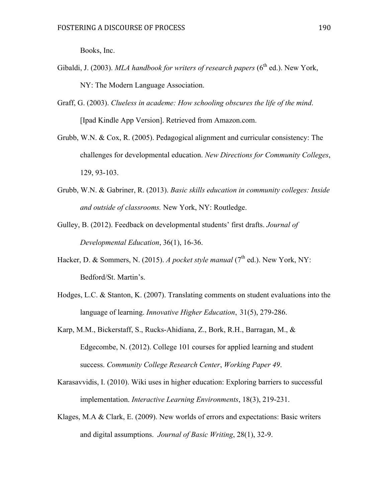Books, Inc.

- Gibaldi, J. (2003). *MLA handbook for writers of research papers* (6<sup>th</sup> ed.). New York, NY: The Modern Language Association.
- Graff, G. (2003). *Clueless in academe: How schooling obscures the life of the mind*. [Ipad Kindle App Version]. Retrieved from Amazon.com.
- Grubb, W.N. & Cox, R. (2005). Pedagogical alignment and curricular consistency: The challenges for developmental education. *New Directions for Community Colleges*, 129, 93-103.
- Grubb, W.N. & Gabriner, R. (2013). *Basic skills education in community colleges: Inside and outside of classrooms.* New York, NY: Routledge.
- Gulley, B. (2012). Feedback on developmental students' first drafts. *Journal of Developmental Education*, 36(1), 16-36.
- Hacker, D. & Sommers, N. (2015). *A pocket style manual* ( $7<sup>th</sup>$  ed.). New York, NY: Bedford/St. Martin's.
- Hodges, L.C. & Stanton, K. (2007). Translating comments on student evaluations into the language of learning. *Innovative Higher Education*, 31(5), 279-286.
- Karp, M.M., Bickerstaff, S., Rucks-Ahidiana, Z., Bork, R.H., Barragan, M., & Edgecombe, N. (2012). College 101 courses for applied learning and student success. *Community College Research Center*, *Working Paper 49*.
- Karasavvidis, I. (2010). Wiki uses in higher education: Exploring barriers to successful implementation. *Interactive Learning Environments*, 18(3), 219-231.
- Klages, M.A & Clark, E. (2009). New worlds of errors and expectations: Basic writers and digital assumptions. *Journal of Basic Writing*, 28(1), 32-9.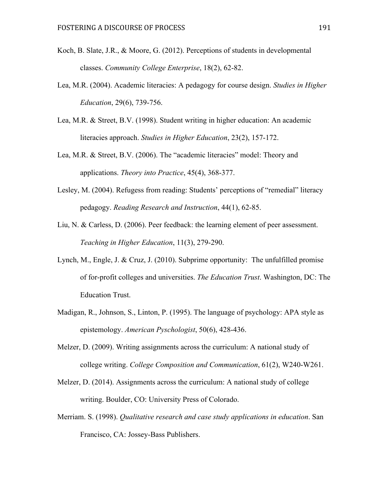- Koch, B. Slate, J.R., & Moore, G. (2012). Perceptions of students in developmental classes. *Community College Enterprise*, 18(2), 62-82.
- Lea, M.R. (2004). Academic literacies: A pedagogy for course design. *Studies in Higher Education*, 29(6), 739-756.
- Lea, M.R. & Street, B.V. (1998). Student writing in higher education: An academic literacies approach. *Studies in Higher Education*, 23(2), 157-172.
- Lea, M.R. & Street, B.V. (2006). The "academic literacies" model: Theory and applications. *Theory into Practice*, 45(4), 368-377.
- Lesley, M. (2004). Refugess from reading: Students' perceptions of "remedial" literacy pedagogy. *Reading Research and Instruction*, 44(1), 62-85.
- Liu, N. & Carless, D. (2006). Peer feedback: the learning element of peer assessment. *Teaching in Higher Education*, 11(3), 279-290.
- Lynch, M., Engle, J. & Cruz, J. (2010). Subprime opportunity: The unfulfilled promise of for-profit colleges and universities. *The Education Trust*. Washington, DC: The Education Trust.
- Madigan, R., Johnson, S., Linton, P. (1995). The language of psychology: APA style as epistemology. *American Pyschologist*, 50(6), 428-436.
- Melzer, D. (2009). Writing assignments across the curriculum: A national study of college writing. *College Composition and Communication*, 61(2), W240-W261.
- Melzer, D. (2014). Assignments across the curriculum: A national study of college writing. Boulder, CO: University Press of Colorado.
- Merriam. S. (1998). *Qualitative research and case study applications in education*. San Francisco, CA: Jossey-Bass Publishers.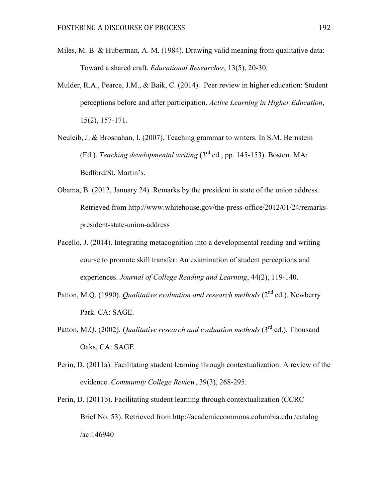- Miles, M. B. & Huberman, A. M. (1984). Drawing valid meaning from qualitative data: Toward a shared craft. *Educational Researcher*, 13(5), 20-30.
- Mulder, R.A., Pearce, J.M., & Baik, C. (2014). Peer review in higher education: Student perceptions before and after participation. *Active Learning in Higher Education*, 15(2), 157-171.
- Neuleib, J. & Brosnahan, I. (2007). Teaching grammar to writers. In S.M. Bernstein (Ed.), *Teaching developmental writing* (3rd ed., pp. 145-153). Boston, MA: Bedford/St. Martin's.
- Obama, B. (2012, January 24). Remarks by the president in state of the union address. Retrieved from http://www.whitehouse.gov/the-press-office/2012/01/24/remarkspresident-state-union-address
- Pacello, J. (2014). Integrating metacognition into a developmental reading and writing course to promote skill transfer: An examination of student perceptions and experiences. *Journal of College Reading and Learning*, 44(2), 119-140.
- Patton, M.Q. (1990). *Qualitative evaluation and research methods* (2<sup>nd</sup> ed.). Newberry Park. CA: SAGE.
- Patton, M.Q. (2002). *Qualitative research and evaluation methods* (3<sup>rd</sup> ed.). Thousand Oaks, CA: SAGE.
- Perin, D. (2011a). Facilitating student learning through contextualization: A review of the evidence. *Community College Review*, 39(3), 268-295.
- Perin, D. (2011b). Facilitating student learning through contextualization (CCRC Brief No. 53). Retrieved from http://academiccommons.columbia.edu /catalog /ac:146940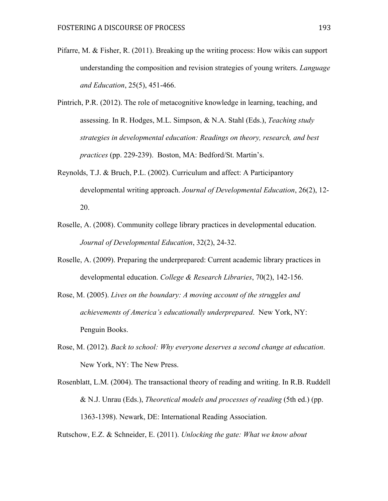- Pifarre, M. & Fisher, R. (2011). Breaking up the writing process: How wikis can support understanding the composition and revision strategies of young writers. *Language and Education*, 25(5), 451-466.
- Pintrich, P.R. (2012). The role of metacognitive knowledge in learning, teaching, and assessing. In R. Hodges, M.L. Simpson, & N.A. Stahl (Eds.), *Teaching study strategies in developmental education: Readings on theory, research, and best practices* (pp. 229-239). Boston, MA: Bedford/St. Martin's.
- Reynolds, T.J. & Bruch, P.L. (2002). Curriculum and affect: A Participantory developmental writing approach. *Journal of Developmental Education*, 26(2), 12- 20.
- Roselle, A. (2008). Community college library practices in developmental education. *Journal of Developmental Education*, 32(2), 24-32.
- Roselle, A. (2009). Preparing the underprepared: Current academic library practices in developmental education. *College & Research Libraries*, 70(2), 142-156.
- Rose, M. (2005). *Lives on the boundary: A moving account of the struggles and achievements of America's educationally underprepared*. New York, NY: Penguin Books.
- Rose, M. (2012). *Back to school: Why everyone deserves a second change at education*. New York, NY: The New Press.
- Rosenblatt, L.M. (2004). The transactional theory of reading and writing. In R.B. Ruddell & N.J. Unrau (Eds.), *Theoretical models and processes of reading* (5th ed.) (pp. 1363-1398). Newark, DE: International Reading Association.

Rutschow, E.Z. & Schneider, E. (2011). *Unlocking the gate: What we know about*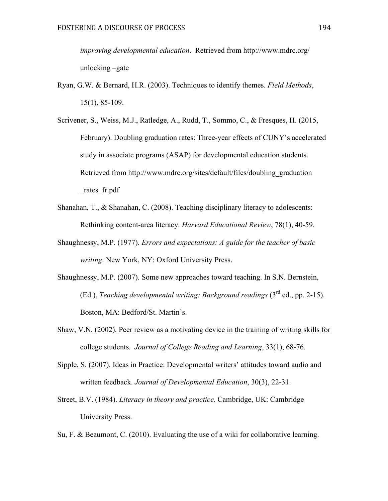*improving developmental education*. Retrieved from http://www.mdrc.org/ unlocking –gate

- Ryan, G.W. & Bernard, H.R. (2003). Techniques to identify themes. *Field Methods*, 15(1), 85-109.
- Scrivener, S., Weiss, M.J., Ratledge, A., Rudd, T., Sommo, C., & Fresques, H. (2015, February). Doubling graduation rates: Three-year effects of CUNY's accelerated study in associate programs (ASAP) for developmental education students. Retrieved from http://www.mdrc.org/sites/default/files/doubling\_graduation \_rates\_fr.pdf
- Shanahan, T., & Shanahan, C. (2008). Teaching disciplinary literacy to adolescents: Rethinking content-area literacy. *Harvard Educational Review*, 78(1), 40-59.
- Shaughnessy, M.P. (1977). *Errors and expectations: A guide for the teacher of basic writing*. New York, NY: Oxford University Press.
- Shaughnessy, M.P. (2007). Some new approaches toward teaching. In S.N. Bernstein, (Ed.), *Teaching developmental writing: Background readings* (3rd ed., pp. 2-15). Boston, MA: Bedford/St. Martin's.
- Shaw, V.N. (2002). Peer review as a motivating device in the training of writing skills for college students*. Journal of College Reading and Learning*, 33(1), 68-76.
- Sipple, S. (2007). Ideas in Practice: Developmental writers' attitudes toward audio and written feedback. *Journal of Developmental Education*, 30(3), 22-31.
- Street, B.V. (1984). *Literacy in theory and practice.* Cambridge, UK: Cambridge University Press.
- Su, F. & Beaumont, C. (2010). Evaluating the use of a wiki for collaborative learning.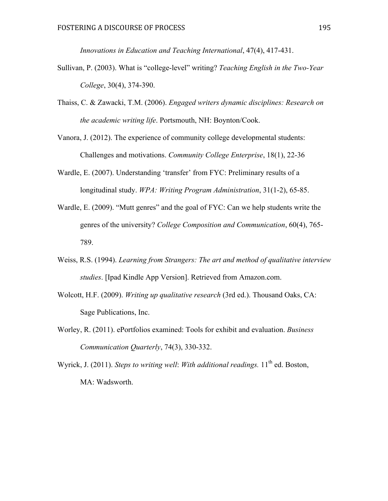*Innovations in Education and Teaching International*, 47(4), 417-431.

- Sullivan, P. (2003). What is "college-level" writing? *Teaching English in the Two-Year College*, 30(4), 374-390.
- Thaiss, C. & Zawacki, T.M. (2006). *Engaged writers dynamic disciplines: Research on the academic writing life*. Portsmouth, NH: Boynton/Cook.

Vanora, J. (2012). The experience of community college developmental students: Challenges and motivations. *Community College Enterprise*, 18(1), 22-36

- Wardle, E. (2007). Understanding 'transfer' from FYC: Preliminary results of a longitudinal study. *WPA: Writing Program Administration*, 31(1-2), 65-85.
- Wardle, E. (2009). "Mutt genres" and the goal of FYC: Can we help students write the genres of the university? *College Composition and Communication*, 60(4), 765- 789.
- Weiss, R.S. (1994). *Learning from Strangers: The art and method of qualitative interview studies*. [Ipad Kindle App Version]. Retrieved from Amazon.com.
- Wolcott, H.F. (2009). *Writing up qualitative research* (3rd ed.). Thousand Oaks, CA: Sage Publications, Inc.
- Worley, R. (2011). ePortfolios examined: Tools for exhibit and evaluation. *Business Communication Quarterly*, 74(3), 330-332.

Wyrick, J. (2011). *Steps to writing well: With additional readings*. 11<sup>th</sup> ed. Boston, MA: Wadsworth.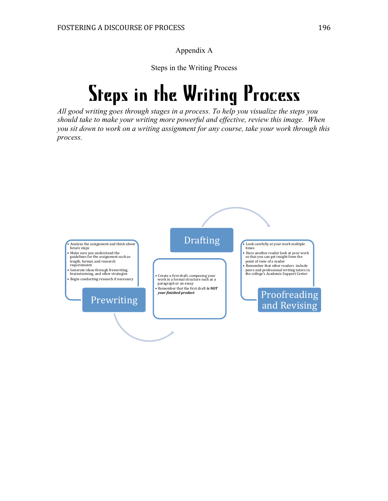Appendix A

Steps in the Writing Process

# Steps in the Writing Process

*All good writing goes through stages in a process. To help you visualize the steps you should take to make your writing more powerful and effective, review this image. When you sit down to work on a writing assignment for any course, take your work through this process.* 

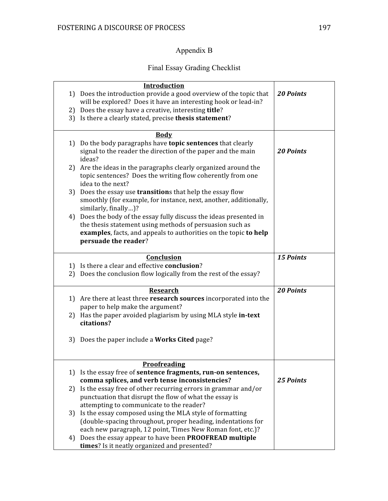# Appendix B

# Final Essay Grading Checklist

|    | Introduction                                                                                                                   |                  |
|----|--------------------------------------------------------------------------------------------------------------------------------|------------------|
|    | 1) Does the introduction provide a good overview of the topic that                                                             | <b>20 Points</b> |
|    | will be explored? Does it have an interesting hook or lead-in?                                                                 |                  |
|    | 2) Does the essay have a creative, interesting title?                                                                          |                  |
|    | 3) Is there a clearly stated, precise thesis statement?                                                                        |                  |
|    | <b>Body</b>                                                                                                                    |                  |
|    | 1) Do the body paragraphs have topic sentences that clearly                                                                    |                  |
|    | signal to the reader the direction of the paper and the main                                                                   | <b>20 Points</b> |
|    | ideas?                                                                                                                         |                  |
|    | 2) Are the ideas in the paragraphs clearly organized around the                                                                |                  |
|    | topic sentences? Does the writing flow coherently from one                                                                     |                  |
|    | idea to the next?                                                                                                              |                  |
|    | 3) Does the essay use <b>transition</b> s that help the essay flow                                                             |                  |
|    | smoothly (for example, for instance, next, another, additionally,                                                              |                  |
|    | similarly, finally)?                                                                                                           |                  |
|    | 4) Does the body of the essay fully discuss the ideas presented in<br>the thesis statement using methods of persuasion such as |                  |
|    | examples, facts, and appeals to authorities on the topic to help                                                               |                  |
|    | persuade the reader?                                                                                                           |                  |
|    |                                                                                                                                |                  |
|    | Conclusion                                                                                                                     | <b>15 Points</b> |
|    | 1) Is there a clear and effective conclusion?                                                                                  |                  |
|    | 2) Does the conclusion flow logically from the rest of the essay?                                                              |                  |
|    | <b>Research</b>                                                                                                                | <b>20 Points</b> |
|    | 1) Are there at least three <b>research sources</b> incorporated into the                                                      |                  |
|    | paper to help make the argument?                                                                                               |                  |
|    | 2) Has the paper avoided plagiarism by using MLA style in-text                                                                 |                  |
|    | citations?                                                                                                                     |                  |
|    | 3) Does the paper include a <b>Works Cited</b> page?                                                                           |                  |
|    |                                                                                                                                |                  |
|    |                                                                                                                                |                  |
|    | <b>Proofreading</b>                                                                                                            |                  |
|    | 1) Is the essay free of <b>sentence fragments</b> , run-on sentences,                                                          |                  |
|    | comma splices, and verb tense inconsistencies?                                                                                 | 25 Points        |
|    | 2) Is the essay free of other recurring errors in grammar and/or<br>punctuation that disrupt the flow of what the essay is     |                  |
|    | attempting to communicate to the reader?                                                                                       |                  |
|    | 3) Is the essay composed using the MLA style of formatting                                                                     |                  |
|    | (double-spacing throughout, proper heading, indentations for                                                                   |                  |
|    | each new paragraph, 12 point, Times New Roman font, etc.)?                                                                     |                  |
| 4) | Does the essay appear to have been PROOFREAD multiple                                                                          |                  |
|    | times? Is it neatly organized and presented?                                                                                   |                  |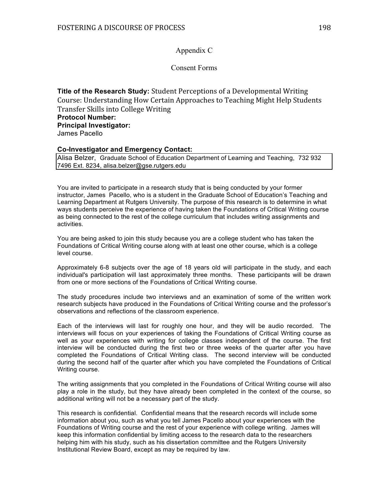## Appendix C

## Consent Forms

**Title of the Research Study:** Student Perceptions of a Developmental Writing Course: Understanding How Certain Approaches to Teaching Might Help Students Transfer Skills into College Writing **Protocol Number: Principal Investigator:** James Pacello

#### **Co-Investigator and Emergency Contact:**

Alisa Belzer, Graduate School of Education Department of Learning and Teaching, 732 932 7496 Ext. 8234, alisa.belzer@gse.rutgers.edu

You are invited to participate in a research study that is being conducted by your former instructor, James Pacello, who is a student in the Graduate School of Education's Teaching and Learning Department at Rutgers University. The purpose of this research is to determine in what ways students perceive the experience of having taken the Foundations of Critical Writing course as being connected to the rest of the college curriculum that includes writing assignments and activities.

You are being asked to join this study because you are a college student who has taken the Foundations of Critical Writing course along with at least one other course, which is a college level course.

Approximately 6-8 subjects over the age of 18 years old will participate in the study, and each individual's participation will last approximately three months. These participants will be drawn from one or more sections of the Foundations of Critical Writing course.

The study procedures include two interviews and an examination of some of the written work research subjects have produced in the Foundations of Critical Writing course and the professor's observations and reflections of the classroom experience.

Each of the interviews will last for roughly one hour, and they will be audio recorded. The interviews will focus on your experiences of taking the Foundations of Critical Writing course as well as your experiences with writing for college classes independent of the course. The first interview will be conducted during the first two or three weeks of the quarter after you have completed the Foundations of Critical Writing class. The second interview will be conducted during the second half of the quarter after which you have completed the Foundations of Critical Writing course.

The writing assignments that you completed in the Foundations of Critical Writing course will also play a role in the study, but they have already been completed in the context of the course, so additional writing will not be a necessary part of the study.

This research is confidential. Confidential means that the research records will include some information about you, such as what you tell James Pacello about your experiences with the Foundations of Writing course and the rest of your experience with college writing. James will keep this information confidential by limiting access to the research data to the researchers helping him with his study, such as his dissertation committee and the Rutgers University Institutional Review Board, except as may be required by law.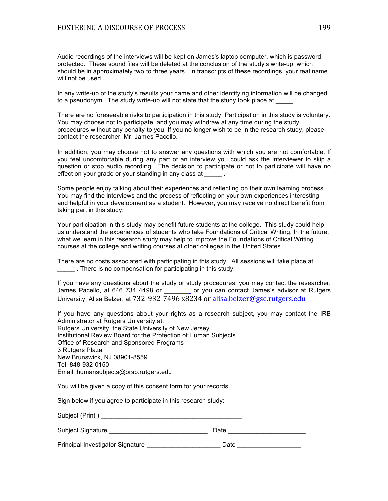Audio recordings of the interviews will be kept on James's laptop computer, which is password protected. These sound files will be deleted at the conclusion of the study's write-up, which should be in approximately two to three years. In transcripts of these recordings, your real name will not be used.

In any write-up of the study's results your name and other identifying information will be changed to a pseudonym. The study write-up will not state that the study took place at  $\qquad \qquad$ .

There are no foreseeable risks to participation in this study. Participation in this study is voluntary. You may choose not to participate, and you may withdraw at any time during the study procedures without any penalty to you. If you no longer wish to be in the research study, please contact the researcher, Mr. James Pacello.

In addition, you may choose not to answer any questions with which you are not comfortable. If you feel uncomfortable during any part of an interview you could ask the interviewer to skip a question or stop audio recording. The decision to participate or not to participate will have no effect on your grade or your standing in any class at \_\_\_\_\_\_.

Some people enjoy talking about their experiences and reflecting on their own learning process. You may find the interviews and the process of reflecting on your own experiences interesting and helpful in your development as a student. However, you may receive no direct benefit from taking part in this study.

Your participation in this study may benefit future students at the college. This study could help us understand the experiences of students who take Foundations of Critical Writing. In the future, what we learn in this research study may help to improve the Foundations of Critical Writing courses at the college and writing courses at other colleges in the United States.

There are no costs associated with participating in this study. All sessions will take place at \_\_\_\_\_ . There is no compensation for participating in this study.

If you have any questions about the study or study procedures, you may contact the researcher, James Pacello, at 646 734 4498 or \_\_\_\_\_\_, or you can contact James's advisor at Rutgers University, Alisa Belzer, at  $732-932-7496$   $x8234$  or alisa.belzer@gse.rutgers.edu

If you have any questions about your rights as a research subject, you may contact the IRB Administrator at Rutgers University at: Rutgers University, the State University of New Jersey Institutional Review Board for the Protection of Human Subjects Office of Research and Sponsored Programs 3 Rutgers Plaza New Brunswick, NJ 08901-8559 Tel: 848-932-0150 Email: humansubjects@orsp.rutgers.edu

You will be given a copy of this consent form for your records.

Sign below if you agree to participate in this research study:

| Subject (Print)   |      |  |
|-------------------|------|--|
| Subject Signature | Date |  |

Principal Investigator Signature \_\_\_\_\_\_\_\_\_\_\_\_\_\_\_\_\_\_\_\_\_\_\_\_\_\_\_ Date \_\_\_\_\_\_\_\_\_\_\_\_\_\_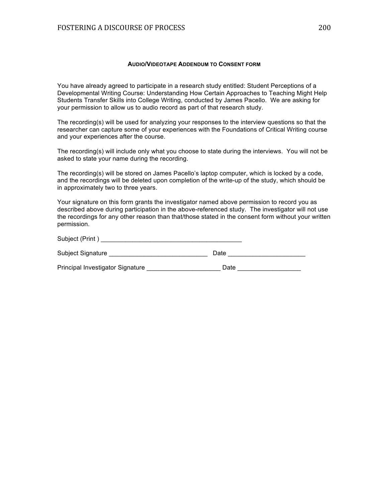#### **AUDIO/VIDEOTAPE ADDENDUM TO CONSENT FORM**

You have already agreed to participate in a research study entitled: Student Perceptions of a Developmental Writing Course: Understanding How Certain Approaches to Teaching Might Help Students Transfer Skills into College Writing, conducted by James Pacello. We are asking for your permission to allow us to audio record as part of that research study.

The recording(s) will be used for analyzing your responses to the interview questions so that the researcher can capture some of your experiences with the Foundations of Critical Writing course and your experiences after the course.

The recording(s) will include only what you choose to state during the interviews. You will not be asked to state your name during the recording.

The recording(s) will be stored on James Pacello's laptop computer, which is locked by a code, and the recordings will be deleted upon completion of the write-up of the study, which should be in approximately two to three years.

Your signature on this form grants the investigator named above permission to record you as described above during participation in the above-referenced study. The investigator will not use the recordings for any other reason than that/those stated in the consent form without your written permission.

| Subject (Print)                  |      |  |
|----------------------------------|------|--|
| <b>Subject Signature</b>         | Date |  |
| Principal Investigator Signature | Date |  |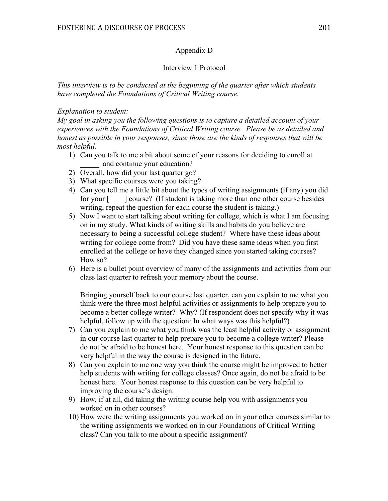## Appendix D

## Interview 1 Protocol

*This interview is to be conducted at the beginning of the quarter after which students have completed the Foundations of Critical Writing course.* 

## *Explanation to student:*

*My goal in asking you the following questions is to capture a detailed account of your experiences with the Foundations of Critical Writing course. Please be as detailed and honest as possible in your responses, since those are the kinds of responses that will be most helpful.* 

- 1) Can you talk to me a bit about some of your reasons for deciding to enroll at and continue your education?
- 2) Overall, how did your last quarter go?
- 3) What specific courses were you taking?
- 4) Can you tell me a little bit about the types of writing assignments (if any) you did for your [ ] course? (If student is taking more than one other course besides writing, repeat the question for each course the student is taking.)
- 5) Now I want to start talking about writing for college, which is what I am focusing on in my study. What kinds of writing skills and habits do you believe are necessary to being a successful college student? Where have these ideas about writing for college come from? Did you have these same ideas when you first enrolled at the college or have they changed since you started taking courses? How so?
- 6) Here is a bullet point overview of many of the assignments and activities from our class last quarter to refresh your memory about the course.

Bringing yourself back to our course last quarter, can you explain to me what you think were the three most helpful activities or assignments to help prepare you to become a better college writer? Why? (If respondent does not specify why it was helpful, follow up with the question: In what ways was this helpful?)

- 7) Can you explain to me what you think was the least helpful activity or assignment in our course last quarter to help prepare you to become a college writer? Please do not be afraid to be honest here. Your honest response to this question can be very helpful in the way the course is designed in the future.
- 8) Can you explain to me one way you think the course might be improved to better help students with writing for college classes? Once again, do not be afraid to be honest here. Your honest response to this question can be very helpful to improving the course's design.
- 9) How, if at all, did taking the writing course help you with assignments you worked on in other courses?
- 10) How were the writing assignments you worked on in your other courses similar to the writing assignments we worked on in our Foundations of Critical Writing class? Can you talk to me about a specific assignment?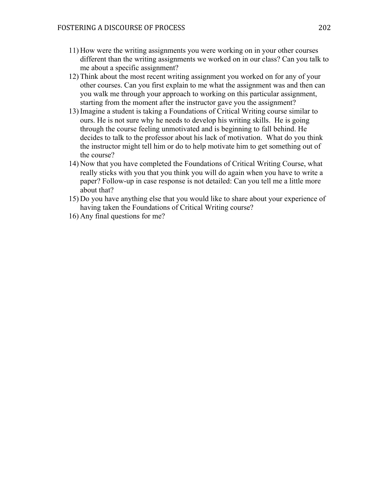- 11) How were the writing assignments you were working on in your other courses different than the writing assignments we worked on in our class? Can you talk to me about a specific assignment?
- 12) Think about the most recent writing assignment you worked on for any of your other courses. Can you first explain to me what the assignment was and then can you walk me through your approach to working on this particular assignment, starting from the moment after the instructor gave you the assignment?
- 13) Imagine a student is taking a Foundations of Critical Writing course similar to ours. He is not sure why he needs to develop his writing skills. He is going through the course feeling unmotivated and is beginning to fall behind. He decides to talk to the professor about his lack of motivation. What do you think the instructor might tell him or do to help motivate him to get something out of the course?
- 14) Now that you have completed the Foundations of Critical Writing Course, what really sticks with you that you think you will do again when you have to write a paper? Follow-up in case response is not detailed: Can you tell me a little more about that?
- 15) Do you have anything else that you would like to share about your experience of having taken the Foundations of Critical Writing course?
- 16) Any final questions for me?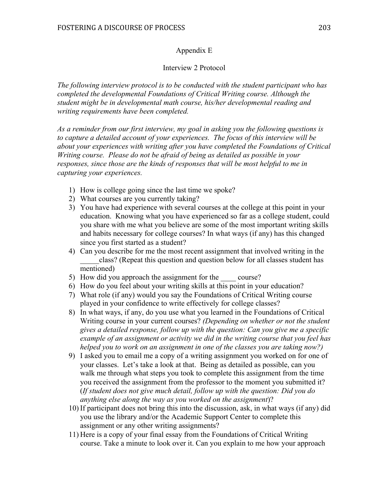## Appendix E

## Interview 2 Protocol

*The following interview protocol is to be conducted with the student participant who has completed the developmental Foundations of Critical Writing course. Although the student might be in developmental math course, his/her developmental reading and writing requirements have been completed.*

*As a reminder from our first interview, my goal in asking you the following questions is to capture a detailed account of your experiences. The focus of this interview will be about your experiences with writing after you have completed the Foundations of Critical Writing course. Please do not be afraid of being as detailed as possible in your responses, since those are the kinds of responses that will be most helpful to me in capturing your experiences.* 

- 1) How is college going since the last time we spoke?
- 2) What courses are you currently taking?
- 3) You have had experience with several courses at the college at this point in your education. Knowing what you have experienced so far as a college student, could you share with me what you believe are some of the most important writing skills and habits necessary for college courses? In what ways (if any) has this changed since you first started as a student?
- 4) Can you describe for me the most recent assignment that involved writing in the \_\_\_\_\_class? (Repeat this question and question below for all classes student has mentioned)
- 5) How did you approach the assignment for the course?
- 6) How do you feel about your writing skills at this point in your education?
- 7) What role (if any) would you say the Foundations of Critical Writing course played in your confidence to write effectively for college classes?
- 8) In what ways, if any, do you use what you learned in the Foundations of Critical Writing course in your current courses? *(Depending on whether or not the student gives a detailed response, follow up with the question: Can you give me a specific example of an assignment or activity we did in the writing course that you feel has helped you to work on an assignment in one of the classes you are taking now?)*
- 9) I asked you to email me a copy of a writing assignment you worked on for one of your classes. Let's take a look at that. Being as detailed as possible, can you walk me through what steps you took to complete this assignment from the time you received the assignment from the professor to the moment you submitted it? (*If student does not give much detail, follow up with the question: Did you do anything else along the way as you worked on the assignment*)?
- 10) If participant does not bring this into the discussion, ask, in what ways (if any) did you use the library and/or the Academic Support Center to complete this assignment or any other writing assignments?
- 11) Here is a copy of your final essay from the Foundations of Critical Writing course. Take a minute to look over it. Can you explain to me how your approach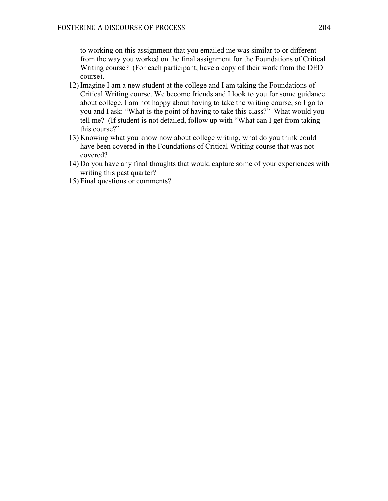to working on this assignment that you emailed me was similar to or different from the way you worked on the final assignment for the Foundations of Critical Writing course? (For each participant, have a copy of their work from the DED course).

- 12) Imagine I am a new student at the college and I am taking the Foundations of Critical Writing course. We become friends and I look to you for some guidance about college. I am not happy about having to take the writing course, so I go to you and I ask: "What is the point of having to take this class?" What would you tell me? (If student is not detailed, follow up with "What can I get from taking this course?"
- 13) Knowing what you know now about college writing, what do you think could have been covered in the Foundations of Critical Writing course that was not covered?
- 14) Do you have any final thoughts that would capture some of your experiences with writing this past quarter?
- 15) Final questions or comments?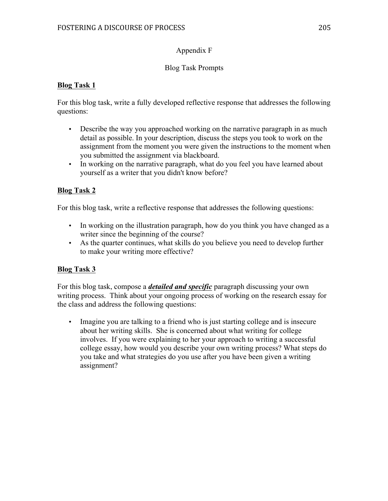## Appendix F

## Blog Task Prompts

## **Blog Task 1**

For this blog task, write a fully developed reflective response that addresses the following questions:

- Describe the way you approached working on the narrative paragraph in as much detail as possible. In your description, discuss the steps you took to work on the assignment from the moment you were given the instructions to the moment when you submitted the assignment via blackboard.
- In working on the narrative paragraph, what do you feel you have learned about yourself as a writer that you didn't know before?

## **Blog Task 2**

For this blog task, write a reflective response that addresses the following questions:

- In working on the illustration paragraph, how do you think you have changed as a writer since the beginning of the course?
- As the quarter continues, what skills do you believe you need to develop further to make your writing more effective?

## **Blog Task 3**

For this blog task, compose a *detailed and specific* paragraph discussing your own writing process. Think about your ongoing process of working on the research essay for the class and address the following questions:

• Imagine you are talking to a friend who is just starting college and is insecure about her writing skills. She is concerned about what writing for college involves. If you were explaining to her your approach to writing a successful college essay, how would you describe your own writing process? What steps do you take and what strategies do you use after you have been given a writing assignment?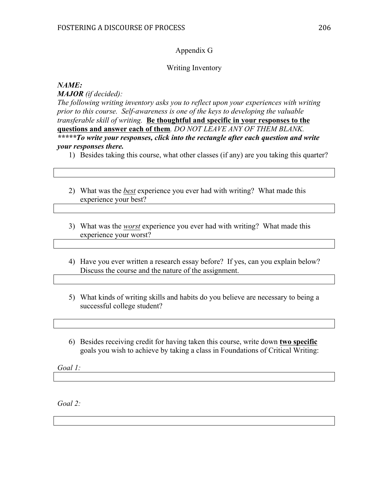### Appendix G

### Writing Inventory

### *NAME:*

*MAJOR (if decided):* 

*The following writing inventory asks you to reflect upon your experiences with writing prior to this course. Self-awareness is one of the keys to developing the valuable transferable skill of writing.* **Be thoughtful and specific in your responses to the questions and answer each of them***. DO NOT LEAVE ANY OF THEM BLANK. \*\*\*\*\*To write your responses, click into the rectangle after each question and write your responses there.* 

- 1) Besides taking this course, what other classes (if any) are you taking this quarter?
- 2) What was the *best* experience you ever had with writing? What made this experience your best?
- 3) What was the *worst* experience you ever had with writing? What made this experience your worst?
- 4) Have you ever written a research essay before? If yes, can you explain below? Discuss the course and the nature of the assignment.
- 5) What kinds of writing skills and habits do you believe are necessary to being a successful college student?
- 6) Besides receiving credit for having taken this course, write down **two specific** goals you wish to achieve by taking a class in Foundations of Critical Writing:

*Goal 1:* 

*Goal 2:*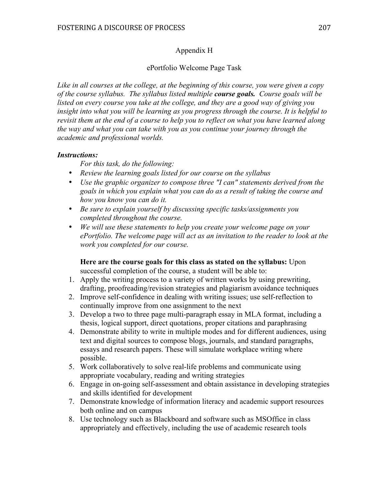#### Appendix H

#### ePortfolio Welcome Page Task

*Like in all courses at the college, at the beginning of this course, you were given a copy of the course syllabus. The syllabus listed multiple course goals. Course goals will be listed on every course you take at the college, and they are a good way of giving you insight into what you will be learning as you progress through the course. It is helpful to revisit them at the end of a course to help you to reflect on what you have learned along the way and what you can take with you as you continue your journey through the academic and professional worlds.* 

#### *Instructions:*

*For this task, do the following:* 

- *Review the learning goals listed for our course on the syllabus*
- *Use the graphic organizer to compose three "I can" statements derived from the goals in which you explain what you can do as a result of taking the course and how you know you can do it.*
- *Be sure to explain yourself by discussing specific tasks/assignments you completed throughout the course.*
- *We will use these statements to help you create your welcome page on your ePortfolio. The welcome page will act as an invitation to the reader to look at the work you completed for our course.*

**Here are the course goals for this class as stated on the syllabus:** Upon successful completion of the course, a student will be able to:

- 1. Apply the writing process to a variety of written works by using prewriting, drafting, proofreading/revision strategies and plagiarism avoidance techniques
- 2. Improve self-confidence in dealing with writing issues; use self-reflection to continually improve from one assignment to the next
- 3. Develop a two to three page multi-paragraph essay in MLA format, including a thesis, logical support, direct quotations, proper citations and paraphrasing
- 4. Demonstrate ability to write in multiple modes and for different audiences, using text and digital sources to compose blogs, journals, and standard paragraphs, essays and research papers. These will simulate workplace writing where possible.
- 5. Work collaboratively to solve real-life problems and communicate using appropriate vocabulary, reading and writing strategies
- 6. Engage in on-going self-assessment and obtain assistance in developing strategies and skills identified for development
- 7. Demonstrate knowledge of information literacy and academic support resources both online and on campus
- 8. Use technology such as Blackboard and software such as MSOffice in class appropriately and effectively, including the use of academic research tools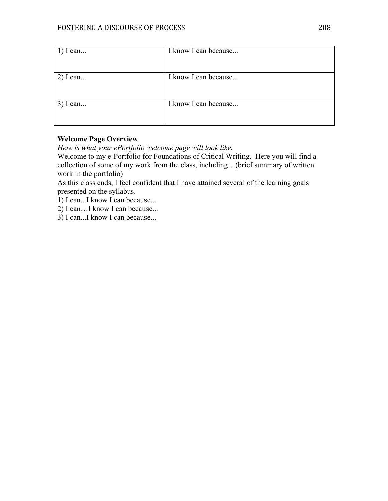| $1)$ I can | I know I can because |
|------------|----------------------|
|            |                      |
|            |                      |
| $2)$ I can | I know I can because |
|            |                      |
|            |                      |
| $3)$ I can | I know I can because |
|            |                      |
|            |                      |

### **Welcome Page Overview**

*Here is what your ePortfolio welcome page will look like.* 

Welcome to my e-Portfolio for Foundations of Critical Writing. Here you will find a collection of some of my work from the class, including…(brief summary of written work in the portfolio)

As this class ends, I feel confident that I have attained several of the learning goals presented on the syllabus.

1) I can...I know I can because...

2) I can…I know I can because...

3) I can...I know I can because...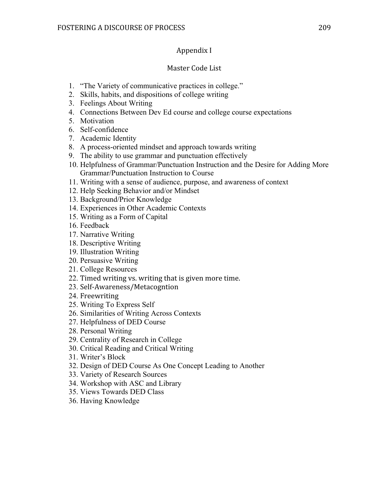# Appendix I

### Master Code List

- 1. "The Variety of communicative practices in college."
- 2. Skills, habits, and dispositions of college writing
- 3. Feelings About Writing
- 4. Connections Between Dev Ed course and college course expectations
- 5. Motivation
- 6. Self-confidence
- 7. Academic Identity
- 8. A process-oriented mindset and approach towards writing
- 9. The ability to use grammar and punctuation effectively
- 10. Helpfulness of Grammar/Punctuation Instruction and the Desire for Adding More Grammar/Punctuation Instruction to Course
- 11. Writing with a sense of audience, purpose, and awareness of context
- 12. Help Seeking Behavior and/or Mindset
- 13. Background/Prior Knowledge
- 14. Experiences in Other Academic Contexts
- 15. Writing as a Form of Capital
- 16. Feedback
- 17. Narrative Writing
- 18. Descriptive Writing
- 19. Illustration Writing
- 20. Persuasive Writing
- 21. College Resources
- 22. Timed writing vs. writing that is given more time.
- 23. Self-Awareness/Metacogntion
- 24. Freewriting
- 25. Writing To Express Self
- 26. Similarities of Writing Across Contexts
- 27. Helpfulness of DED Course
- 28. Personal Writing
- 29. Centrality of Research in College
- 30. Critical Reading and Critical Writing
- 31. Writer's Block
- 32. Design of DED Course As One Concept Leading to Another
- 33. Variety of Research Sources
- 34. Workshop with ASC and Library
- 35. Views Towards DED Class
- 36. Having Knowledge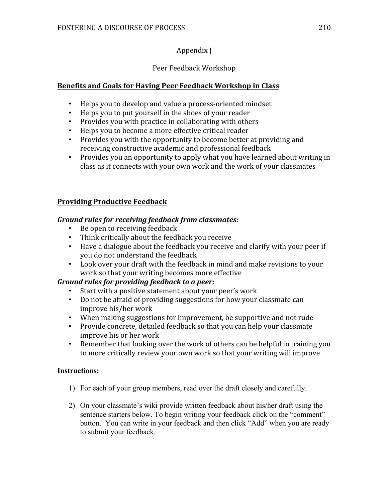# Appendix J

# Peer Feedback Workshop

# **Benefits and Goals for Having Peer Feedback Workshop in Class**

- Helps you to develop and value a process-oriented mindset
- Helps you to put yourself in the shoes of your reader
- Provides you with practice in collaborating with others
- Helps you to become a more effective critical reader
- Provides you with the opportunity to become better at providing and receiving constructive academic and professional feedback
- Provides you an opportunity to apply what you have learned about writing in class as it connects with your own work and the work of your classmates

### **Providing Productive Feedback**

### *Ground rules for receiving feedback from classmates:*

- Be open to receiving feedback
- Think critically about the feedback you receive
- Have a dialogue about the feedback you receive and clarify with your peer if you do not understand the feedback
- Look over your draft with the feedback in mind and make revisions to your work so that your writing becomes more effective

### *Ground rules for providing feedback to a peer:*

- Start with a positive statement about your peer's work
- Do not be afraid of providing suggestions for how your classmate can improve his/her work
- When making suggestions for improvement, be supportive and not rude
- Provide concrete, detailed feedback so that you can help your classmate improve his or her work
- Remember that looking over the work of others can be helpful in training you to more critically review your own work so that your writing will improve

### **Instructions:**

- 1) For each of your group members, read over the draft closely and carefully.
- 2) On your classmate's wiki provide written feedback about his/her draft using the sentence starters below. To begin writing your feedback click on the "comment" button. You can write in your feedback and then click "Add" when you are ready to submit your feedback.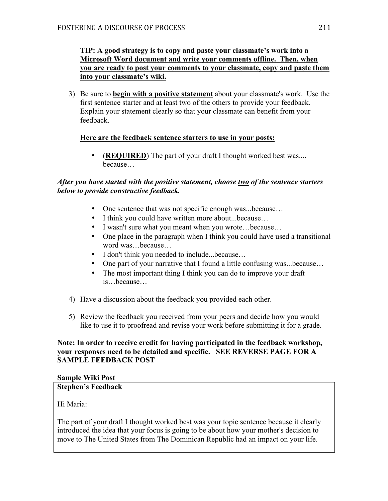### **TIP: A good strategy is to copy and paste your classmate's work into a Microsoft Word document and write your comments offline. Then, when you are ready to post your comments to your classmate, copy and paste them into your classmate's wiki.**

3) Be sure to **begin with a positive statement** about your classmate's work. Use the first sentence starter and at least two of the others to provide your feedback. Explain your statement clearly so that your classmate can benefit from your feedback.

### **Here are the feedback sentence starters to use in your posts:**

• (**REQUIRED**) The part of your draft I thought worked best was.... because…

#### *After you have started with the positive statement, choose two of the sentence starters below to provide constructive feedback.*

- One sentence that was not specific enough was...because...
- I think you could have written more about...because...
- I wasn't sure what you meant when you wrote...because...
- One place in the paragraph when I think you could have used a transitional word was…because…
- I don't think you needed to include...because...
- One part of your narrative that I found a little confusing was...because...
- The most important thing I think you can do to improve your draft is…because…
- 4) Have a discussion about the feedback you provided each other.
- 5) Review the feedback you received from your peers and decide how you would like to use it to proofread and revise your work before submitting it for a grade.

#### **Note: In order to receive credit for having participated in the feedback workshop, your responses need to be detailed and specific. SEE REVERSE PAGE FOR A SAMPLE FEEDBACK POST**

#### **Sample Wiki Post**

#### **Stephen's Feedback**

Hi Maria:

The part of your draft I thought worked best was your topic sentence because it clearly introduced the idea that your focus is going to be about how your mother's decision to move to The United States from The Dominican Republic had an impact on your life.